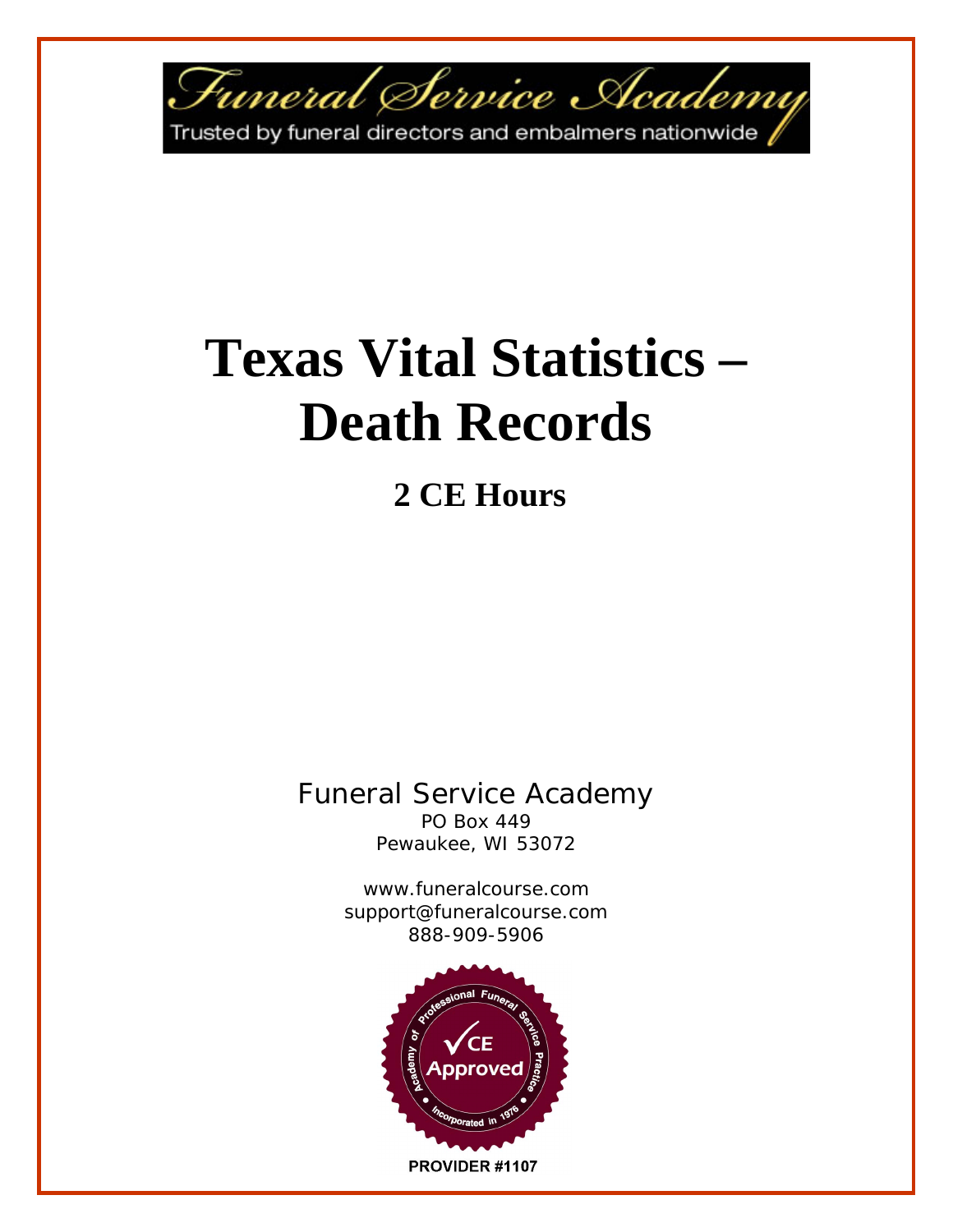

# **Texas Vital Statistics – Death Records**

# **2 CE Hours**

Funeral Service Academy PO Box 449 Pewaukee, WI 53072

> www.funeralcourse.com support@funeralcourse.com 888-909-5906

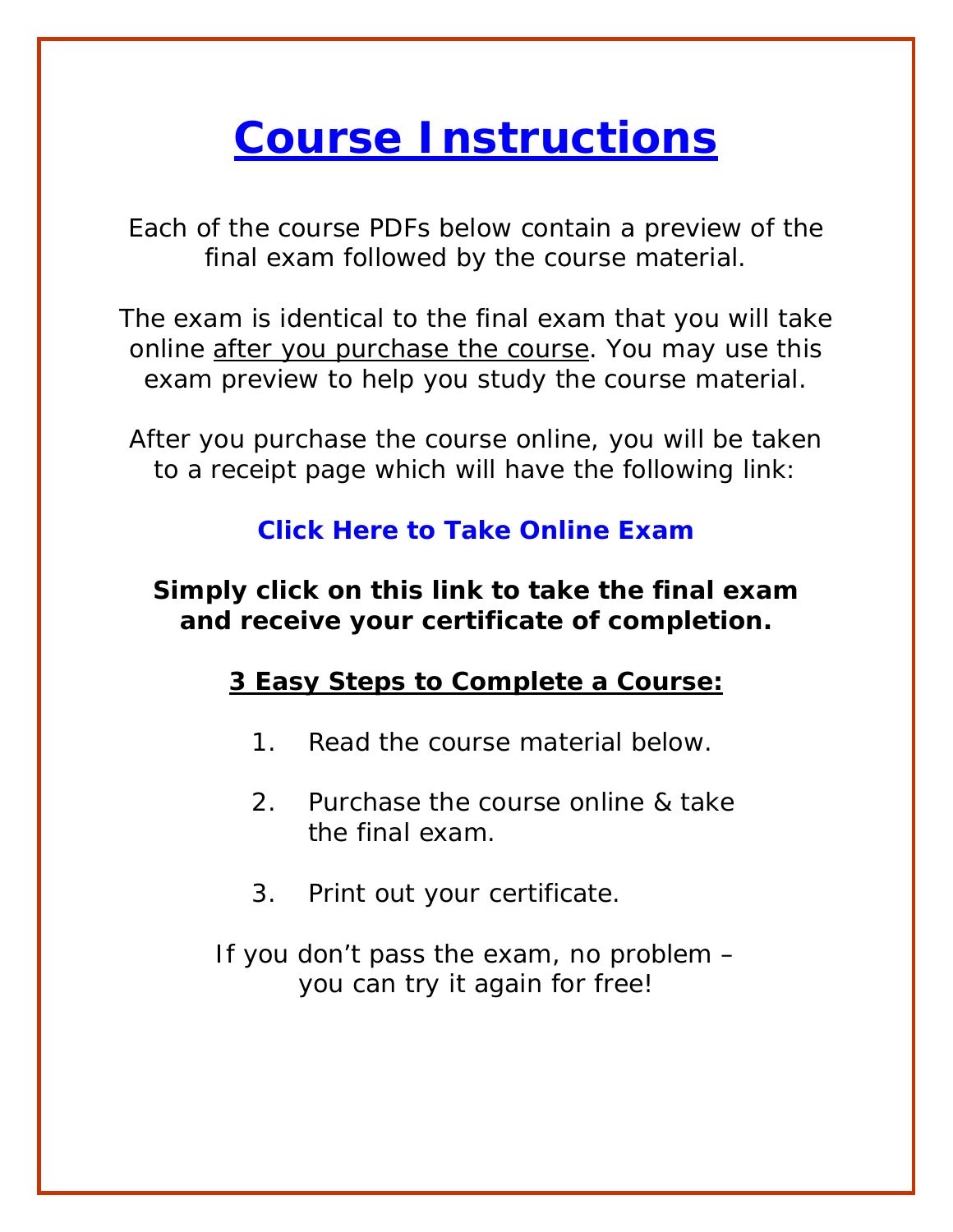# **Course Instructions**

Each of the course PDFs below contain a preview of the final exam followed by the course material.

The exam is identical to the final exam that you will take online *after you purchase the course*. You may use this exam preview to help you study the course material.

After you purchase the course online, you will be taken to a receipt page which will have the following link:

# **Click Here to Take Online Exam**

# **Simply click on this link to take the final exam and receive your certificate of completion.**

# **3 Easy Steps to Complete a Course:**

- 1. Read the course material below.
- 2. Purchase the course online & take the final exam.
- 3. Print out your certificate.
- If you don't pass the exam, no problem *you can try it again for free!*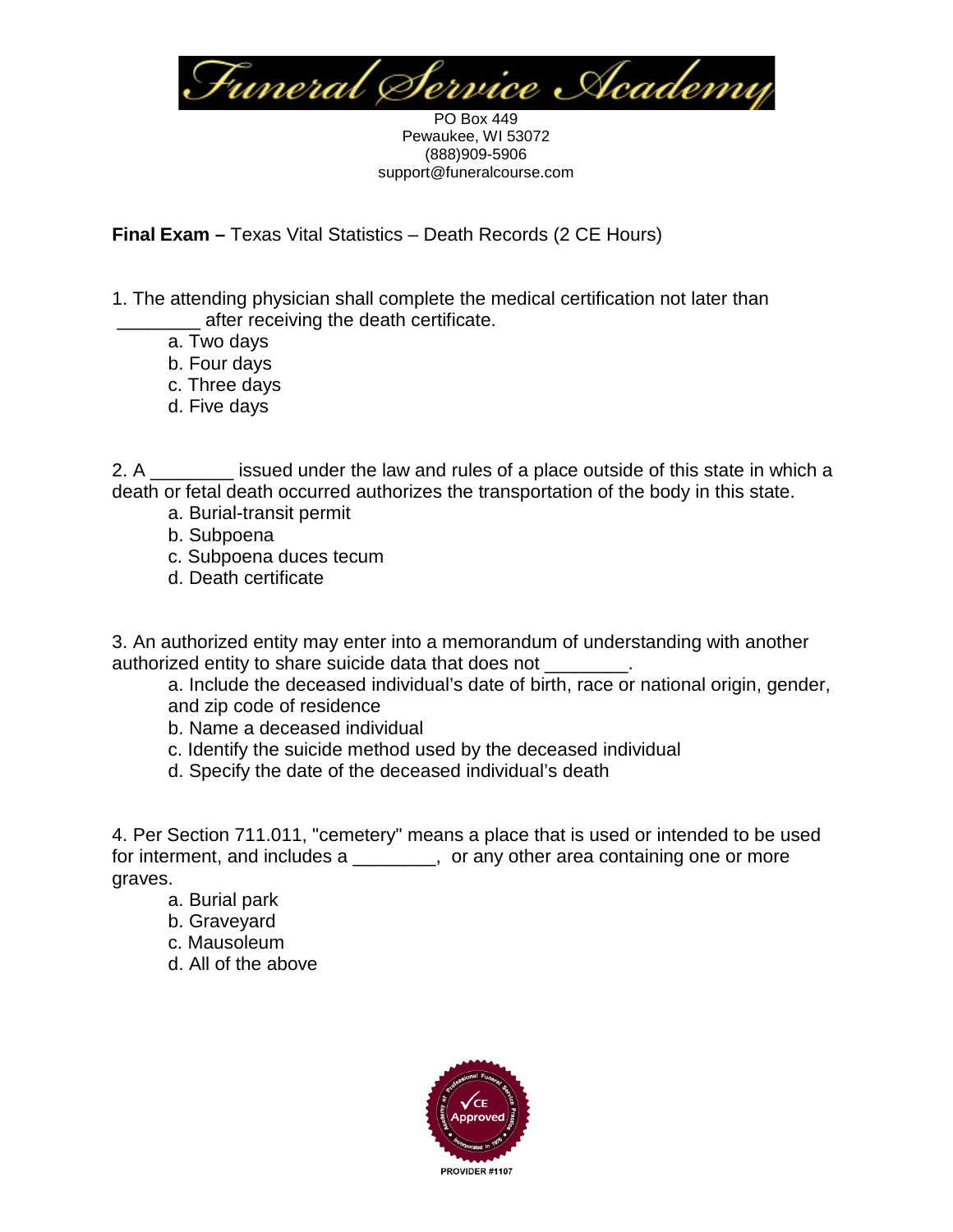

PO Box 449 Pewaukee, WI 53072 (888)909-5906 support@funeralcourse.com

**Final Exam –** Texas Vital Statistics – Death Records (2 CE Hours)

1. The attending physician shall complete the medical certification not later than \_\_\_\_\_\_\_\_ after receiving the death certificate.

- a. Two days
- b. Four days
- c. Three days
- d. Five days

2. A \_\_\_\_\_\_\_\_ issued under the law and rules of a place outside of this state in which a death or fetal death occurred authorizes the transportation of the body in this state.

- a. Burial-transit permit
- b. Subpoena
- c. Subpoena duces tecum
- d. Death certificate

3. An authorized entity may enter into a memorandum of understanding with another authorized entity to share suicide data that does not \_\_\_\_\_\_\_\_.

a. Include the deceased individual's date of birth, race or national origin, gender, and zip code of residence

- b. Name a deceased individual
- c. Identify the suicide method used by the deceased individual
- d. Specify the date of the deceased individual's death

4. Per Section 711.011, "cemetery" means a place that is used or intended to be used for interment, and includes a \_\_\_\_\_\_\_, or any other area containing one or more graves.

- a. Burial park
- b. Graveyard
- c. Mausoleum
- d. All of the above

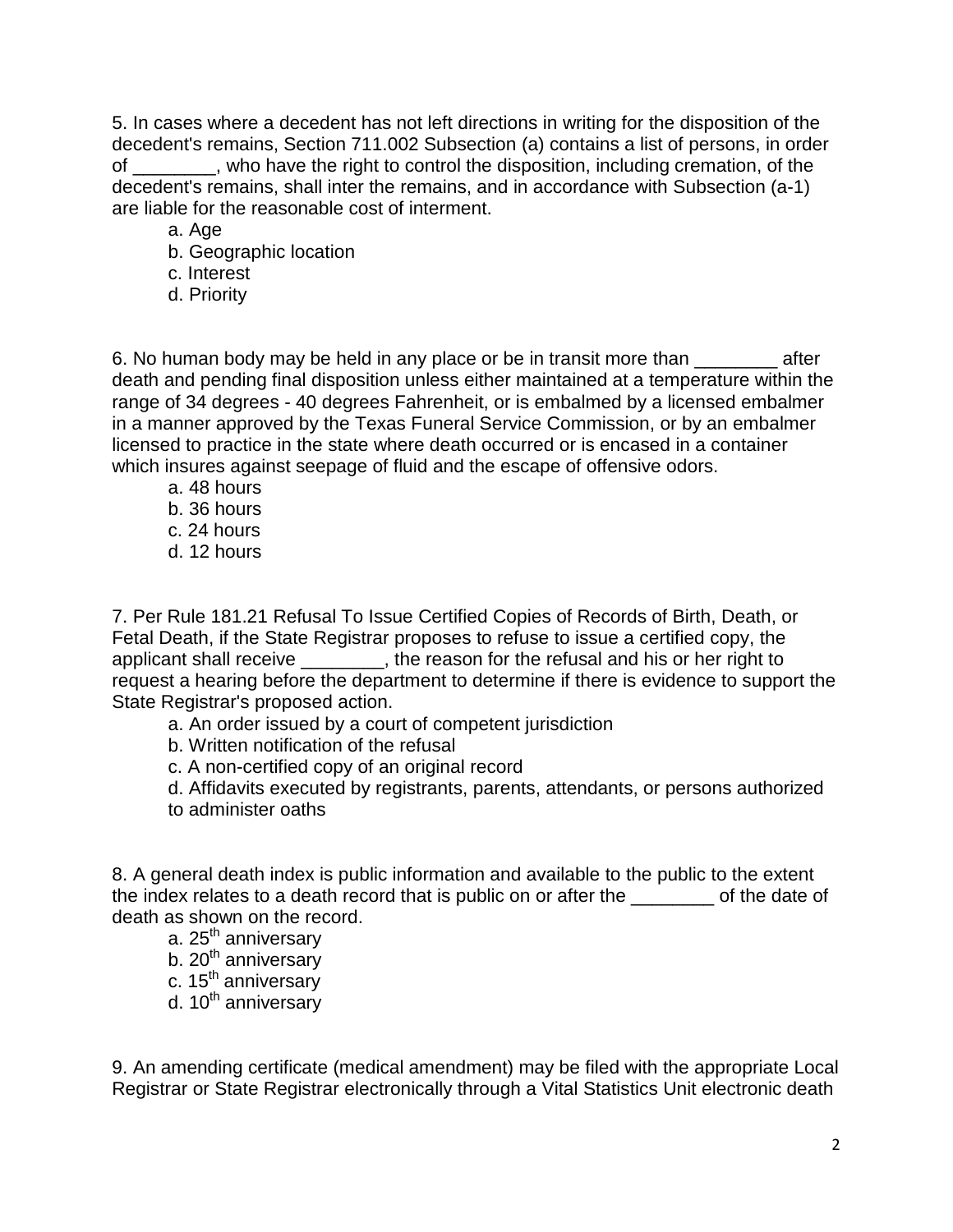5. In cases where a decedent has not left directions in writing for the disposition of the decedent's remains, Section 711.002 Subsection (a) contains a list of persons, in order of \_\_\_\_\_\_\_\_, who have the right to control the disposition, including cremation, of the decedent's remains, shall inter the remains, and in accordance with Subsection (a-1) are liable for the reasonable cost of interment.

- a. Age
- b. Geographic location
- c. Interest
- d. Priority

6. No human body may be held in any place or be in transit more than \_\_\_\_\_\_\_\_ after death and pending final disposition unless either maintained at a temperature within the range of 34 degrees - 40 degrees Fahrenheit, or is embalmed by a licensed embalmer in a manner approved by the Texas Funeral Service Commission, or by an embalmer licensed to practice in the state where death occurred or is encased in a container which insures against seepage of fluid and the escape of offensive odors.

- a. 48 hours
- b. 36 hours
- c. 24 hours
- d. 12 hours

7. Per Rule 181.21 Refusal To Issue Certified Copies of Records of Birth, Death, or Fetal Death, if the State Registrar proposes to refuse to issue a certified copy, the applicant shall receive \_\_\_\_\_\_\_\_, the reason for the refusal and his or her right to request a hearing before the department to determine if there is evidence to support the State Registrar's proposed action.

a. An order issued by a court of competent jurisdiction

- b. Written notification of the refusal
- c. A non-certified copy of an original record

d. Affidavits executed by registrants, parents, attendants, or persons authorized to administer oaths

8. A general death index is public information and available to the public to the extent the index relates to a death record that is public on or after the \_\_\_\_\_\_\_\_ of the date of death as shown on the record.

- a. 25<sup>th</sup> anniversary
- b.  $20^{th}$  anniversary
- c.  $15<sup>th</sup>$  anniversary
- d.  $10^{th}$  anniversary

9. An amending certificate (medical amendment) may be filed with the appropriate Local Registrar or State Registrar electronically through a Vital Statistics Unit electronic death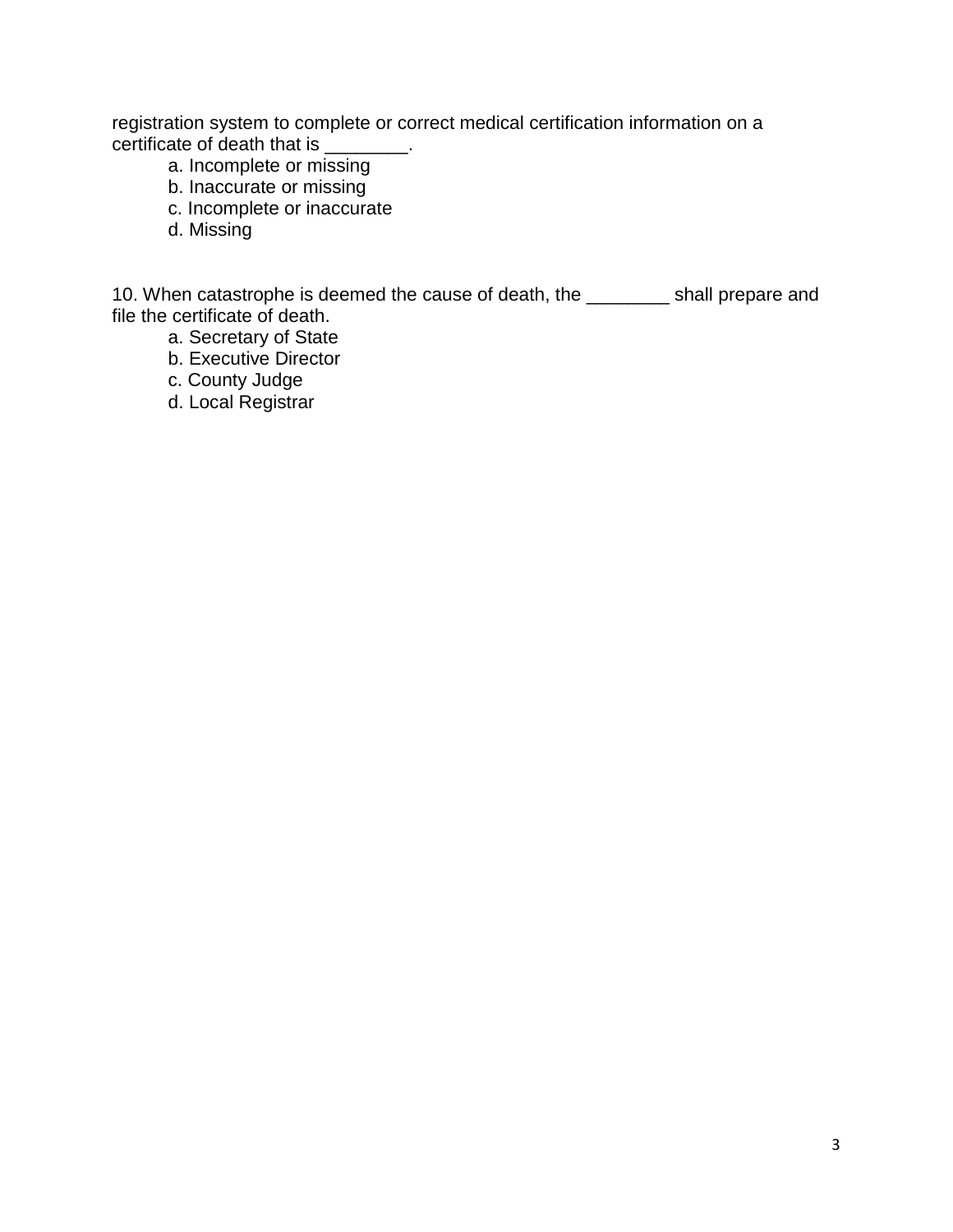registration system to complete or correct medical certification information on a certificate of death that is \_\_\_\_\_\_\_\_.

- a. Incomplete or missing
- b. Inaccurate or missing
- c. Incomplete or inaccurate
- d. Missing

10. When catastrophe is deemed the cause of death, the \_\_\_\_\_\_\_\_ shall prepare and file the certificate of death.

- a. Secretary of State
- b. Executive Director
- c. County Judge
- d. Local Registrar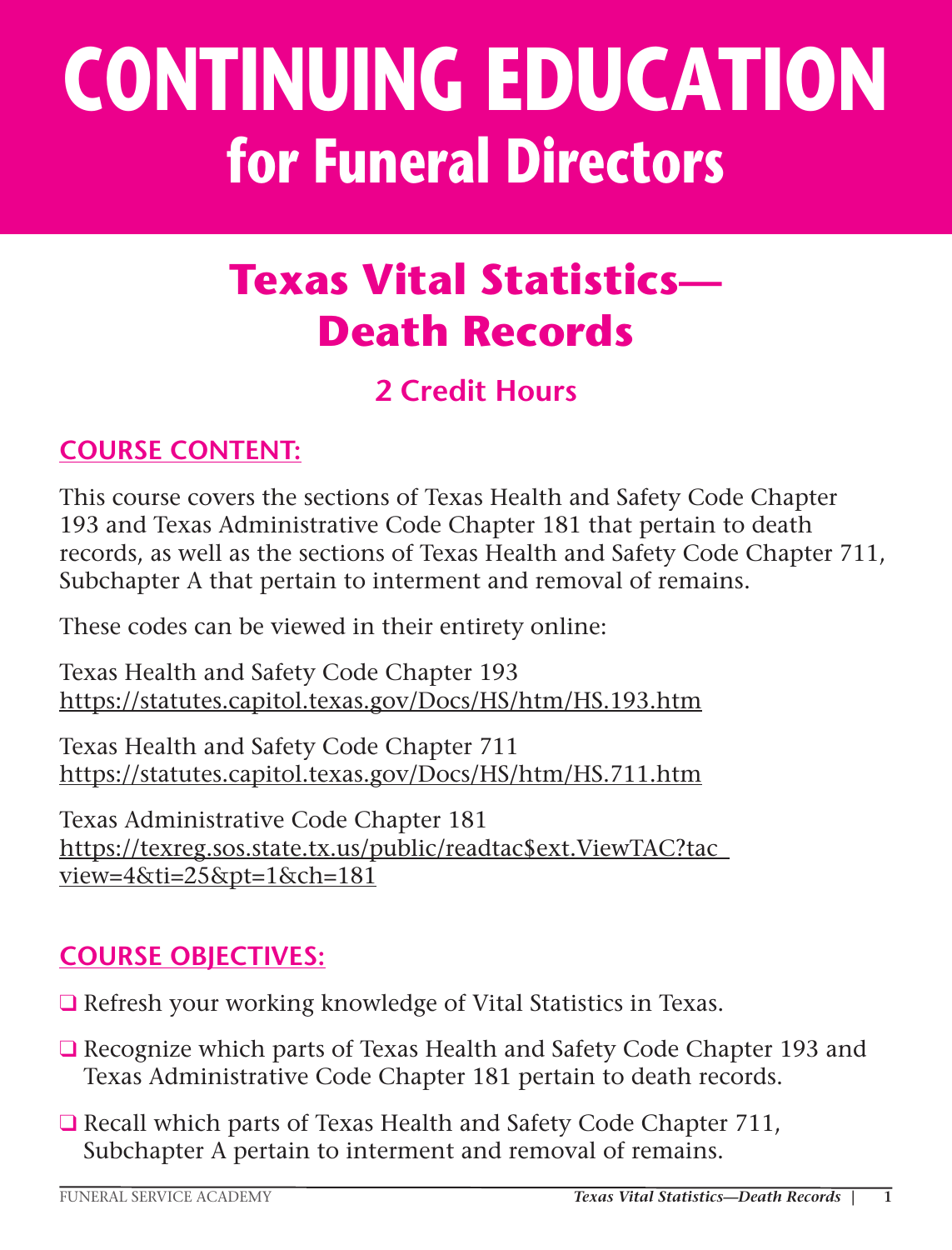# **CONTINUING EDUCATION for Funeral Directors**

# **Texas Vital Statistics— Death Records**

# **2 Credit Hours**

# **COURSE CONTENT:**

This course covers the sections of Texas Health and Safety Code Chapter 193 and Texas Administrative Code Chapter 181 that pertain to death records, as well as the sections of Texas Health and Safety Code Chapter 711, Subchapter A that pertain to interment and removal of remains.

These codes can be viewed in their entirety online:

Texas Health and Safety Code Chapter 193 https://statutes.capitol.texas.gov/Docs/HS/htm/HS.193.htm

Texas Health and Safety Code Chapter 711 https://statutes.capitol.texas.gov/Docs/HS/htm/HS.711.htm

Texas Administrative Code Chapter 181 https://texreg.sos.state.tx.us/public/readtac\$ext.ViewTAC?tac\_ view=4&ti=25&pt=1&ch=181

# **COURSE OBJECTIVES:**

- ❑ Refresh your working knowledge of Vital Statistics in Texas.
- ❑ Recognize which parts of Texas Health and Safety Code Chapter 193 and Texas Administrative Code Chapter 181 pertain to death records.
- ❑ Recall which parts of Texas Health and Safety Code Chapter 711, Subchapter A pertain to interment and removal of remains.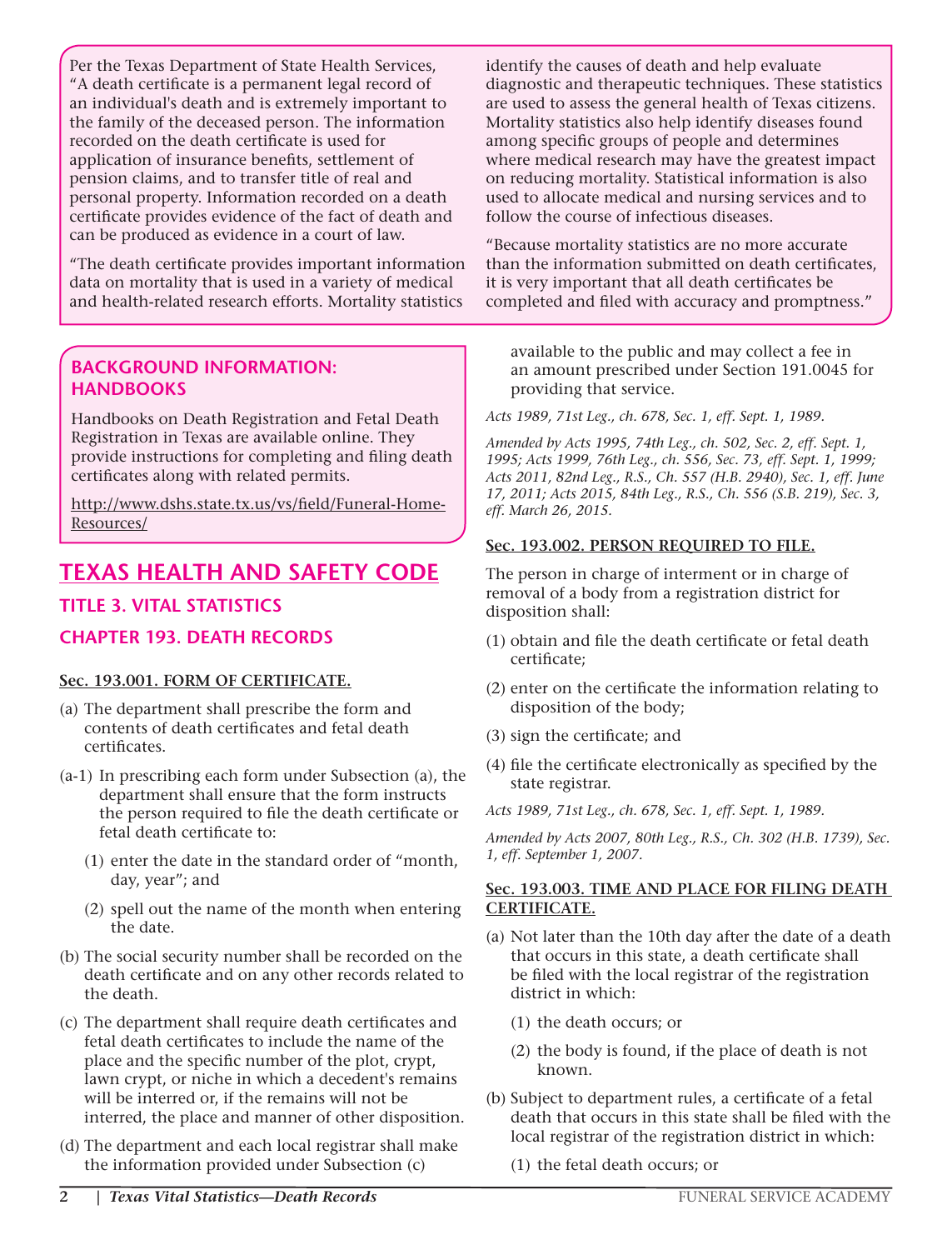Per the Texas Department of State Health Services, "A death certificate is a permanent legal record of an individual's death and is extremely important to the family of the deceased person. The information recorded on the death certificate is used for application of insurance benefits, settlement of pension claims, and to transfer title of real and personal property. Information recorded on a death certificate provides evidence of the fact of death and can be produced as evidence in a court of law.

"The death certificate provides important information data on mortality that is used in a variety of medical and health-related research efforts. Mortality statistics

#### **BACKGROUND INFORMATION: HANDBOOKS**

Handbooks on Death Registration and Fetal Death Registration in Texas are available online. They provide instructions for completing and filing death certificates along with related permits.

http://www.dshs.state.tx.us/vs/field/Funeral-Home-Resources/

# **TEXAS HEALTH AND SAFETY CODE**

#### **TITLE 3. VITAL STATISTICS**

#### **CHAPTER 193. DEATH RECORDS**

#### **Sec. 193.001. FORM OF CERTIFICATE.**

- (a) The department shall prescribe the form and contents of death certificates and fetal death certificates.
- (a-1) In prescribing each form under Subsection (a), the department shall ensure that the form instructs the person required to file the death certificate or fetal death certificate to:
	- (1) enter the date in the standard order of "month, day, year"; and
	- (2) spell out the name of the month when entering the date.
- (b) The social security number shall be recorded on the death certificate and on any other records related to the death.
- (c) The department shall require death certificates and fetal death certificates to include the name of the place and the specific number of the plot, crypt, lawn crypt, or niche in which a decedent's remains will be interred or, if the remains will not be interred, the place and manner of other disposition.
- (d) The department and each local registrar shall make the information provided under Subsection (c)

identify the causes of death and help evaluate diagnostic and therapeutic techniques. These statistics are used to assess the general health of Texas citizens. Mortality statistics also help identify diseases found among specific groups of people and determines where medical research may have the greatest impact on reducing mortality. Statistical information is also used to allocate medical and nursing services and to follow the course of infectious diseases.

"Because mortality statistics are no more accurate than the information submitted on death certificates, it is very important that all death certificates be completed and filed with accuracy and promptness."

available to the public and may collect a fee in an amount prescribed under Section 191.0045 for providing that service.

*Acts 1989, 71st Leg., ch. 678, Sec. 1, eff. Sept. 1, 1989.*

*Amended by Acts 1995, 74th Leg., ch. 502, Sec. 2, eff. Sept. 1, 1995; Acts 1999, 76th Leg., ch. 556, Sec. 73, eff. Sept. 1, 1999; Acts 2011, 82nd Leg., R.S., Ch. 557 (H.B. 2940), Sec. 1, eff. June 17, 2011; Acts 2015, 84th Leg., R.S., Ch. 556 (S.B. 219), Sec. 3, eff. March 26, 2015.*

#### **Sec. 193.002. PERSON REQUIRED TO FILE.**

The person in charge of interment or in charge of removal of a body from a registration district for disposition shall:

- (1) obtain and file the death certificate or fetal death certificate;
- (2) enter on the certificate the information relating to disposition of the body;
- (3) sign the certificate; and
- (4) file the certificate electronically as specified by the state registrar.

*Acts 1989, 71st Leg., ch. 678, Sec. 1, eff. Sept. 1, 1989.*

*Amended by Acts 2007, 80th Leg., R.S., Ch. 302 (H.B. 1739), Sec. 1, eff. September 1, 2007.*

#### **Sec. 193.003. TIME AND PLACE FOR FILING DEATH CERTIFICATE.**

- (a) Not later than the 10th day after the date of a death that occurs in this state, a death certificate shall be filed with the local registrar of the registration district in which:
	- (1) the death occurs; or
	- (2) the body is found, if the place of death is not known.
- (b) Subject to department rules, a certificate of a fetal death that occurs in this state shall be filed with the local registrar of the registration district in which:
	- (1) the fetal death occurs; or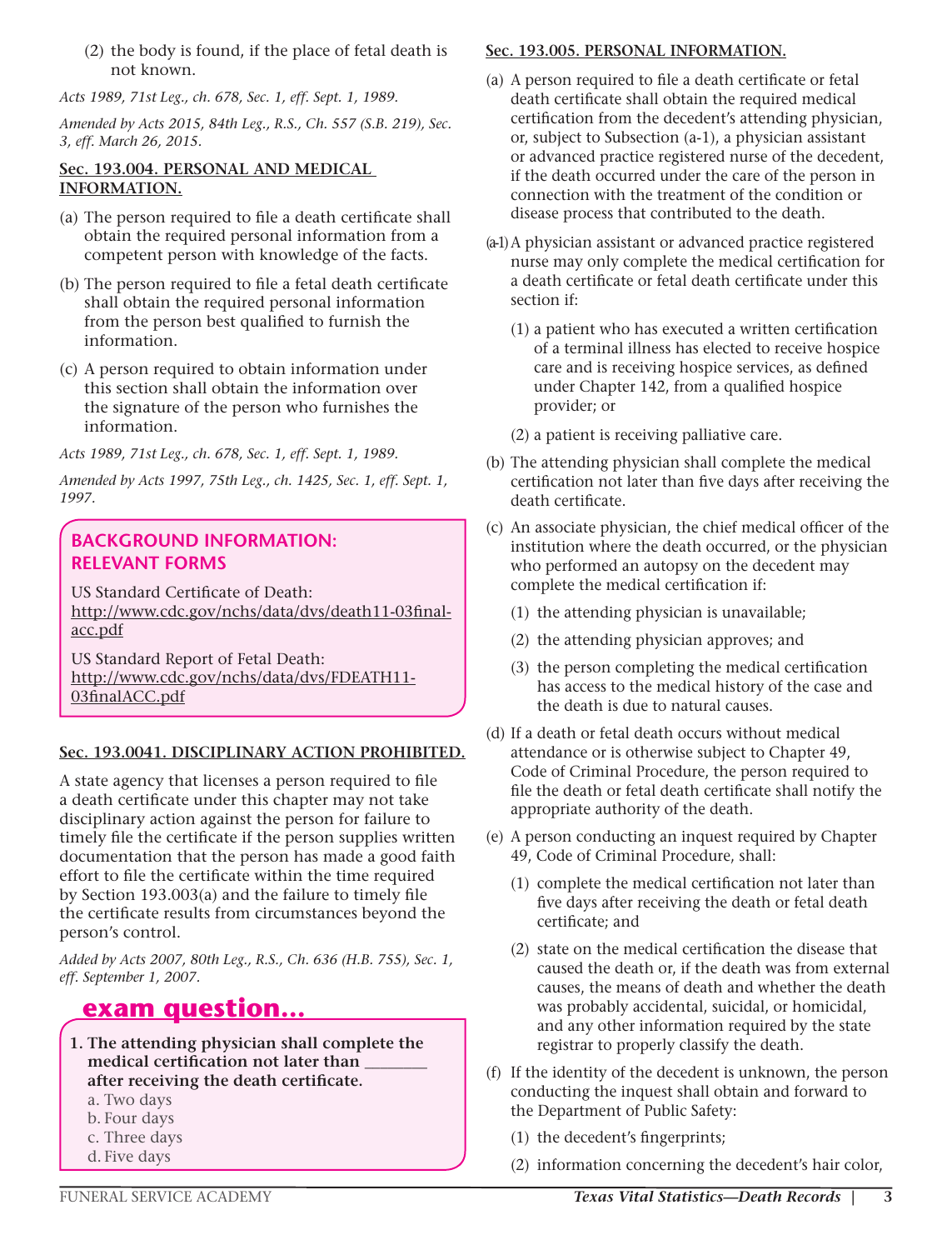(2) the body is found, if the place of fetal death is not known.

*Acts 1989, 71st Leg., ch. 678, Sec. 1, eff. Sept. 1, 1989.*

*Amended by Acts 2015, 84th Leg., R.S., Ch. 557 (S.B. 219), Sec. 3, eff. March 26, 2015.*

#### **Sec. 193.004. PERSONAL AND MEDICAL INFORMATION.**

- (a) The person required to file a death certificate shall obtain the required personal information from a competent person with knowledge of the facts.
- (b) The person required to file a fetal death certificate shall obtain the required personal information from the person best qualified to furnish the information.
- (c) A person required to obtain information under this section shall obtain the information over the signature of the person who furnishes the information.

*Acts 1989, 71st Leg., ch. 678, Sec. 1, eff. Sept. 1, 1989.*

*Amended by Acts 1997, 75th Leg., ch. 1425, Sec. 1, eff. Sept. 1, 1997.*

#### **BACKGROUND INFORMATION: RELEVANT FORMS**

US Standard Certificate of Death: http://www.cdc.gov/nchs/data/dvs/death11-03finalacc.pdf

US Standard Report of Fetal Death: http://www.cdc.gov/nchs/data/dvs/FDEATH11- 03finalACC.pdf

#### **Sec. 193.0041. DISCIPLINARY ACTION PROHIBITED.**

A state agency that licenses a person required to file a death certificate under this chapter may not take disciplinary action against the person for failure to timely file the certificate if the person supplies written documentation that the person has made a good faith effort to file the certificate within the time required by Section 193.003(a) and the failure to timely file the certificate results from circumstances beyond the person's control.

*Added by Acts 2007, 80th Leg., R.S., Ch. 636 (H.B. 755), Sec. 1, eff. September 1, 2007.*

# **exam question...**

- **1. The attending physician shall complete the medical certification not later than \_\_\_\_\_\_\_\_ after receiving the death certificate.**
	- a. Two days
	- b. Four days
	- c. Three days
	- d. Five days

#### **Sec. 193.005. PERSONAL INFORMATION.**

- (a) A person required to file a death certificate or fetal death certificate shall obtain the required medical certification from the decedent's attending physician, or, subject to Subsection (a-1), a physician assistant or advanced practice registered nurse of the decedent, if the death occurred under the care of the person in connection with the treatment of the condition or disease process that contributed to the death.
- (a-1) A physician assistant or advanced practice registered nurse may only complete the medical certification for a death certificate or fetal death certificate under this section if:
	- (1) a patient who has executed a written certification of a terminal illness has elected to receive hospice care and is receiving hospice services, as defined under Chapter 142, from a qualified hospice provider; or
	- (2) a patient is receiving palliative care.
- (b) The attending physician shall complete the medical certification not later than five days after receiving the death certificate.
- (c) An associate physician, the chief medical officer of the institution where the death occurred, or the physician who performed an autopsy on the decedent may complete the medical certification if:
	- (1) the attending physician is unavailable;
	- (2) the attending physician approves; and
	- (3) the person completing the medical certification has access to the medical history of the case and the death is due to natural causes.
- (d) If a death or fetal death occurs without medical attendance or is otherwise subject to Chapter 49, Code of Criminal Procedure, the person required to file the death or fetal death certificate shall notify the appropriate authority of the death.
- (e) A person conducting an inquest required by Chapter 49, Code of Criminal Procedure, shall:
	- (1) complete the medical certification not later than five days after receiving the death or fetal death certificate; and
	- (2) state on the medical certification the disease that caused the death or, if the death was from external causes, the means of death and whether the death was probably accidental, suicidal, or homicidal, and any other information required by the state registrar to properly classify the death.
- (f) If the identity of the decedent is unknown, the person conducting the inquest shall obtain and forward to the Department of Public Safety:
	- (1) the decedent's fingerprints;
	- (2) information concerning the decedent's hair color,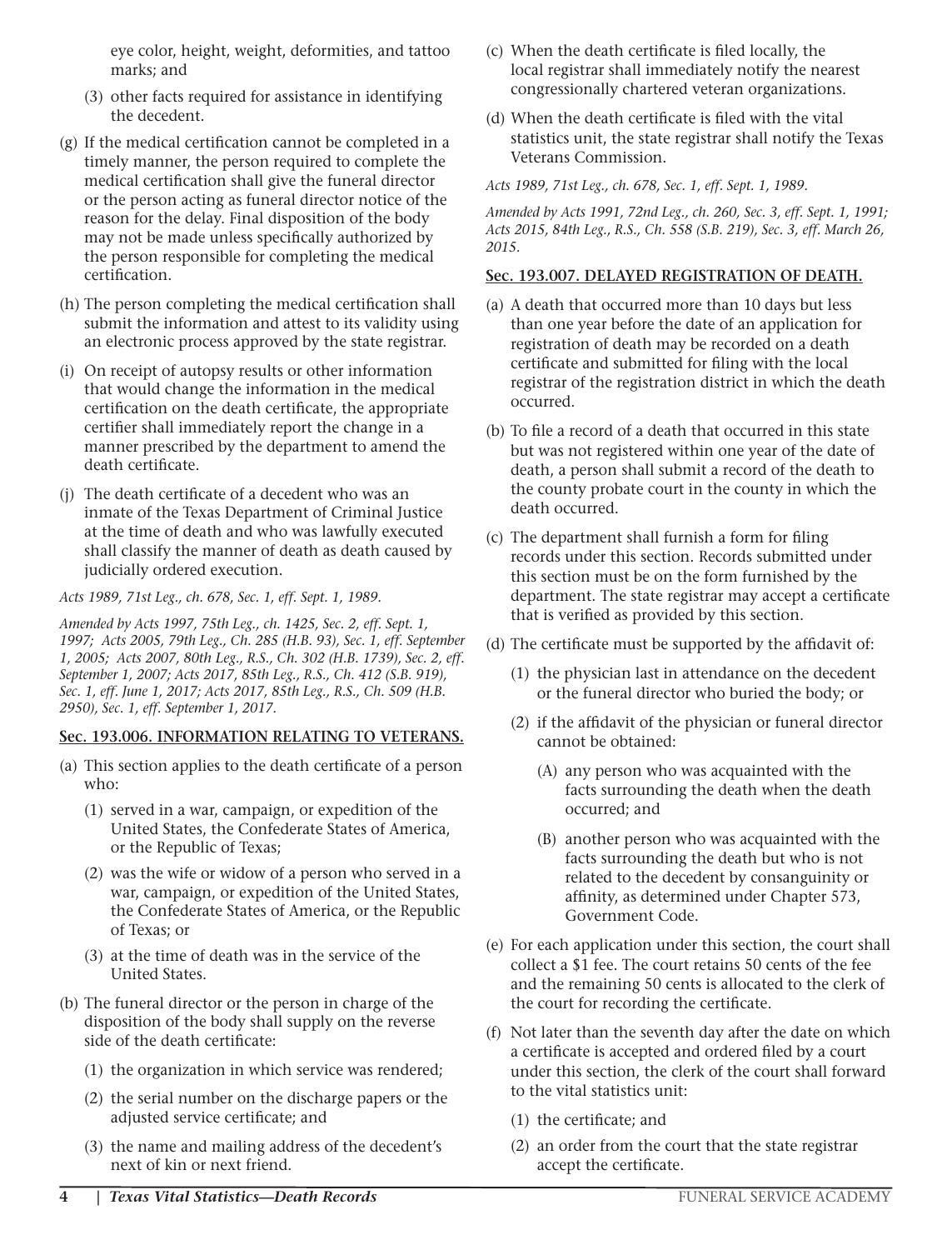eye color, height, weight, deformities, and tattoo marks; and

- (3) other facts required for assistance in identifying the decedent.
- (g) If the medical certification cannot be completed in a timely manner, the person required to complete the medical certification shall give the funeral director or the person acting as funeral director notice of the reason for the delay. Final disposition of the body may not be made unless specifically authorized by the person responsible for completing the medical certification.
- (h) The person completing the medical certification shall submit the information and attest to its validity using an electronic process approved by the state registrar.
- (i) On receipt of autopsy results or other information that would change the information in the medical certification on the death certificate, the appropriate certifier shall immediately report the change in a manner prescribed by the department to amend the death certificate.
- (j) The death certificate of a decedent who was an inmate of the Texas Department of Criminal Justice at the time of death and who was lawfully executed shall classify the manner of death as death caused by judicially ordered execution.

#### *Acts 1989, 71st Leg., ch. 678, Sec. 1, eff. Sept. 1, 1989.*

*Amended by Acts 1997, 75th Leg., ch. 1425, Sec. 2, eff. Sept. 1, 1997; Acts 2005, 79th Leg., Ch. 285 (H.B. 93), Sec. 1, eff. September 1, 2005; Acts 2007, 80th Leg., R.S., Ch. 302 (H.B. 1739), Sec. 2, eff. September 1, 2007; Acts 2017, 85th Leg., R.S., Ch. 412 (S.B. 919), Sec. 1, eff. June 1, 2017; Acts 2017, 85th Leg., R.S., Ch. 509 (H.B. 2950), Sec. 1, eff. September 1, 2017.*

#### **Sec. 193.006. INFORMATION RELATING TO VETERANS.**

- (a) This section applies to the death certificate of a person who:
	- (1) served in a war, campaign, or expedition of the United States, the Confederate States of America, or the Republic of Texas;
	- (2) was the wife or widow of a person who served in a war, campaign, or expedition of the United States, the Confederate States of America, or the Republic of Texas; or
	- (3) at the time of death was in the service of the United States.
- (b) The funeral director or the person in charge of the disposition of the body shall supply on the reverse side of the death certificate:
	- (1) the organization in which service was rendered;
	- (2) the serial number on the discharge papers or the adjusted service certificate; and
	- (3) the name and mailing address of the decedent's next of kin or next friend.
- (c) When the death certificate is filed locally, the local registrar shall immediately notify the nearest congressionally chartered veteran organizations.
- (d) When the death certificate is filed with the vital statistics unit, the state registrar shall notify the Texas Veterans Commission.

*Acts 1989, 71st Leg., ch. 678, Sec. 1, eff. Sept. 1, 1989.*

*Amended by Acts 1991, 72nd Leg., ch. 260, Sec. 3, eff. Sept. 1, 1991; Acts 2015, 84th Leg., R.S., Ch. 558 (S.B. 219), Sec. 3, eff. March 26, 2015.*

#### **Sec. 193.007. DELAYED REGISTRATION OF DEATH.**

- (a) A death that occurred more than 10 days but less than one year before the date of an application for registration of death may be recorded on a death certificate and submitted for filing with the local registrar of the registration district in which the death occurred.
- (b) To file a record of a death that occurred in this state but was not registered within one year of the date of death, a person shall submit a record of the death to the county probate court in the county in which the death occurred.
- (c) The department shall furnish a form for filing records under this section. Records submitted under this section must be on the form furnished by the department. The state registrar may accept a certificate that is verified as provided by this section.
- (d) The certificate must be supported by the affidavit of:
	- (1) the physician last in attendance on the decedent or the funeral director who buried the body; or
	- (2) if the affidavit of the physician or funeral director cannot be obtained:
		- (A) any person who was acquainted with the facts surrounding the death when the death occurred; and
		- (B) another person who was acquainted with the facts surrounding the death but who is not related to the decedent by consanguinity or affinity, as determined under Chapter 573, Government Code.
- (e) For each application under this section, the court shall collect a \$1 fee. The court retains 50 cents of the fee and the remaining 50 cents is allocated to the clerk of the court for recording the certificate.
- (f) Not later than the seventh day after the date on which a certificate is accepted and ordered filed by a court under this section, the clerk of the court shall forward to the vital statistics unit:
	- (1) the certificate; and
	- (2) an order from the court that the state registrar accept the certificate.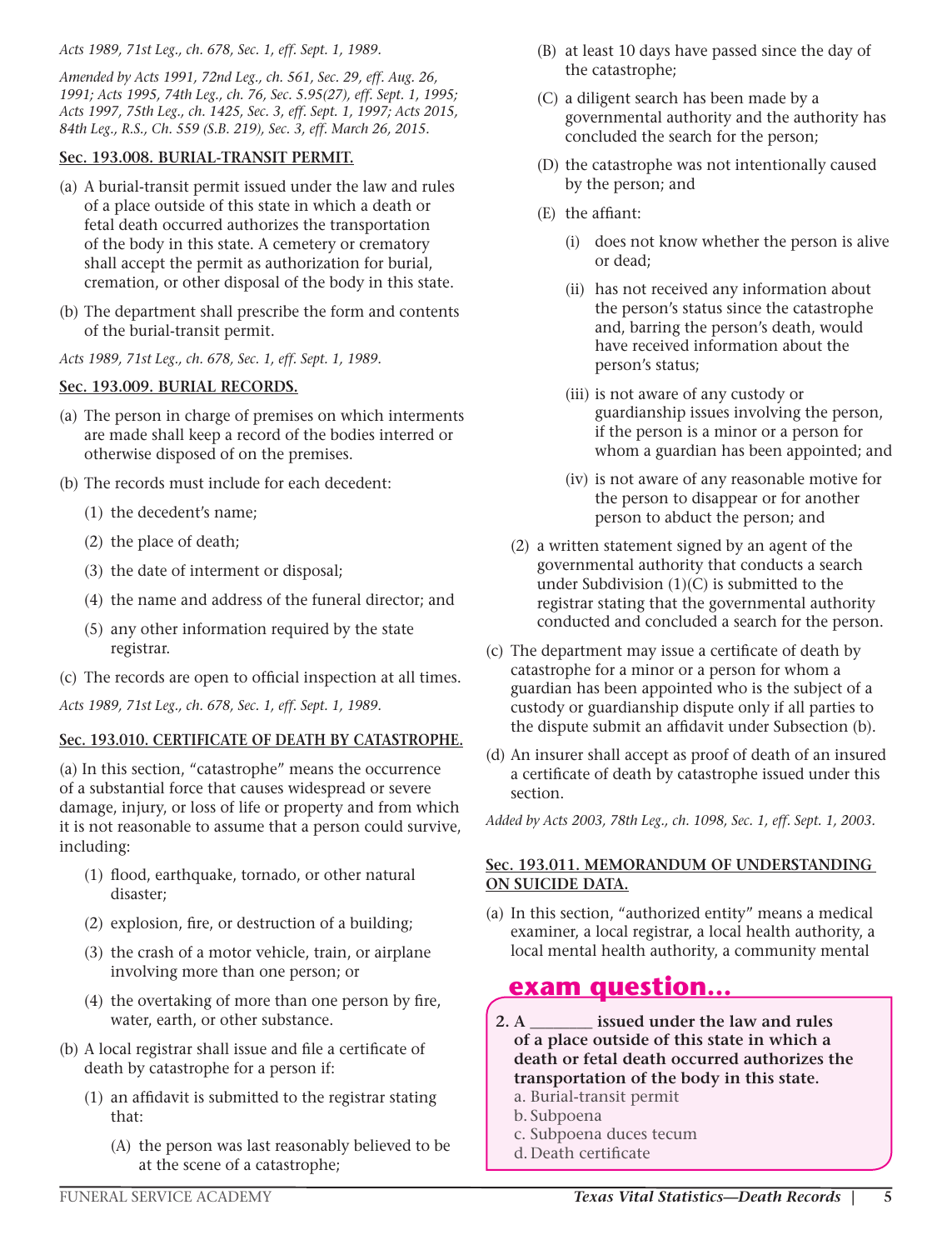*Acts 1989, 71st Leg., ch. 678, Sec. 1, eff. Sept. 1, 1989.*

*Amended by Acts 1991, 72nd Leg., ch. 561, Sec. 29, eff. Aug. 26, 1991; Acts 1995, 74th Leg., ch. 76, Sec. 5.95(27), eff. Sept. 1, 1995; Acts 1997, 75th Leg., ch. 1425, Sec. 3, eff. Sept. 1, 1997; Acts 2015, 84th Leg., R.S., Ch. 559 (S.B. 219), Sec. 3, eff. March 26, 2015.*

#### **Sec. 193.008. BURIAL-TRANSIT PERMIT.**

- (a) A burial-transit permit issued under the law and rules of a place outside of this state in which a death or fetal death occurred authorizes the transportation of the body in this state. A cemetery or crematory shall accept the permit as authorization for burial, cremation, or other disposal of the body in this state.
- (b) The department shall prescribe the form and contents of the burial-transit permit.

*Acts 1989, 71st Leg., ch. 678, Sec. 1, eff. Sept. 1, 1989.*

#### **Sec. 193.009. BURIAL RECORDS.**

- (a) The person in charge of premises on which interments are made shall keep a record of the bodies interred or otherwise disposed of on the premises.
- (b) The records must include for each decedent:
	- (1) the decedent's name;
	- (2) the place of death;
	- (3) the date of interment or disposal;
	- (4) the name and address of the funeral director; and
	- (5) any other information required by the state registrar.
- (c) The records are open to official inspection at all times.

*Acts 1989, 71st Leg., ch. 678, Sec. 1, eff. Sept. 1, 1989.*

#### **Sec. 193.010. CERTIFICATE OF DEATH BY CATASTROPHE.**

(a) In this section, "catastrophe" means the occurrence of a substantial force that causes widespread or severe damage, injury, or loss of life or property and from which it is not reasonable to assume that a person could survive, including:

- (1) flood, earthquake, tornado, or other natural disaster;
- (2) explosion, fire, or destruction of a building;
- (3) the crash of a motor vehicle, train, or airplane involving more than one person; or
- (4) the overtaking of more than one person by fire, water, earth, or other substance.
- (b) A local registrar shall issue and file a certificate of death by catastrophe for a person if:
	- (1) an affidavit is submitted to the registrar stating that:
		- (A) the person was last reasonably believed to be at the scene of a catastrophe;
- (B) at least 10 days have passed since the day of the catastrophe;
- (C) a diligent search has been made by a governmental authority and the authority has concluded the search for the person;
- (D) the catastrophe was not intentionally caused by the person; and
- (E) the affiant:
	- (i) does not know whether the person is alive or dead;
	- (ii) has not received any information about the person's status since the catastrophe and, barring the person's death, would have received information about the person's status;
	- (iii) is not aware of any custody or guardianship issues involving the person, if the person is a minor or a person for whom a guardian has been appointed; and
	- (iv) is not aware of any reasonable motive for the person to disappear or for another person to abduct the person; and
- (2) a written statement signed by an agent of the governmental authority that conducts a search under Subdivision (1)(C) is submitted to the registrar stating that the governmental authority conducted and concluded a search for the person.
- (c) The department may issue a certificate of death by catastrophe for a minor or a person for whom a guardian has been appointed who is the subject of a custody or guardianship dispute only if all parties to the dispute submit an affidavit under Subsection (b).
- (d) An insurer shall accept as proof of death of an insured a certificate of death by catastrophe issued under this section.

*Added by Acts 2003, 78th Leg., ch. 1098, Sec. 1, eff. Sept. 1, 2003.*

#### **Sec. 193.011. MEMORANDUM OF UNDERSTANDING ON SUICIDE DATA.**

(a) In this section, "authorized entity" means a medical examiner, a local registrar, a local health authority, a local mental health authority, a community mental

### **exam question...**

- **2. A \_\_\_\_\_\_\_\_ issued under the law and rules of a place outside of this state in which a death or fetal death occurred authorizes the transportation of the body in this state.**
	- a. Burial-transit permit
	- b. Subpoena
	- c. Subpoena duces tecum
	- d. Death certificate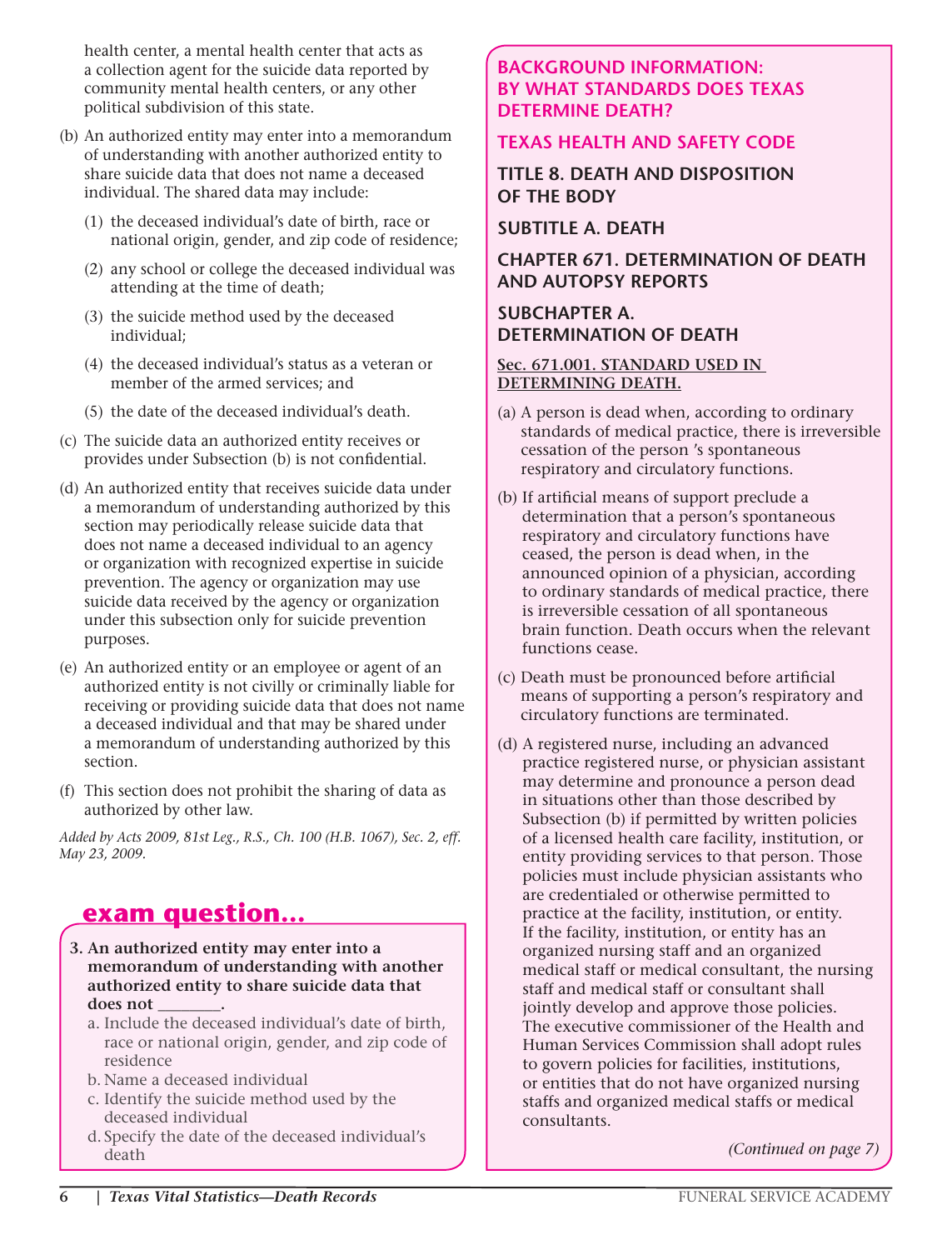health center, a mental health center that acts as a collection agent for the suicide data reported by community mental health centers, or any other political subdivision of this state.

- (b) An authorized entity may enter into a memorandum of understanding with another authorized entity to share suicide data that does not name a deceased individual. The shared data may include:
	- (1) the deceased individual's date of birth, race or national origin, gender, and zip code of residence;
	- (2) any school or college the deceased individual was attending at the time of death;
	- (3) the suicide method used by the deceased individual;
	- (4) the deceased individual's status as a veteran or member of the armed services; and
	- (5) the date of the deceased individual's death.
- (c) The suicide data an authorized entity receives or provides under Subsection (b) is not confidential.
- (d) An authorized entity that receives suicide data under a memorandum of understanding authorized by this section may periodically release suicide data that does not name a deceased individual to an agency or organization with recognized expertise in suicide prevention. The agency or organization may use suicide data received by the agency or organization under this subsection only for suicide prevention purposes.
- (e) An authorized entity or an employee or agent of an authorized entity is not civilly or criminally liable for receiving or providing suicide data that does not name a deceased individual and that may be shared under a memorandum of understanding authorized by this section.
- (f) This section does not prohibit the sharing of data as authorized by other law.

*Added by Acts 2009, 81st Leg., R.S., Ch. 100 (H.B. 1067), Sec. 2, eff. May 23, 2009.*

# **exam question...**

- **3. An authorized entity may enter into a memorandum of understanding with another authorized entity to share suicide data that does not \_\_\_\_\_\_\_\_.**
	- a. Include the deceased individual's date of birth, race or national origin, gender, and zip code of residence
	- b. Name a deceased individual
	- c. Identify the suicide method used by the deceased individual
	- d. Specify the date of the deceased individual's death

#### **BACKGROUND INFORMATION: BY WHAT STANDARDS DOES TEXAS DETERMINE DEATH?**

#### **TEXAS HEALTH AND SAFETY CODE**

#### **TITLE 8. DEATH AND DISPOSITION OF THE BODY**

#### **SUBTITLE A. DEATH**

#### **CHAPTER 671. DETERMINATION OF DEATH AND AUTOPSY REPORTS**

#### **SUBCHAPTER A. DETERMINATION OF DEATH**

#### **Sec. 671.001. STANDARD USED IN DETERMINING DEATH.**

- (a) A person is dead when, according to ordinary standards of medical practice, there is irreversible cessation of the person 's spontaneous respiratory and circulatory functions.
- (b) If artificial means of support preclude a determination that a person's spontaneous respiratory and circulatory functions have ceased, the person is dead when, in the announced opinion of a physician, according to ordinary standards of medical practice, there is irreversible cessation of all spontaneous brain function. Death occurs when the relevant functions cease.
- (c) Death must be pronounced before artificial means of supporting a person's respiratory and circulatory functions are terminated.
- (d) A registered nurse, including an advanced practice registered nurse, or physician assistant may determine and pronounce a person dead in situations other than those described by Subsection (b) if permitted by written policies of a licensed health care facility, institution, or entity providing services to that person. Those policies must include physician assistants who are credentialed or otherwise permitted to practice at the facility, institution, or entity. If the facility, institution, or entity has an organized nursing staff and an organized medical staff or medical consultant, the nursing staff and medical staff or consultant shall jointly develop and approve those policies. The executive commissioner of the Health and Human Services Commission shall adopt rules to govern policies for facilities, institutions, or entities that do not have organized nursing staffs and organized medical staffs or medical consultants.

*(Continued on page 7)*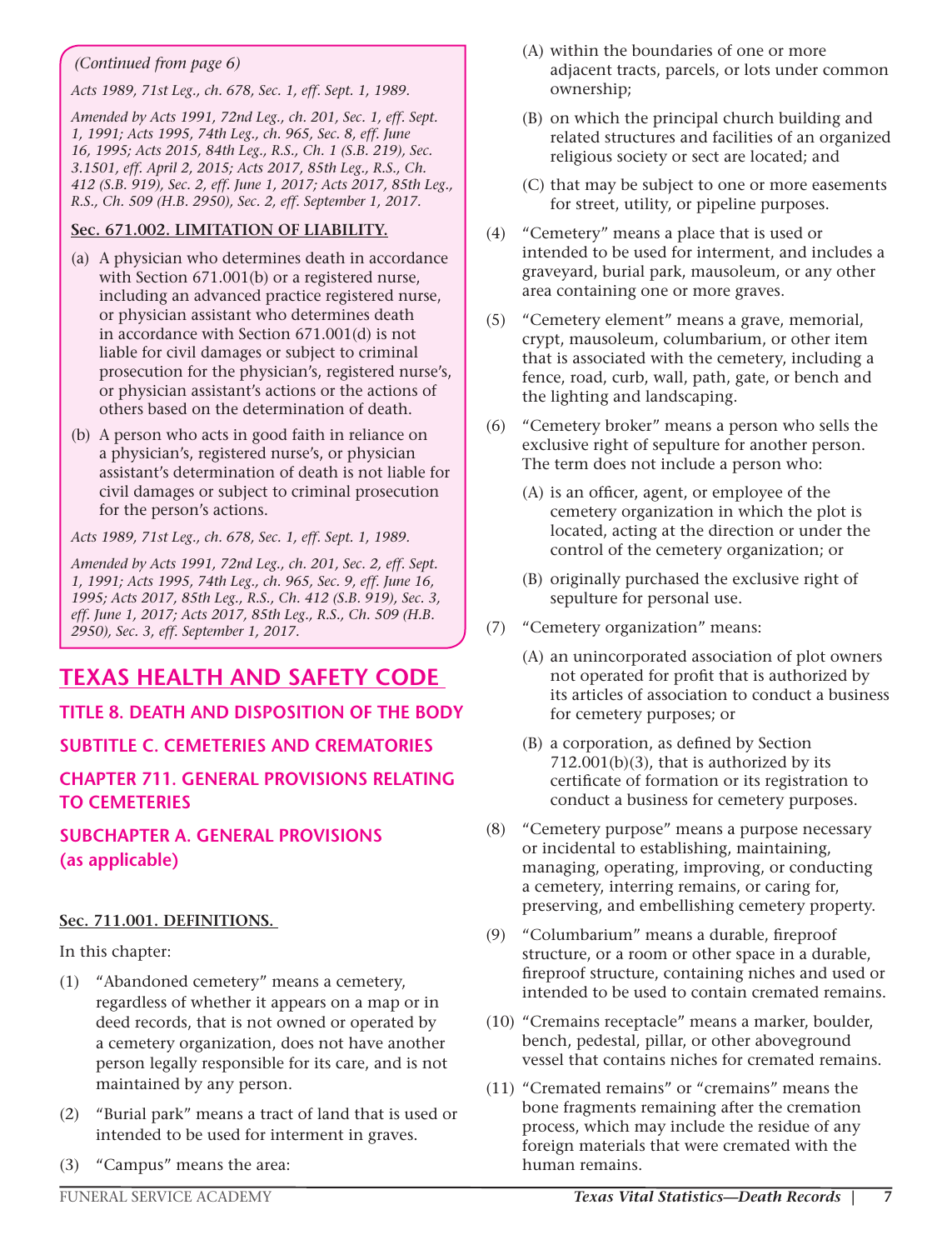#### *(Continued from page 6)*

*Acts 1989, 71st Leg., ch. 678, Sec. 1, eff. Sept. 1, 1989.*

*Amended by Acts 1991, 72nd Leg., ch. 201, Sec. 1, eff. Sept. 1, 1991; Acts 1995, 74th Leg., ch. 965, Sec. 8, eff. June 16, 1995; Acts 2015, 84th Leg., R.S., Ch. 1 (S.B. 219), Sec. 3.1501, eff. April 2, 2015; Acts 2017, 85th Leg., R.S., Ch. 412 (S.B. 919), Sec. 2, eff. June 1, 2017; Acts 2017, 85th Leg., R.S., Ch. 509 (H.B. 2950), Sec. 2, eff. September 1, 2017.*

#### **Sec. 671.002. LIMITATION OF LIABILITY.**

- (a) A physician who determines death in accordance with Section 671.001(b) or a registered nurse, including an advanced practice registered nurse, or physician assistant who determines death in accordance with Section 671.001(d) is not liable for civil damages or subject to criminal prosecution for the physician's, registered nurse's, or physician assistant's actions or the actions of others based on the determination of death.
- (b) A person who acts in good faith in reliance on a physician's, registered nurse's, or physician assistant's determination of death is not liable for civil damages or subject to criminal prosecution for the person's actions.

*Acts 1989, 71st Leg., ch. 678, Sec. 1, eff. Sept. 1, 1989.*

*Amended by Acts 1991, 72nd Leg., ch. 201, Sec. 2, eff. Sept. 1, 1991; Acts 1995, 74th Leg., ch. 965, Sec. 9, eff. June 16, 1995; Acts 2017, 85th Leg., R.S., Ch. 412 (S.B. 919), Sec. 3, eff. June 1, 2017; Acts 2017, 85th Leg., R.S., Ch. 509 (H.B. 2950), Sec. 3, eff. September 1, 2017.*

# **TEXAS HEALTH AND SAFETY CODE**

#### **TITLE 8. DEATH AND DISPOSITION OF THE BODY**

#### **SUBTITLE C. CEMETERIES AND CREMATORIES**

#### **CHAPTER 711. GENERAL PROVISIONS RELATING TO CEMETERIES**

#### **SUBCHAPTER A. GENERAL PROVISIONS (as applicable)**

#### **Sec. 711.001. DEFINITIONS.**

#### In this chapter:

- (1) "Abandoned cemetery" means a cemetery, regardless of whether it appears on a map or in deed records, that is not owned or operated by a cemetery organization, does not have another person legally responsible for its care, and is not maintained by any person.
- (2) "Burial park" means a tract of land that is used or intended to be used for interment in graves.
- (3) "Campus" means the area:
- (A) within the boundaries of one or more adjacent tracts, parcels, or lots under common ownership;
- (B) on which the principal church building and related structures and facilities of an organized religious society or sect are located; and
- (C) that may be subject to one or more easements for street, utility, or pipeline purposes.
- (4) "Cemetery" means a place that is used or intended to be used for interment, and includes a graveyard, burial park, mausoleum, or any other area containing one or more graves.
- (5) "Cemetery element" means a grave, memorial, crypt, mausoleum, columbarium, or other item that is associated with the cemetery, including a fence, road, curb, wall, path, gate, or bench and the lighting and landscaping.
- (6) "Cemetery broker" means a person who sells the exclusive right of sepulture for another person. The term does not include a person who:
	- (A) is an officer, agent, or employee of the cemetery organization in which the plot is located, acting at the direction or under the control of the cemetery organization; or
	- (B) originally purchased the exclusive right of sepulture for personal use.
- (7) "Cemetery organization" means:
	- (A) an unincorporated association of plot owners not operated for profit that is authorized by its articles of association to conduct a business for cemetery purposes; or
	- (B) a corporation, as defined by Section 712.001(b)(3), that is authorized by its certificate of formation or its registration to conduct a business for cemetery purposes.
- (8) "Cemetery purpose" means a purpose necessary or incidental to establishing, maintaining, managing, operating, improving, or conducting a cemetery, interring remains, or caring for, preserving, and embellishing cemetery property.
- (9) "Columbarium" means a durable, fireproof structure, or a room or other space in a durable, fireproof structure, containing niches and used or intended to be used to contain cremated remains.
- (10) "Cremains receptacle" means a marker, boulder, bench, pedestal, pillar, or other aboveground vessel that contains niches for cremated remains.
- (11) "Cremated remains" or "cremains" means the bone fragments remaining after the cremation process, which may include the residue of any foreign materials that were cremated with the human remains.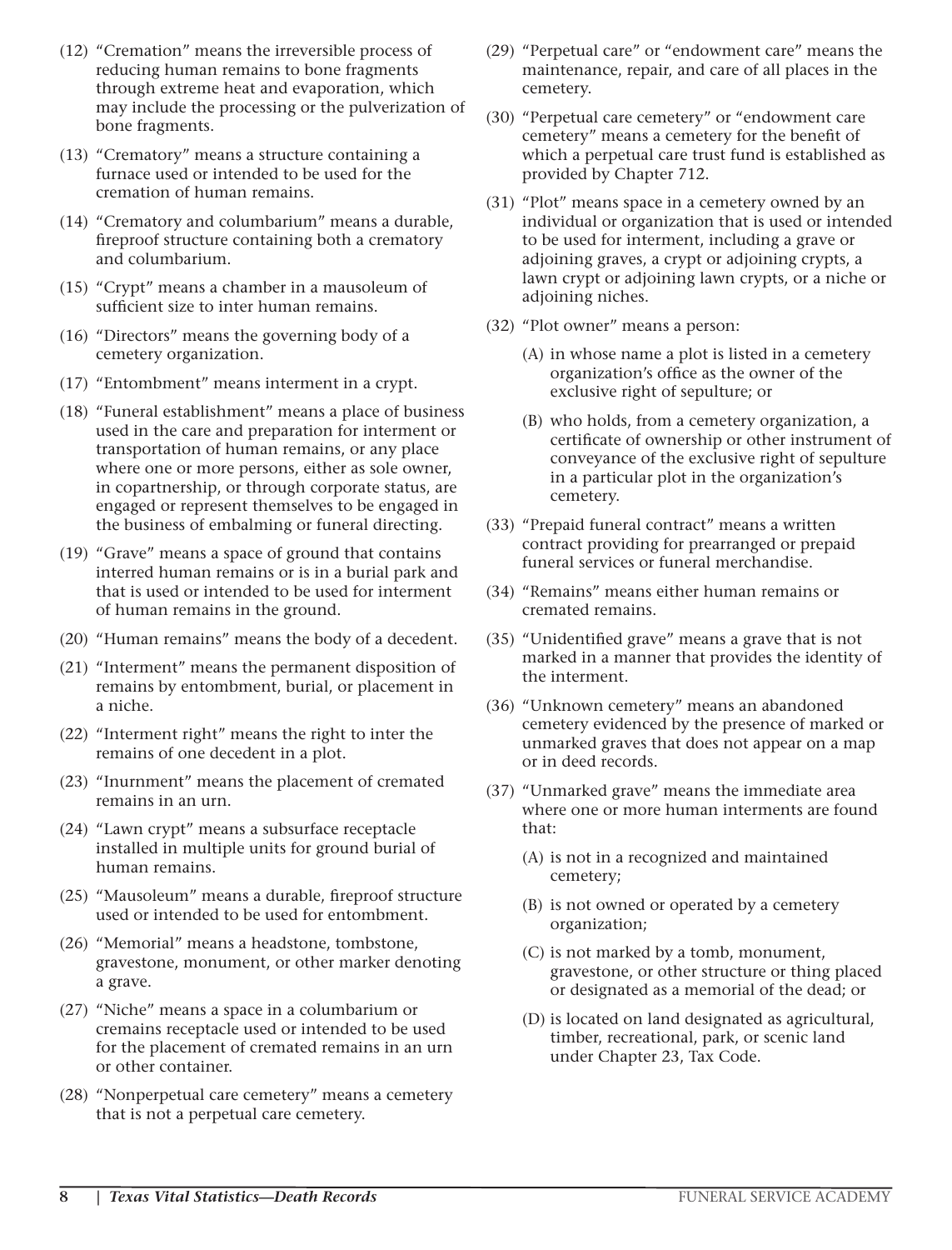- (12) "Cremation" means the irreversible process of reducing human remains to bone fragments through extreme heat and evaporation, which may include the processing or the pulverization of bone fragments.
- (13) "Crematory" means a structure containing a furnace used or intended to be used for the cremation of human remains.
- (14) "Crematory and columbarium" means a durable, fireproof structure containing both a crematory and columbarium.
- (15) "Crypt" means a chamber in a mausoleum of sufficient size to inter human remains.
- (16) "Directors" means the governing body of a cemetery organization.
- (17) "Entombment" means interment in a crypt.
- (18) "Funeral establishment" means a place of business used in the care and preparation for interment or transportation of human remains, or any place where one or more persons, either as sole owner, in copartnership, or through corporate status, are engaged or represent themselves to be engaged in the business of embalming or funeral directing.
- (19) "Grave" means a space of ground that contains interred human remains or is in a burial park and that is used or intended to be used for interment of human remains in the ground.
- (20) "Human remains" means the body of a decedent.
- (21) "Interment" means the permanent disposition of remains by entombment, burial, or placement in a niche.
- (22) "Interment right" means the right to inter the remains of one decedent in a plot.
- (23) "Inurnment" means the placement of cremated remains in an urn.
- (24) "Lawn crypt" means a subsurface receptacle installed in multiple units for ground burial of human remains.
- (25) "Mausoleum" means a durable, fireproof structure used or intended to be used for entombment.
- (26) "Memorial" means a headstone, tombstone, gravestone, monument, or other marker denoting a grave.
- (27) "Niche" means a space in a columbarium or cremains receptacle used or intended to be used for the placement of cremated remains in an urn or other container.
- (28) "Nonperpetual care cemetery" means a cemetery that is not a perpetual care cemetery.
- (29) "Perpetual care" or "endowment care" means the maintenance, repair, and care of all places in the cemetery.
- (30) "Perpetual care cemetery" or "endowment care cemetery" means a cemetery for the benefit of which a perpetual care trust fund is established as provided by Chapter 712.
- (31) "Plot" means space in a cemetery owned by an individual or organization that is used or intended to be used for interment, including a grave or adjoining graves, a crypt or adjoining crypts, a lawn crypt or adjoining lawn crypts, or a niche or adjoining niches.
- (32) "Plot owner" means a person:
	- (A) in whose name a plot is listed in a cemetery organization's office as the owner of the exclusive right of sepulture; or
	- (B) who holds, from a cemetery organization, a certificate of ownership or other instrument of conveyance of the exclusive right of sepulture in a particular plot in the organization's cemetery.
- (33) "Prepaid funeral contract" means a written contract providing for prearranged or prepaid funeral services or funeral merchandise.
- (34) "Remains" means either human remains or cremated remains.
- (35) "Unidentified grave" means a grave that is not marked in a manner that provides the identity of the interment.
- (36) "Unknown cemetery" means an abandoned cemetery evidenced by the presence of marked or unmarked graves that does not appear on a map or in deed records.
- (37) "Unmarked grave" means the immediate area where one or more human interments are found that:
	- (A) is not in a recognized and maintained cemetery;
	- (B) is not owned or operated by a cemetery organization;
	- (C) is not marked by a tomb, monument, gravestone, or other structure or thing placed or designated as a memorial of the dead; or
	- (D) is located on land designated as agricultural, timber, recreational, park, or scenic land under Chapter 23, Tax Code.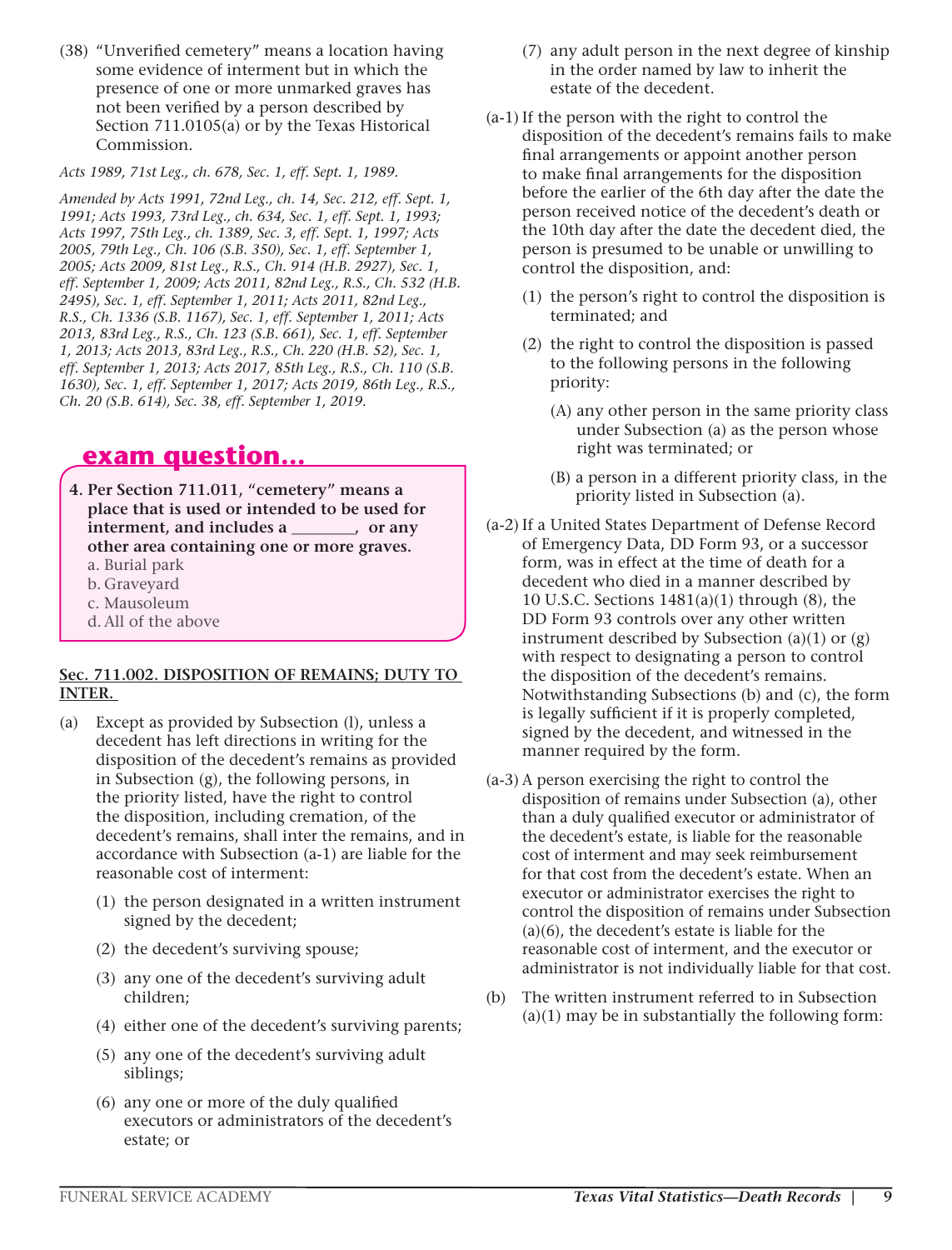(38) "Unverified cemetery" means a location having some evidence of interment but in which the presence of one or more unmarked graves has not been verified by a person described by Section 711.0105(a) or by the Texas Historical Commission.

#### *Acts 1989, 71st Leg., ch. 678, Sec. 1, eff. Sept. 1, 1989.*

*Amended by Acts 1991, 72nd Leg., ch. 14, Sec. 212, eff. Sept. 1, 1991; Acts 1993, 73rd Leg., ch. 634, Sec. 1, eff. Sept. 1, 1993; Acts 1997, 75th Leg., ch. 1389, Sec. 3, eff. Sept. 1, 1997; Acts 2005, 79th Leg., Ch. 106 (S.B. 350), Sec. 1, eff. September 1, 2005; Acts 2009, 81st Leg., R.S., Ch. 914 (H.B. 2927), Sec. 1, eff. September 1, 2009; Acts 2011, 82nd Leg., R.S., Ch. 532 (H.B. 2495), Sec. 1, eff. September 1, 2011; Acts 2011, 82nd Leg., R.S., Ch. 1336 (S.B. 1167), Sec. 1, eff. September 1, 2011; Acts 2013, 83rd Leg., R.S., Ch. 123 (S.B. 661), Sec. 1, eff. September 1, 2013; Acts 2013, 83rd Leg., R.S., Ch. 220 (H.B. 52), Sec. 1, eff. September 1, 2013; Acts 2017, 85th Leg., R.S., Ch. 110 (S.B. 1630), Sec. 1, eff. September 1, 2017; Acts 2019, 86th Leg., R.S., Ch. 20 (S.B. 614), Sec. 38, eff. September 1, 2019.* 

# **exam question...**

**4. Per Section 711.011, "cemetery" means a place that is used or intended to be used for interment, and includes a \_\_\_\_\_\_\_\_, or any other area containing one or more graves.** a. Burial park

- 
- b. Graveyard
- c. Mausoleum
- d.All of the above

#### **Sec. 711.002. DISPOSITION OF REMAINS; DUTY TO INTER.**

- (a) Except as provided by Subsection (l), unless a decedent has left directions in writing for the disposition of the decedent's remains as provided in Subsection (g), the following persons, in the priority listed, have the right to control the disposition, including cremation, of the decedent's remains, shall inter the remains, and in accordance with Subsection (a-1) are liable for the reasonable cost of interment:
	- (1) the person designated in a written instrument signed by the decedent;
	- (2) the decedent's surviving spouse;
	- (3) any one of the decedent's surviving adult children;
	- (4) either one of the decedent's surviving parents;
	- (5) any one of the decedent's surviving adult siblings;
	- (6) any one or more of the duly qualified executors or administrators of the decedent's estate; or
- (7) any adult person in the next degree of kinship in the order named by law to inherit the estate of the decedent.
- (a-1) If the person with the right to control the disposition of the decedent's remains fails to make final arrangements or appoint another person to make final arrangements for the disposition before the earlier of the 6th day after the date the person received notice of the decedent's death or the 10th day after the date the decedent died, the person is presumed to be unable or unwilling to control the disposition, and:
	- (1) the person's right to control the disposition is terminated; and
	- (2) the right to control the disposition is passed to the following persons in the following priority:
		- (A) any other person in the same priority class under Subsection (a) as the person whose right was terminated; or
		- (B) a person in a different priority class, in the priority listed in Subsection (a).
- (a-2) If a United States Department of Defense Record of Emergency Data, DD Form 93, or a successor form, was in effect at the time of death for a decedent who died in a manner described by 10 U.S.C. Sections 1481(a)(1) through (8), the DD Form 93 controls over any other written instrument described by Subsection  $(a)(1)$  or  $(g)$ with respect to designating a person to control the disposition of the decedent's remains. Notwithstanding Subsections (b) and (c), the form is legally sufficient if it is properly completed, signed by the decedent, and witnessed in the manner required by the form.
- (a-3) A person exercising the right to control the disposition of remains under Subsection (a), other than a duly qualified executor or administrator of the decedent's estate, is liable for the reasonable cost of interment and may seek reimbursement for that cost from the decedent's estate. When an executor or administrator exercises the right to control the disposition of remains under Subsection (a)(6), the decedent's estate is liable for the reasonable cost of interment, and the executor or administrator is not individually liable for that cost.
- (b) The written instrument referred to in Subsection  $(a)(1)$  may be in substantially the following form: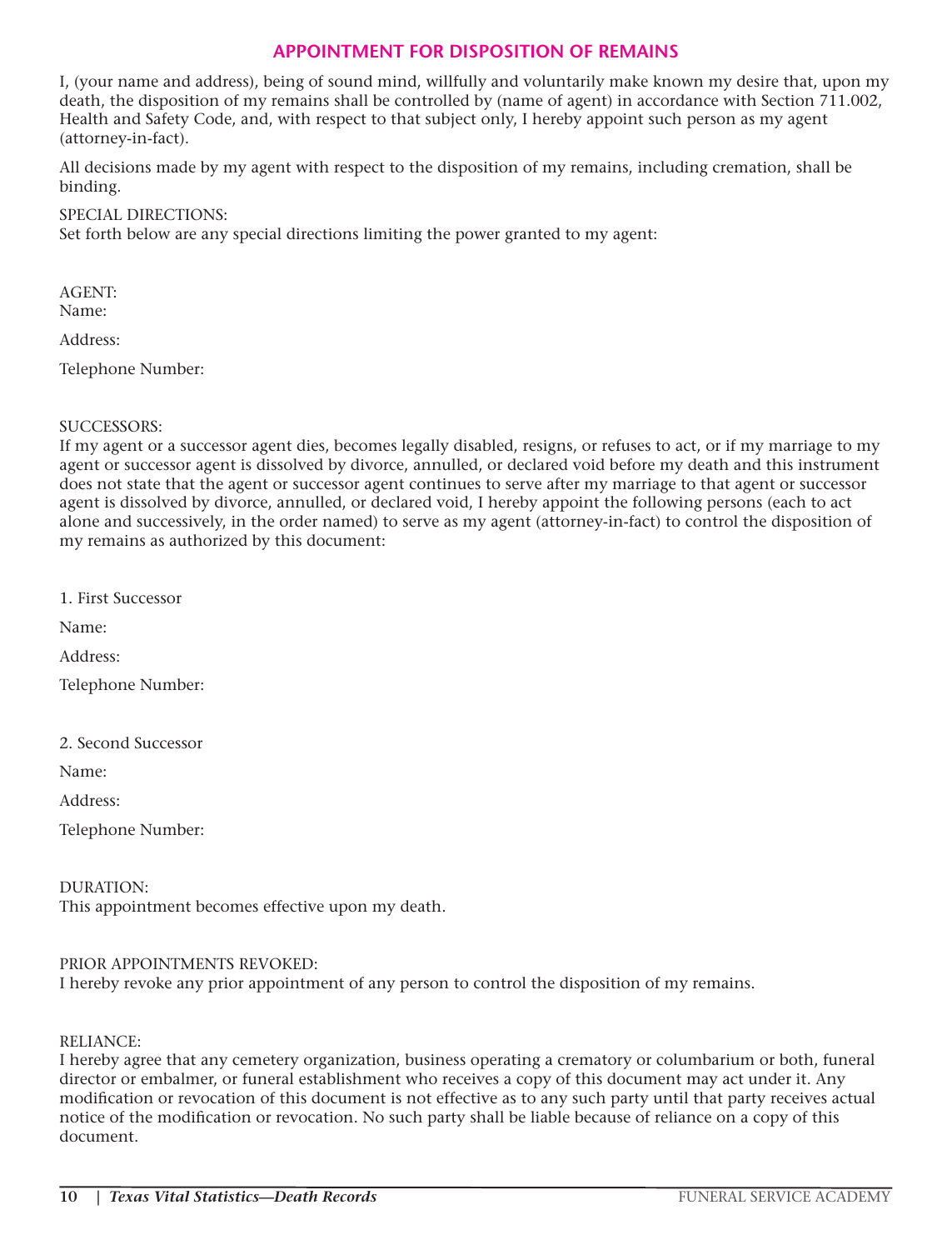#### **APPOINTMENT FOR DISPOSITION OF REMAINS**

I, (your name and address), being of sound mind, willfully and voluntarily make known my desire that, upon my death, the disposition of my remains shall be controlled by (name of agent) in accordance with Section 711.002, Health and Safety Code, and, with respect to that subject only, I hereby appoint such person as my agent (attorney-in-fact).

All decisions made by my agent with respect to the disposition of my remains, including cremation, shall be binding.

SPECIAL DIRECTIONS:

Set forth below are any special directions limiting the power granted to my agent:

AGENT: Name:

Address:

Telephone Number:

#### SUCCESSORS:

If my agent or a successor agent dies, becomes legally disabled, resigns, or refuses to act, or if my marriage to my agent or successor agent is dissolved by divorce, annulled, or declared void before my death and this instrument does not state that the agent or successor agent continues to serve after my marriage to that agent or successor agent is dissolved by divorce, annulled, or declared void, I hereby appoint the following persons (each to act alone and successively, in the order named) to serve as my agent (attorney-in-fact) to control the disposition of my remains as authorized by this document:

1. First Successor

Name:

Address:

Telephone Number:

2. Second Successor

Name:

Address:

Telephone Number:

DURATION:

This appointment becomes effective upon my death.

#### PRIOR APPOINTMENTS REVOKED:

I hereby revoke any prior appointment of any person to control the disposition of my remains.

#### RELIANCE:

I hereby agree that any cemetery organization, business operating a crematory or columbarium or both, funeral director or embalmer, or funeral establishment who receives a copy of this document may act under it. Any modification or revocation of this document is not effective as to any such party until that party receives actual notice of the modification or revocation. No such party shall be liable because of reliance on a copy of this document.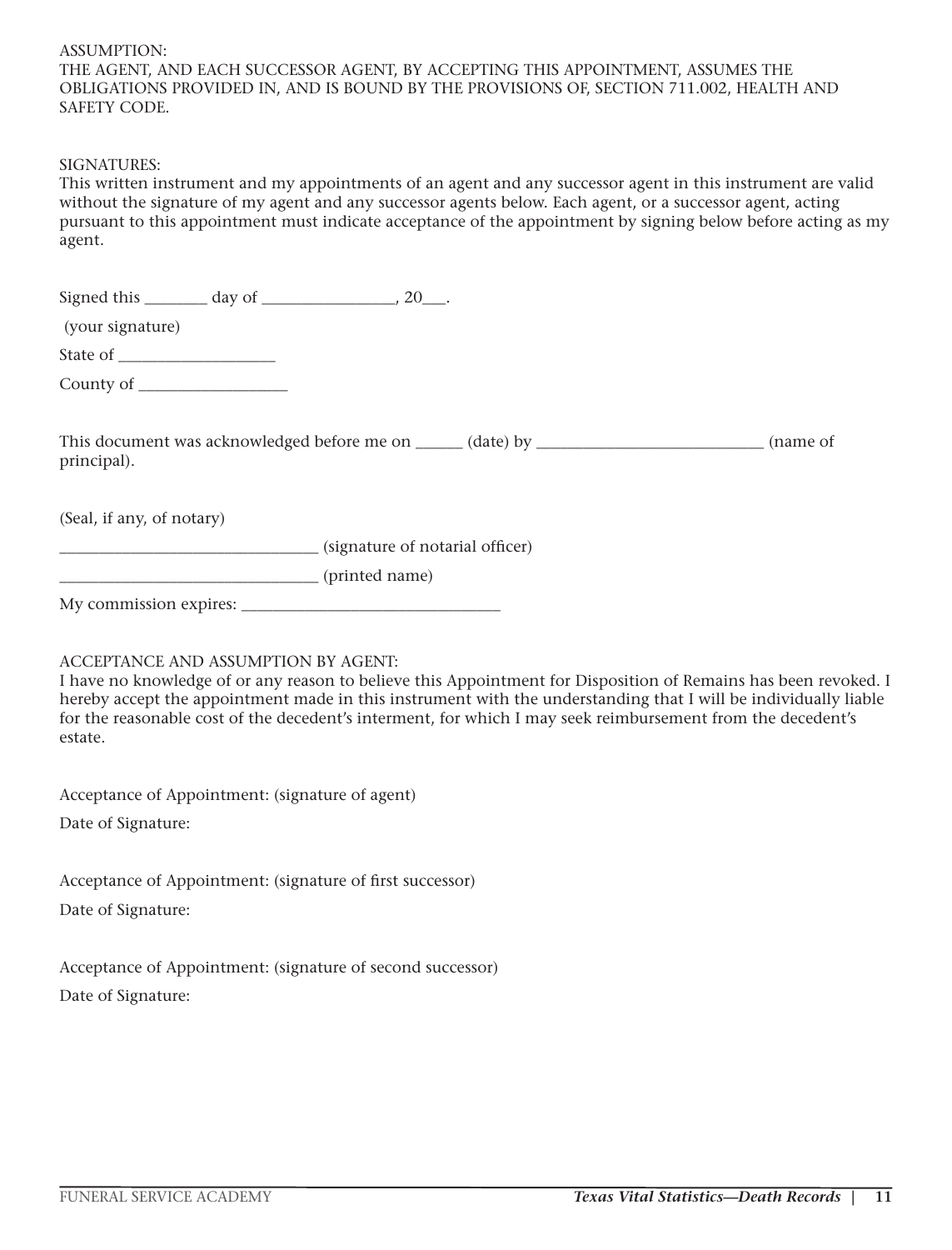#### ASSUMPTION: THE AGENT, AND EACH SUCCESSOR AGENT, BY ACCEPTING THIS APPOINTMENT, ASSUMES THE OBLIGATIONS PROVIDED IN, AND IS BOUND BY THE PROVISIONS OF, SECTION 711.002, HEALTH AND SAFETY CODE.

#### SIGNATURES:

This written instrument and my appointments of an agent and any successor agent in this instrument are valid without the signature of my agent and any successor agents below. Each agent, or a successor agent, acting pursuant to this appointment must indicate acceptance of the appointment by signing below before acting as my agent.

| (your signature)                                                                                 |                                 |  |          |
|--------------------------------------------------------------------------------------------------|---------------------------------|--|----------|
|                                                                                                  |                                 |  |          |
|                                                                                                  |                                 |  |          |
| This document was acknowledged before me on ______ (date) by ____________________<br>principal). |                                 |  | (name of |
| (Seal, if any, of notary)                                                                        |                                 |  |          |
|                                                                                                  | (signature of notarial officer) |  |          |
|                                                                                                  | (printed name)                  |  |          |

My commission expires: \_\_\_\_\_\_\_\_\_\_\_\_\_\_\_\_\_\_\_\_\_\_\_\_\_\_\_\_\_\_\_\_\_

#### ACCEPTANCE AND ASSUMPTION BY AGENT:

I have no knowledge of or any reason to believe this Appointment for Disposition of Remains has been revoked. I hereby accept the appointment made in this instrument with the understanding that I will be individually liable for the reasonable cost of the decedent's interment, for which I may seek reimbursement from the decedent's estate.

Acceptance of Appointment: (signature of agent)

Date of Signature:

Acceptance of Appointment: (signature of first successor)

Date of Signature:

Acceptance of Appointment: (signature of second successor) Date of Signature: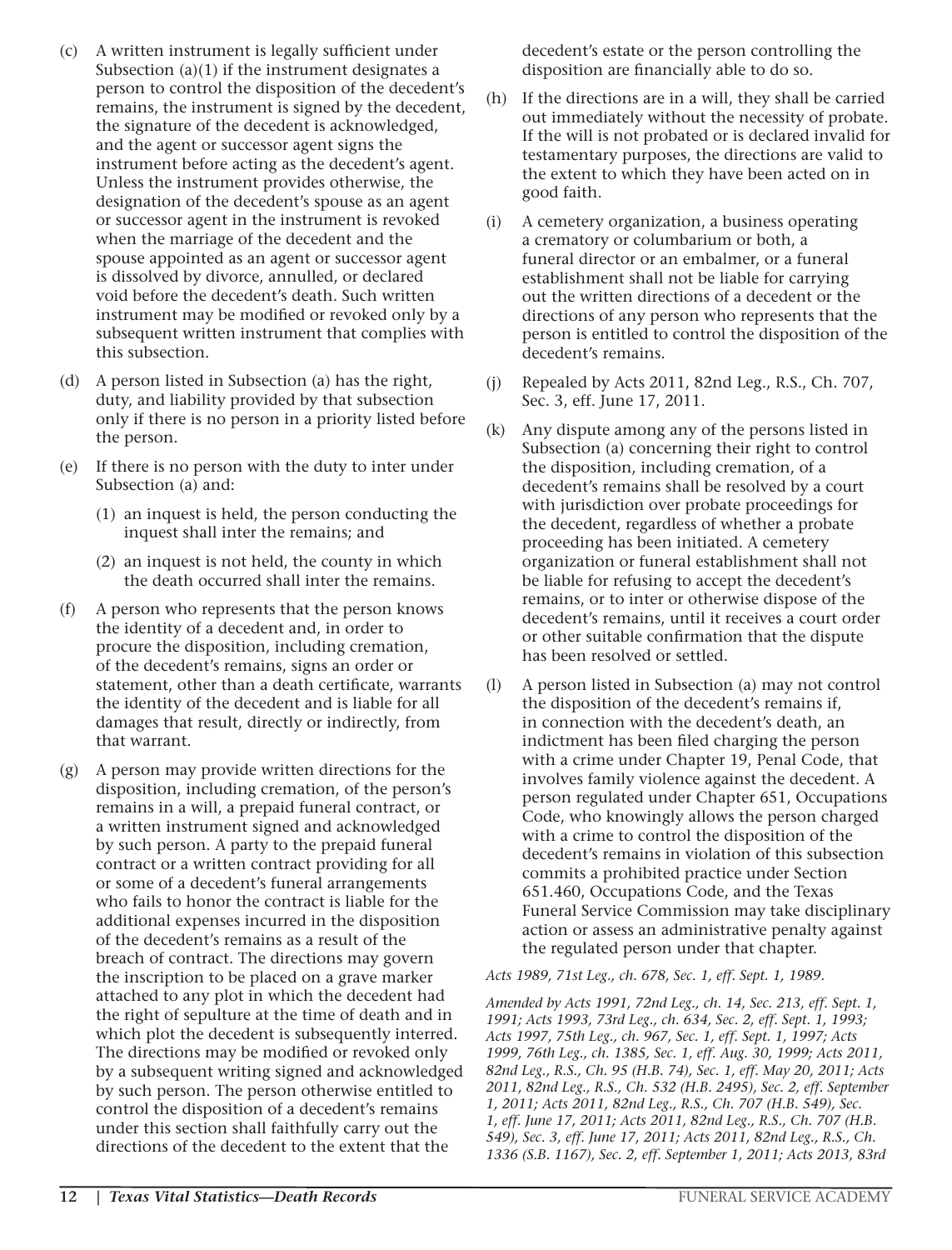- (c) A written instrument is legally sufficient under Subsection  $(a)(1)$  if the instrument designates a person to control the disposition of the decedent's remains, the instrument is signed by the decedent, the signature of the decedent is acknowledged, and the agent or successor agent signs the instrument before acting as the decedent's agent. Unless the instrument provides otherwise, the designation of the decedent's spouse as an agent or successor agent in the instrument is revoked when the marriage of the decedent and the spouse appointed as an agent or successor agent is dissolved by divorce, annulled, or declared void before the decedent's death. Such written instrument may be modified or revoked only by a subsequent written instrument that complies with this subsection.
- (d) A person listed in Subsection (a) has the right, duty, and liability provided by that subsection only if there is no person in a priority listed before the person.
- (e) If there is no person with the duty to inter under Subsection (a) and:
	- (1) an inquest is held, the person conducting the inquest shall inter the remains; and
	- (2) an inquest is not held, the county in which the death occurred shall inter the remains.
- (f) A person who represents that the person knows the identity of a decedent and, in order to procure the disposition, including cremation, of the decedent's remains, signs an order or statement, other than a death certificate, warrants the identity of the decedent and is liable for all damages that result, directly or indirectly, from that warrant.
- (g) A person may provide written directions for the disposition, including cremation, of the person's remains in a will, a prepaid funeral contract, or a written instrument signed and acknowledged by such person. A party to the prepaid funeral contract or a written contract providing for all or some of a decedent's funeral arrangements who fails to honor the contract is liable for the additional expenses incurred in the disposition of the decedent's remains as a result of the breach of contract. The directions may govern the inscription to be placed on a grave marker attached to any plot in which the decedent had the right of sepulture at the time of death and in which plot the decedent is subsequently interred. The directions may be modified or revoked only by a subsequent writing signed and acknowledged by such person. The person otherwise entitled to control the disposition of a decedent's remains under this section shall faithfully carry out the directions of the decedent to the extent that the

decedent's estate or the person controlling the disposition are financially able to do so.

- (h) If the directions are in a will, they shall be carried out immediately without the necessity of probate. If the will is not probated or is declared invalid for testamentary purposes, the directions are valid to the extent to which they have been acted on in good faith.
- (i) A cemetery organization, a business operating a crematory or columbarium or both, a funeral director or an embalmer, or a funeral establishment shall not be liable for carrying out the written directions of a decedent or the directions of any person who represents that the person is entitled to control the disposition of the decedent's remains.
- (j) Repealed by Acts 2011, 82nd Leg., R.S., Ch. 707, Sec. 3, eff. June 17, 2011.
- (k) Any dispute among any of the persons listed in Subsection (a) concerning their right to control the disposition, including cremation, of a decedent's remains shall be resolved by a court with jurisdiction over probate proceedings for the decedent, regardless of whether a probate proceeding has been initiated. A cemetery organization or funeral establishment shall not be liable for refusing to accept the decedent's remains, or to inter or otherwise dispose of the decedent's remains, until it receives a court order or other suitable confirmation that the dispute has been resolved or settled.
- (l) A person listed in Subsection (a) may not control the disposition of the decedent's remains if, in connection with the decedent's death, an indictment has been filed charging the person with a crime under Chapter 19, Penal Code, that involves family violence against the decedent. A person regulated under Chapter 651, Occupations Code, who knowingly allows the person charged with a crime to control the disposition of the decedent's remains in violation of this subsection commits a prohibited practice under Section 651.460, Occupations Code, and the Texas Funeral Service Commission may take disciplinary action or assess an administrative penalty against the regulated person under that chapter.

*Acts 1989, 71st Leg., ch. 678, Sec. 1, eff. Sept. 1, 1989.* 

*Amended by Acts 1991, 72nd Leg., ch. 14, Sec. 213, eff. Sept. 1, 1991; Acts 1993, 73rd Leg., ch. 634, Sec. 2, eff. Sept. 1, 1993; Acts 1997, 75th Leg., ch. 967, Sec. 1, eff. Sept. 1, 1997; Acts 1999, 76th Leg., ch. 1385, Sec. 1, eff. Aug. 30, 1999; Acts 2011, 82nd Leg., R.S., Ch. 95 (H.B. 74), Sec. 1, eff. May 20, 2011; Acts 2011, 82nd Leg., R.S., Ch. 532 (H.B. 2495), Sec. 2, eff. September 1, 2011; Acts 2011, 82nd Leg., R.S., Ch. 707 (H.B. 549), Sec. 1, eff. June 17, 2011; Acts 2011, 82nd Leg., R.S., Ch. 707 (H.B. 549), Sec. 3, eff. June 17, 2011; Acts 2011, 82nd Leg., R.S., Ch. 1336 (S.B. 1167), Sec. 2, eff. September 1, 2011; Acts 2013, 83rd*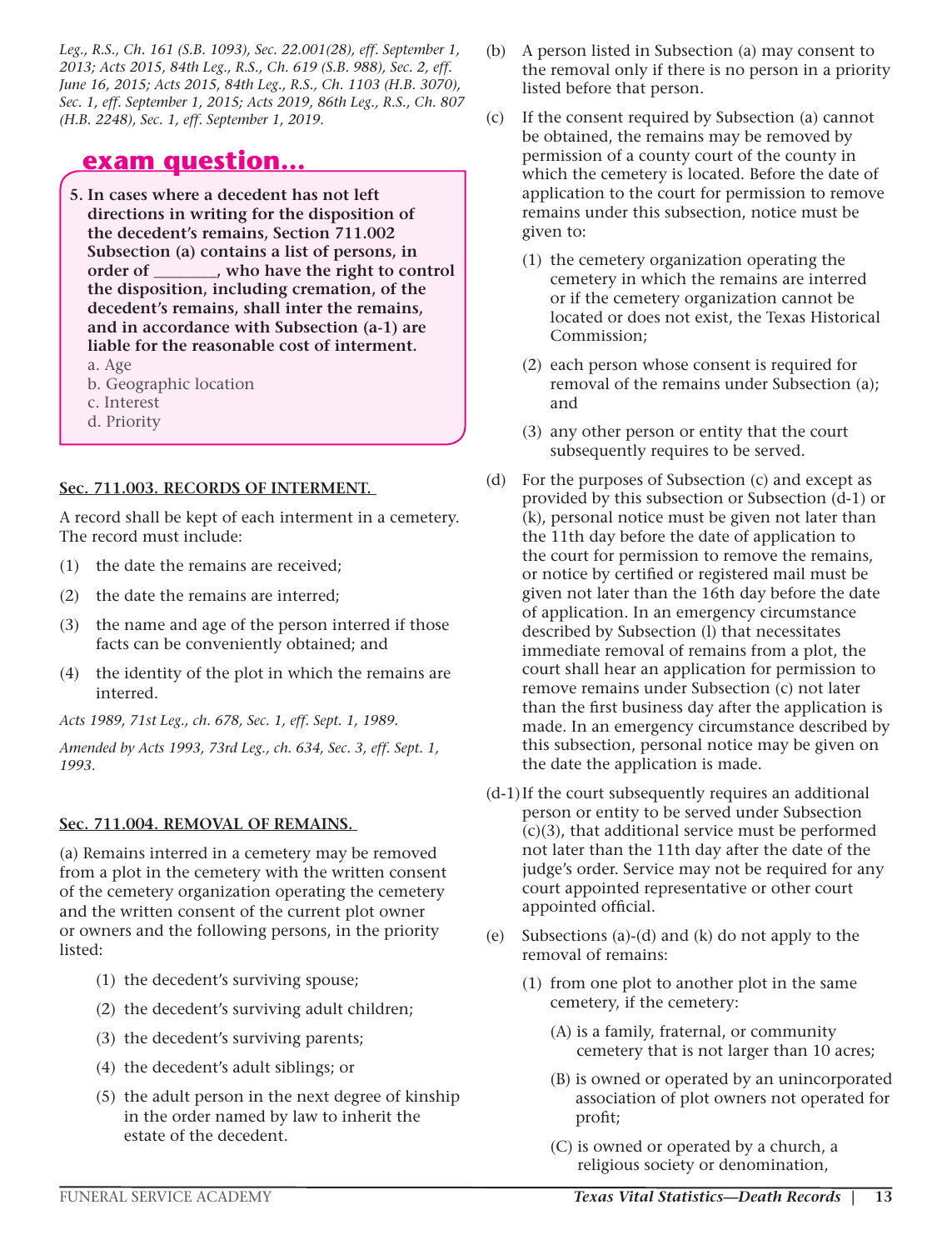*Leg., R.S., Ch. 161 (S.B. 1093), Sec. 22.001(28), eff. September 1, 2013; Acts 2015, 84th Leg., R.S., Ch. 619 (S.B. 988), Sec. 2, eff. June 16, 2015; Acts 2015, 84th Leg., R.S., Ch. 1103 (H.B. 3070), Sec. 1, eff. September 1, 2015; Acts 2019, 86th Leg., R.S., Ch. 807 (H.B. 2248), Sec. 1, eff. September 1, 2019.* 

# **exam question...**

- **5. In cases where a decedent has not left directions in writing for the disposition of the decedent's remains, Section 711.002 Subsection (a) contains a list of persons, in order of \_\_\_\_\_\_\_\_, who have the right to control the disposition, including cremation, of the decedent's remains, shall inter the remains, and in accordance with Subsection (a-1) are liable for the reasonable cost of interment.**  a. Age
	- b. Geographic location
	- c. Interest
	- d. Priority

#### **Sec. 711.003. RECORDS OF INTERMENT.**

A record shall be kept of each interment in a cemetery. The record must include:

- (1) the date the remains are received;
- (2) the date the remains are interred;
- (3) the name and age of the person interred if those facts can be conveniently obtained; and
- (4) the identity of the plot in which the remains are interred.

*Acts 1989, 71st Leg., ch. 678, Sec. 1, eff. Sept. 1, 1989.* 

*Amended by Acts 1993, 73rd Leg., ch. 634, Sec. 3, eff. Sept. 1, 1993.* 

#### **Sec. 711.004. REMOVAL OF REMAINS.**

(a) Remains interred in a cemetery may be removed from a plot in the cemetery with the written consent of the cemetery organization operating the cemetery and the written consent of the current plot owner or owners and the following persons, in the priority listed:

- (1) the decedent's surviving spouse;
- (2) the decedent's surviving adult children;
- (3) the decedent's surviving parents;
- (4) the decedent's adult siblings; or
- (5) the adult person in the next degree of kinship in the order named by law to inherit the estate of the decedent.
- (b) A person listed in Subsection (a) may consent to the removal only if there is no person in a priority listed before that person.
- (c) If the consent required by Subsection (a) cannot be obtained, the remains may be removed by permission of a county court of the county in which the cemetery is located. Before the date of application to the court for permission to remove remains under this subsection, notice must be given to:
	- (1) the cemetery organization operating the cemetery in which the remains are interred or if the cemetery organization cannot be located or does not exist, the Texas Historical Commission;
	- (2) each person whose consent is required for removal of the remains under Subsection (a); and
	- (3) any other person or entity that the court subsequently requires to be served.
- (d) For the purposes of Subsection (c) and except as provided by this subsection or Subsection (d-1) or (k), personal notice must be given not later than the 11th day before the date of application to the court for permission to remove the remains, or notice by certified or registered mail must be given not later than the 16th day before the date of application. In an emergency circumstance described by Subsection (l) that necessitates immediate removal of remains from a plot, the court shall hear an application for permission to remove remains under Subsection (c) not later than the first business day after the application is made. In an emergency circumstance described by this subsection, personal notice may be given on the date the application is made.
- (d-1) If the court subsequently requires an additional person or entity to be served under Subsection (c)(3), that additional service must be performed not later than the 11th day after the date of the judge's order. Service may not be required for any court appointed representative or other court appointed official.
- (e) Subsections (a)-(d) and (k) do not apply to the removal of remains:
	- (1) from one plot to another plot in the same cemetery, if the cemetery:
		- (A) is a family, fraternal, or community cemetery that is not larger than 10 acres;
		- (B) is owned or operated by an unincorporated association of plot owners not operated for profit;
		- (C) is owned or operated by a church, a religious society or denomination,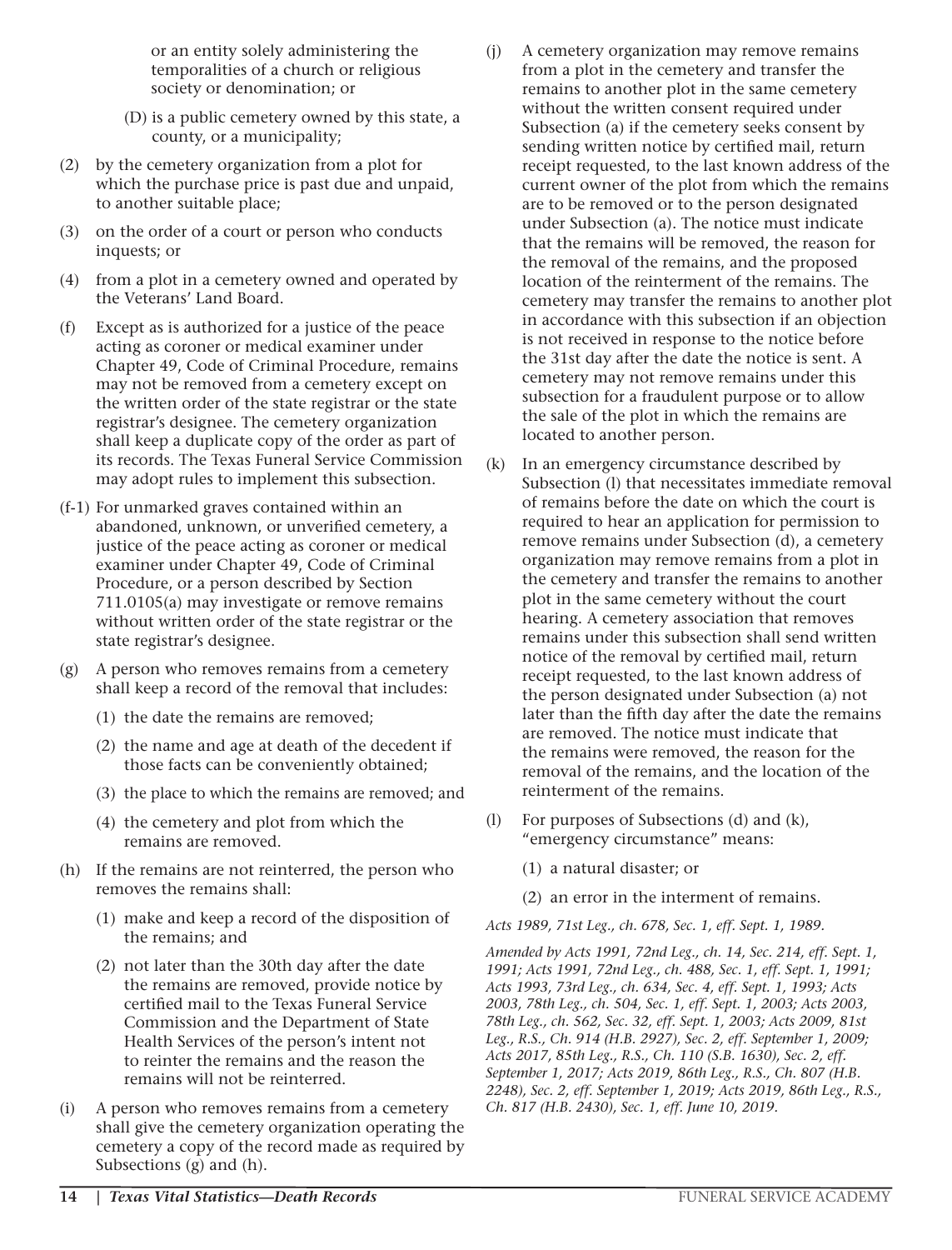or an entity solely administering the temporalities of a church or religious society or denomination; or

- (D) is a public cemetery owned by this state, a county, or a municipality;
- (2) by the cemetery organization from a plot for which the purchase price is past due and unpaid, to another suitable place;
- (3) on the order of a court or person who conducts inquests; or
- (4) from a plot in a cemetery owned and operated by the Veterans' Land Board.
- (f) Except as is authorized for a justice of the peace acting as coroner or medical examiner under Chapter 49, Code of Criminal Procedure, remains may not be removed from a cemetery except on the written order of the state registrar or the state registrar's designee. The cemetery organization shall keep a duplicate copy of the order as part of its records. The Texas Funeral Service Commission may adopt rules to implement this subsection.
- (f-1) For unmarked graves contained within an abandoned, unknown, or unverified cemetery, a justice of the peace acting as coroner or medical examiner under Chapter 49, Code of Criminal Procedure, or a person described by Section 711.0105(a) may investigate or remove remains without written order of the state registrar or the state registrar's designee.
- (g) A person who removes remains from a cemetery shall keep a record of the removal that includes:
	- (1) the date the remains are removed;
	- (2) the name and age at death of the decedent if those facts can be conveniently obtained;
	- (3) the place to which the remains are removed; and
	- (4) the cemetery and plot from which the remains are removed.
- (h) If the remains are not reinterred, the person who removes the remains shall:
	- (1) make and keep a record of the disposition of the remains; and
	- (2) not later than the 30th day after the date the remains are removed, provide notice by certified mail to the Texas Funeral Service Commission and the Department of State Health Services of the person's intent not to reinter the remains and the reason the remains will not be reinterred.
- (i) A person who removes remains from a cemetery shall give the cemetery organization operating the cemetery a copy of the record made as required by Subsections (g) and (h).
- (j) A cemetery organization may remove remains from a plot in the cemetery and transfer the remains to another plot in the same cemetery without the written consent required under Subsection (a) if the cemetery seeks consent by sending written notice by certified mail, return receipt requested, to the last known address of the current owner of the plot from which the remains are to be removed or to the person designated under Subsection (a). The notice must indicate that the remains will be removed, the reason for the removal of the remains, and the proposed location of the reinterment of the remains. The cemetery may transfer the remains to another plot in accordance with this subsection if an objection is not received in response to the notice before the 31st day after the date the notice is sent. A cemetery may not remove remains under this subsection for a fraudulent purpose or to allow the sale of the plot in which the remains are located to another person.
- (k) In an emergency circumstance described by Subsection (l) that necessitates immediate removal of remains before the date on which the court is required to hear an application for permission to remove remains under Subsection (d), a cemetery organization may remove remains from a plot in the cemetery and transfer the remains to another plot in the same cemetery without the court hearing. A cemetery association that removes remains under this subsection shall send written notice of the removal by certified mail, return receipt requested, to the last known address of the person designated under Subsection (a) not later than the fifth day after the date the remains are removed. The notice must indicate that the remains were removed, the reason for the removal of the remains, and the location of the reinterment of the remains.
- (l) For purposes of Subsections (d) and (k), "emergency circumstance" means:
	- (1) a natural disaster; or
	- (2) an error in the interment of remains.

*Acts 1989, 71st Leg., ch. 678, Sec. 1, eff. Sept. 1, 1989.* 

*Amended by Acts 1991, 72nd Leg., ch. 14, Sec. 214, eff. Sept. 1, 1991; Acts 1991, 72nd Leg., ch. 488, Sec. 1, eff. Sept. 1, 1991; Acts 1993, 73rd Leg., ch. 634, Sec. 4, eff. Sept. 1, 1993; Acts 2003, 78th Leg., ch. 504, Sec. 1, eff. Sept. 1, 2003; Acts 2003, 78th Leg., ch. 562, Sec. 32, eff. Sept. 1, 2003; Acts 2009, 81st Leg., R.S., Ch. 914 (H.B. 2927), Sec. 2, eff. September 1, 2009; Acts 2017, 85th Leg., R.S., Ch. 110 (S.B. 1630), Sec. 2, eff. September 1, 2017; Acts 2019, 86th Leg., R.S., Ch. 807 (H.B. 2248), Sec. 2, eff. September 1, 2019; Acts 2019, 86th Leg., R.S., Ch. 817 (H.B. 2430), Sec. 1, eff. June 10, 2019.*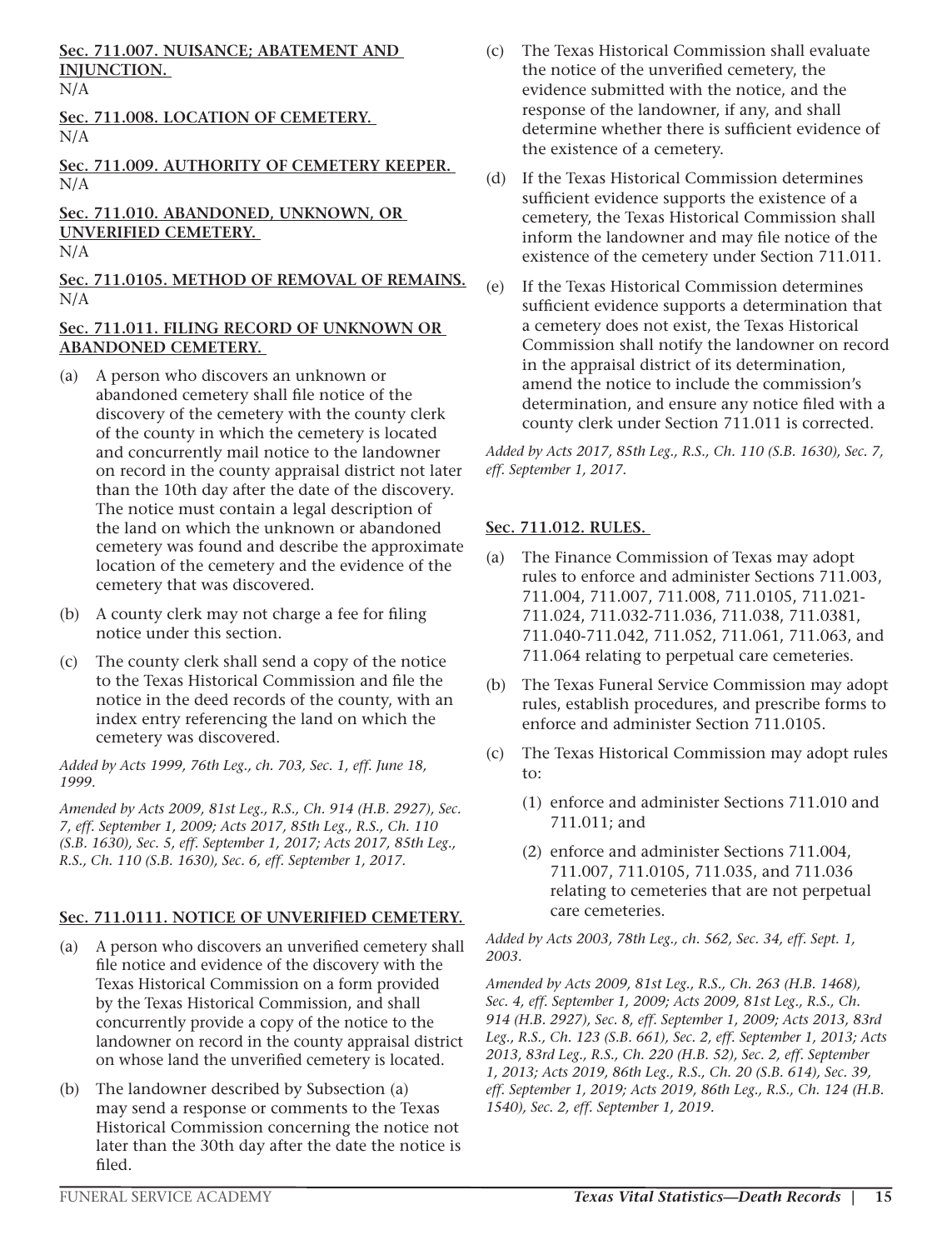#### **Sec. 711.007. NUISANCE; ABATEMENT AND INJUNCTION.**

N/A

**Sec. 711.008. LOCATION OF CEMETERY.**  N/A

**Sec. 711.009. AUTHORITY OF CEMETERY KEEPER.**  N/A

**Sec. 711.010. ABANDONED, UNKNOWN, OR UNVERIFIED CEMETERY.**  N/A

#### **Sec. 711.0105. METHOD OF REMOVAL OF REMAINS.**  N/A

#### **Sec. 711.011. FILING RECORD OF UNKNOWN OR ABANDONED CEMETERY.**

- (a) A person who discovers an unknown or abandoned cemetery shall file notice of the discovery of the cemetery with the county clerk of the county in which the cemetery is located and concurrently mail notice to the landowner on record in the county appraisal district not later than the 10th day after the date of the discovery. The notice must contain a legal description of the land on which the unknown or abandoned cemetery was found and describe the approximate location of the cemetery and the evidence of the cemetery that was discovered.
- (b) A county clerk may not charge a fee for filing notice under this section.
- (c) The county clerk shall send a copy of the notice to the Texas Historical Commission and file the notice in the deed records of the county, with an index entry referencing the land on which the cemetery was discovered.

*Added by Acts 1999, 76th Leg., ch. 703, Sec. 1, eff. June 18, 1999.* 

*Amended by Acts 2009, 81st Leg., R.S., Ch. 914 (H.B. 2927), Sec. 7, eff. September 1, 2009; Acts 2017, 85th Leg., R.S., Ch. 110 (S.B. 1630), Sec. 5, eff. September 1, 2017; Acts 2017, 85th Leg., R.S., Ch. 110 (S.B. 1630), Sec. 6, eff. September 1, 2017.* 

#### **Sec. 711.0111. NOTICE OF UNVERIFIED CEMETERY.**

- (a) A person who discovers an unverified cemetery shall file notice and evidence of the discovery with the Texas Historical Commission on a form provided by the Texas Historical Commission, and shall concurrently provide a copy of the notice to the landowner on record in the county appraisal district on whose land the unverified cemetery is located.
- (b) The landowner described by Subsection (a) may send a response or comments to the Texas Historical Commission concerning the notice not later than the 30th day after the date the notice is filed.
- (c) The Texas Historical Commission shall evaluate the notice of the unverified cemetery, the evidence submitted with the notice, and the response of the landowner, if any, and shall determine whether there is sufficient evidence of the existence of a cemetery.
- (d) If the Texas Historical Commission determines sufficient evidence supports the existence of a cemetery, the Texas Historical Commission shall inform the landowner and may file notice of the existence of the cemetery under Section 711.011.
- (e) If the Texas Historical Commission determines sufficient evidence supports a determination that a cemetery does not exist, the Texas Historical Commission shall notify the landowner on record in the appraisal district of its determination, amend the notice to include the commission's determination, and ensure any notice filed with a county clerk under Section 711.011 is corrected.

*Added by Acts 2017, 85th Leg., R.S., Ch. 110 (S.B. 1630), Sec. 7, eff. September 1, 2017.* 

#### **Sec. 711.012. RULES.**

- (a) The Finance Commission of Texas may adopt rules to enforce and administer Sections 711.003, 711.004, 711.007, 711.008, 711.0105, 711.021- 711.024, 711.032-711.036, 711.038, 711.0381, 711.040-711.042, 711.052, 711.061, 711.063, and 711.064 relating to perpetual care cemeteries.
- (b) The Texas Funeral Service Commission may adopt rules, establish procedures, and prescribe forms to enforce and administer Section 711.0105.
- (c) The Texas Historical Commission may adopt rules to:
	- (1) enforce and administer Sections 711.010 and 711.011; and
	- (2) enforce and administer Sections 711.004, 711.007, 711.0105, 711.035, and 711.036 relating to cemeteries that are not perpetual care cemeteries.

*Added by Acts 2003, 78th Leg., ch. 562, Sec. 34, eff. Sept. 1, 2003.* 

*Amended by Acts 2009, 81st Leg., R.S., Ch. 263 (H.B. 1468), Sec. 4, eff. September 1, 2009; Acts 2009, 81st Leg., R.S., Ch. 914 (H.B. 2927), Sec. 8, eff. September 1, 2009; Acts 2013, 83rd Leg., R.S., Ch. 123 (S.B. 661), Sec. 2, eff. September 1, 2013; Acts 2013, 83rd Leg., R.S., Ch. 220 (H.B. 52), Sec. 2, eff. September 1, 2013; Acts 2019, 86th Leg., R.S., Ch. 20 (S.B. 614), Sec. 39, eff. September 1, 2019; Acts 2019, 86th Leg., R.S., Ch. 124 (H.B. 1540), Sec. 2, eff. September 1, 2019.*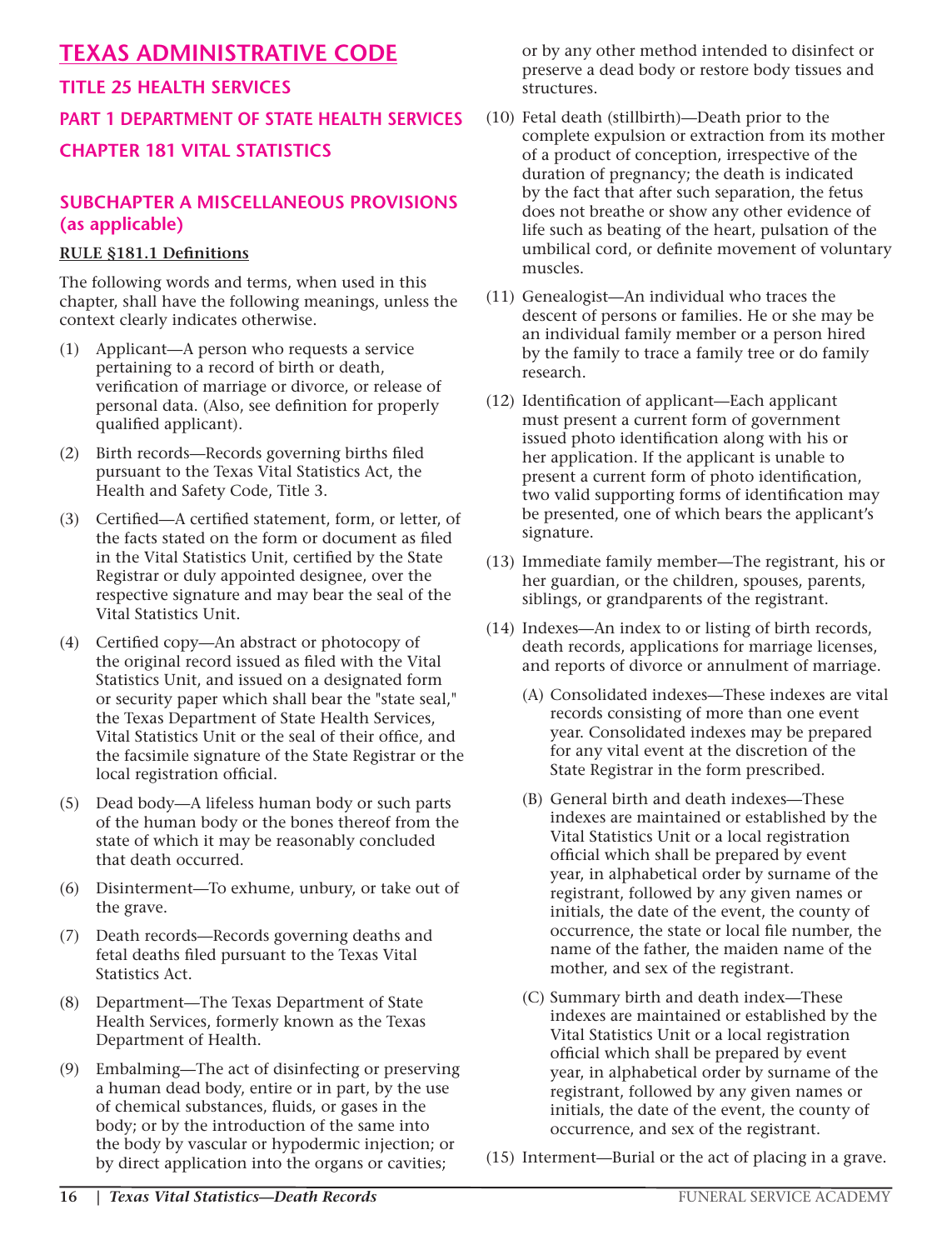# **TEXAS ADMINISTRATIVE CODE**

# **TITLE 25 HEALTH SERVICES PART 1 DEPARTMENT OF STATE HEALTH SERVICES CHAPTER 181 VITAL STATISTICS**

#### **SUBCHAPTER A MISCELLANEOUS PROVISIONS (as applicable)**

#### **RULE §181.1 Definitions**

The following words and terms, when used in this chapter, shall have the following meanings, unless the context clearly indicates otherwise.

- (1) Applicant—A person who requests a service pertaining to a record of birth or death, verification of marriage or divorce, or release of personal data. (Also, see definition for properly qualified applicant).
- (2) Birth records—Records governing births filed pursuant to the Texas Vital Statistics Act, the Health and Safety Code, Title 3.
- (3) Certified—A certified statement, form, or letter, of the facts stated on the form or document as filed in the Vital Statistics Unit, certified by the State Registrar or duly appointed designee, over the respective signature and may bear the seal of the Vital Statistics Unit.
- (4) Certified copy—An abstract or photocopy of the original record issued as filed with the Vital Statistics Unit, and issued on a designated form or security paper which shall bear the "state seal," the Texas Department of State Health Services, Vital Statistics Unit or the seal of their office, and the facsimile signature of the State Registrar or the local registration official.
- (5) Dead body—A lifeless human body or such parts of the human body or the bones thereof from the state of which it may be reasonably concluded that death occurred.
- (6) Disinterment—To exhume, unbury, or take out of the grave.
- (7) Death records—Records governing deaths and fetal deaths filed pursuant to the Texas Vital Statistics Act.
- (8) Department—The Texas Department of State Health Services, formerly known as the Texas Department of Health.
- (9) Embalming—The act of disinfecting or preserving a human dead body, entire or in part, by the use of chemical substances, fluids, or gases in the body; or by the introduction of the same into the body by vascular or hypodermic injection; or by direct application into the organs or cavities;

or by any other method intended to disinfect or preserve a dead body or restore body tissues and structures.

- (10) Fetal death (stillbirth)—Death prior to the complete expulsion or extraction from its mother of a product of conception, irrespective of the duration of pregnancy; the death is indicated by the fact that after such separation, the fetus does not breathe or show any other evidence of life such as beating of the heart, pulsation of the umbilical cord, or definite movement of voluntary muscles.
- (11) Genealogist—An individual who traces the descent of persons or families. He or she may be an individual family member or a person hired by the family to trace a family tree or do family research.
- (12) Identification of applicant—Each applicant must present a current form of government issued photo identification along with his or her application. If the applicant is unable to present a current form of photo identification, two valid supporting forms of identification may be presented, one of which bears the applicant's signature.
- (13) Immediate family member—The registrant, his or her guardian, or the children, spouses, parents, siblings, or grandparents of the registrant.
- (14) Indexes—An index to or listing of birth records, death records, applications for marriage licenses, and reports of divorce or annulment of marriage.
	- (A) Consolidated indexes—These indexes are vital records consisting of more than one event year. Consolidated indexes may be prepared for any vital event at the discretion of the State Registrar in the form prescribed.
	- (B) General birth and death indexes—These indexes are maintained or established by the Vital Statistics Unit or a local registration official which shall be prepared by event year, in alphabetical order by surname of the registrant, followed by any given names or initials, the date of the event, the county of occurrence, the state or local file number, the name of the father, the maiden name of the mother, and sex of the registrant.
	- (C) Summary birth and death index—These indexes are maintained or established by the Vital Statistics Unit or a local registration official which shall be prepared by event year, in alphabetical order by surname of the registrant, followed by any given names or initials, the date of the event, the county of occurrence, and sex of the registrant.
- (15) Interment—Burial or the act of placing in a grave.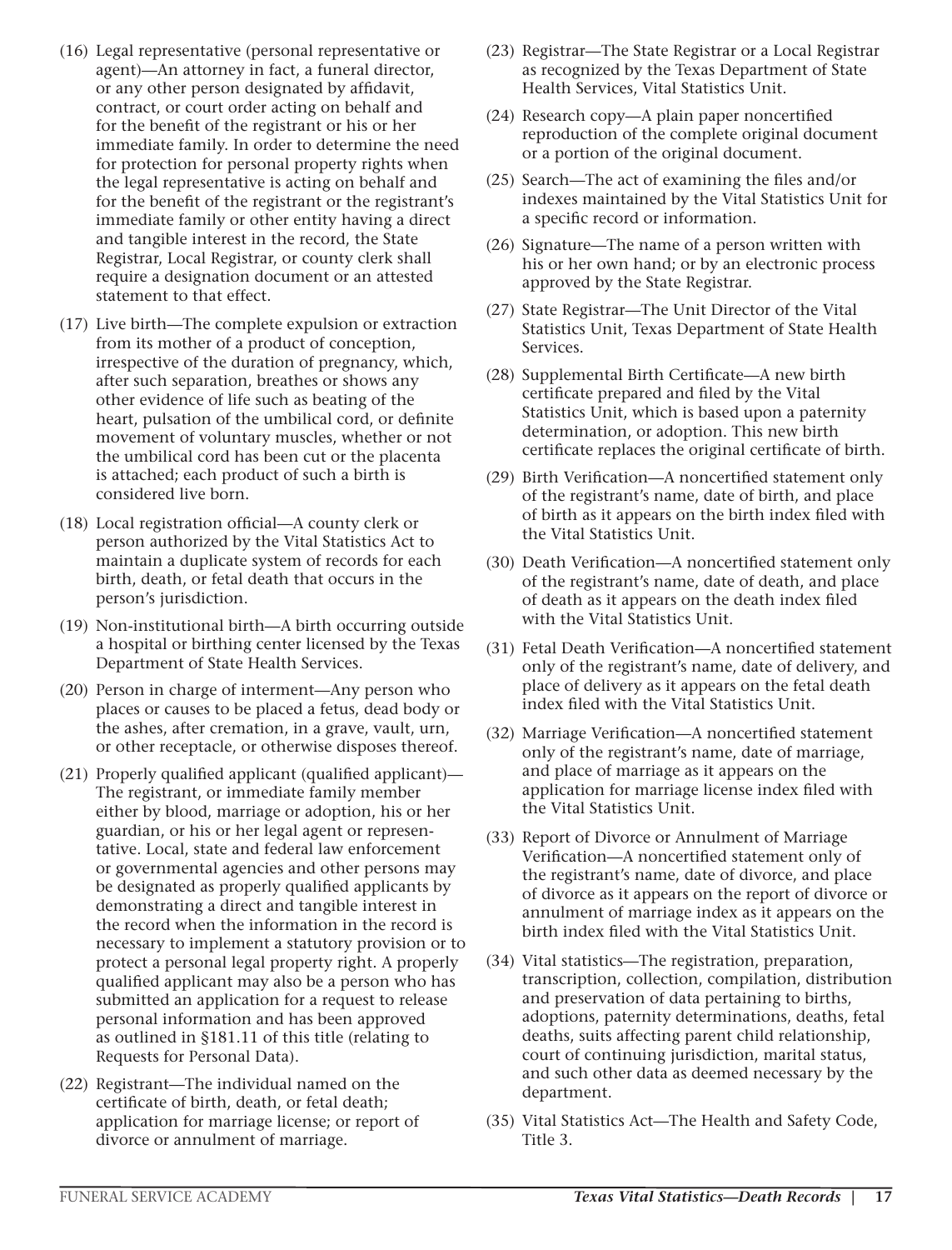- (16) Legal representative (personal representative or agent)—An attorney in fact, a funeral director, or any other person designated by affidavit, contract, or court order acting on behalf and for the benefit of the registrant or his or her immediate family. In order to determine the need for protection for personal property rights when the legal representative is acting on behalf and for the benefit of the registrant or the registrant's immediate family or other entity having a direct and tangible interest in the record, the State Registrar, Local Registrar, or county clerk shall require a designation document or an attested statement to that effect.
- (17) Live birth—The complete expulsion or extraction from its mother of a product of conception, irrespective of the duration of pregnancy, which, after such separation, breathes or shows any other evidence of life such as beating of the heart, pulsation of the umbilical cord, or definite movement of voluntary muscles, whether or not the umbilical cord has been cut or the placenta is attached; each product of such a birth is considered live born.
- (18) Local registration official—A county clerk or person authorized by the Vital Statistics Act to maintain a duplicate system of records for each birth, death, or fetal death that occurs in the person's jurisdiction.
- (19) Non-institutional birth—A birth occurring outside a hospital or birthing center licensed by the Texas Department of State Health Services.
- (20) Person in charge of interment—Any person who places or causes to be placed a fetus, dead body or the ashes, after cremation, in a grave, vault, urn, or other receptacle, or otherwise disposes thereof.
- (21) Properly qualified applicant (qualified applicant)— The registrant, or immediate family member either by blood, marriage or adoption, his or her guardian, or his or her legal agent or representative. Local, state and federal law enforcement or governmental agencies and other persons may be designated as properly qualified applicants by demonstrating a direct and tangible interest in the record when the information in the record is necessary to implement a statutory provision or to protect a personal legal property right. A properly qualified applicant may also be a person who has submitted an application for a request to release personal information and has been approved as outlined in §181.11 of this title (relating to Requests for Personal Data).
- (22) Registrant—The individual named on the certificate of birth, death, or fetal death; application for marriage license; or report of divorce or annulment of marriage.
- (23) Registrar—The State Registrar or a Local Registrar as recognized by the Texas Department of State Health Services, Vital Statistics Unit.
- (24) Research copy—A plain paper noncertified reproduction of the complete original document or a portion of the original document.
- (25) Search—The act of examining the files and/or indexes maintained by the Vital Statistics Unit for a specific record or information.
- (26) Signature—The name of a person written with his or her own hand; or by an electronic process approved by the State Registrar.
- (27) State Registrar—The Unit Director of the Vital Statistics Unit, Texas Department of State Health Services.
- (28) Supplemental Birth Certificate—A new birth certificate prepared and filed by the Vital Statistics Unit, which is based upon a paternity determination, or adoption. This new birth certificate replaces the original certificate of birth.
- (29) Birth Verification—A noncertified statement only of the registrant's name, date of birth, and place of birth as it appears on the birth index filed with the Vital Statistics Unit.
- (30) Death Verification—A noncertified statement only of the registrant's name, date of death, and place of death as it appears on the death index filed with the Vital Statistics Unit.
- (31) Fetal Death Verification—A noncertified statement only of the registrant's name, date of delivery, and place of delivery as it appears on the fetal death index filed with the Vital Statistics Unit.
- (32) Marriage Verification—A noncertified statement only of the registrant's name, date of marriage, and place of marriage as it appears on the application for marriage license index filed with the Vital Statistics Unit.
- (33) Report of Divorce or Annulment of Marriage Verification—A noncertified statement only of the registrant's name, date of divorce, and place of divorce as it appears on the report of divorce or annulment of marriage index as it appears on the birth index filed with the Vital Statistics Unit.
- (34) Vital statistics—The registration, preparation, transcription, collection, compilation, distribution and preservation of data pertaining to births, adoptions, paternity determinations, deaths, fetal deaths, suits affecting parent child relationship, court of continuing jurisdiction, marital status, and such other data as deemed necessary by the department.
- (35) Vital Statistics Act—The Health and Safety Code, Title 3.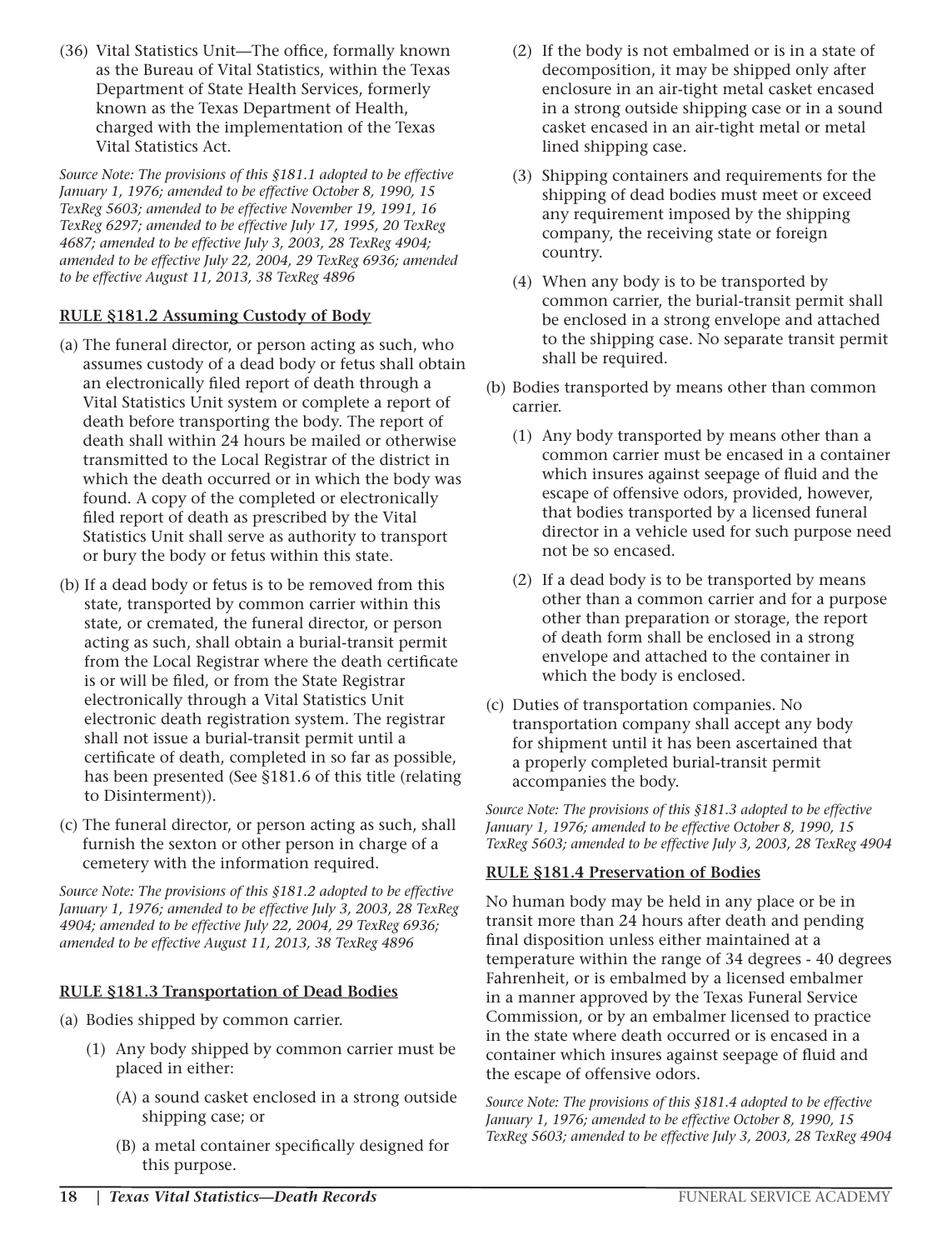(36) Vital Statistics Unit—The office, formally known as the Bureau of Vital Statistics, within the Texas Department of State Health Services, formerly known as the Texas Department of Health, charged with the implementation of the Texas Vital Statistics Act.

*Source Note: The provisions of this §181.1 adopted to be effective January 1, 1976; amended to be effective October 8, 1990, 15 TexReg 5603; amended to be effective November 19, 1991, 16 TexReg 6297; amended to be effective July 17, 1995, 20 TexReg 4687; amended to be effective July 3, 2003, 28 TexReg 4904; amended to be effective July 22, 2004, 29 TexReg 6936; amended to be effective August 11, 2013, 38 TexReg 4896*

#### **RULE §181.2 Assuming Custody of Body**

- (a) The funeral director, or person acting as such, who assumes custody of a dead body or fetus shall obtain an electronically filed report of death through a Vital Statistics Unit system or complete a report of death before transporting the body. The report of death shall within 24 hours be mailed or otherwise transmitted to the Local Registrar of the district in which the death occurred or in which the body was found. A copy of the completed or electronically filed report of death as prescribed by the Vital Statistics Unit shall serve as authority to transport or bury the body or fetus within this state.
- (b) If a dead body or fetus is to be removed from this state, transported by common carrier within this state, or cremated, the funeral director, or person acting as such, shall obtain a burial-transit permit from the Local Registrar where the death certificate is or will be filed, or from the State Registrar electronically through a Vital Statistics Unit electronic death registration system. The registrar shall not issue a burial-transit permit until a certificate of death, completed in so far as possible, has been presented (See §181.6 of this title (relating to Disinterment)).
- (c) The funeral director, or person acting as such, shall furnish the sexton or other person in charge of a cemetery with the information required.

*Source Note: The provisions of this §181.2 adopted to be effective January 1, 1976; amended to be effective July 3, 2003, 28 TexReg 4904; amended to be effective July 22, 2004, 29 TexReg 6936; amended to be effective August 11, 2013, 38 TexReg 4896*

#### **RULE §181.3 Transportation of Dead Bodies**

- (a) Bodies shipped by common carrier.
	- (1) Any body shipped by common carrier must be placed in either:
		- (A) a sound casket enclosed in a strong outside shipping case; or
		- (B) a metal container specifically designed for this purpose.
- (2) If the body is not embalmed or is in a state of decomposition, it may be shipped only after enclosure in an air-tight metal casket encased in a strong outside shipping case or in a sound casket encased in an air-tight metal or metal lined shipping case.
- (3) Shipping containers and requirements for the shipping of dead bodies must meet or exceed any requirement imposed by the shipping company, the receiving state or foreign country.
- (4) When any body is to be transported by common carrier, the burial-transit permit shall be enclosed in a strong envelope and attached to the shipping case. No separate transit permit shall be required.
- (b) Bodies transported by means other than common carrier.
	- (1) Any body transported by means other than a common carrier must be encased in a container which insures against seepage of fluid and the escape of offensive odors, provided, however, that bodies transported by a licensed funeral director in a vehicle used for such purpose need not be so encased.
	- (2) If a dead body is to be transported by means other than a common carrier and for a purpose other than preparation or storage, the report of death form shall be enclosed in a strong envelope and attached to the container in which the body is enclosed.
- (c) Duties of transportation companies. No transportation company shall accept any body for shipment until it has been ascertained that a properly completed burial-transit permit accompanies the body.

*Source Note: The provisions of this §181.3 adopted to be effective January 1, 1976; amended to be effective October 8, 1990, 15 TexReg 5603; amended to be effective July 3, 2003, 28 TexReg 4904*

#### **RULE §181.4 Preservation of Bodies**

No human body may be held in any place or be in transit more than 24 hours after death and pending final disposition unless either maintained at a temperature within the range of 34 degrees - 40 degrees Fahrenheit, or is embalmed by a licensed embalmer in a manner approved by the Texas Funeral Service Commission, or by an embalmer licensed to practice in the state where death occurred or is encased in a container which insures against seepage of fluid and the escape of offensive odors.

*Source Note: The provisions of this §181.4 adopted to be effective January 1, 1976; amended to be effective October 8, 1990, 15 TexReg 5603; amended to be effective July 3, 2003, 28 TexReg 4904*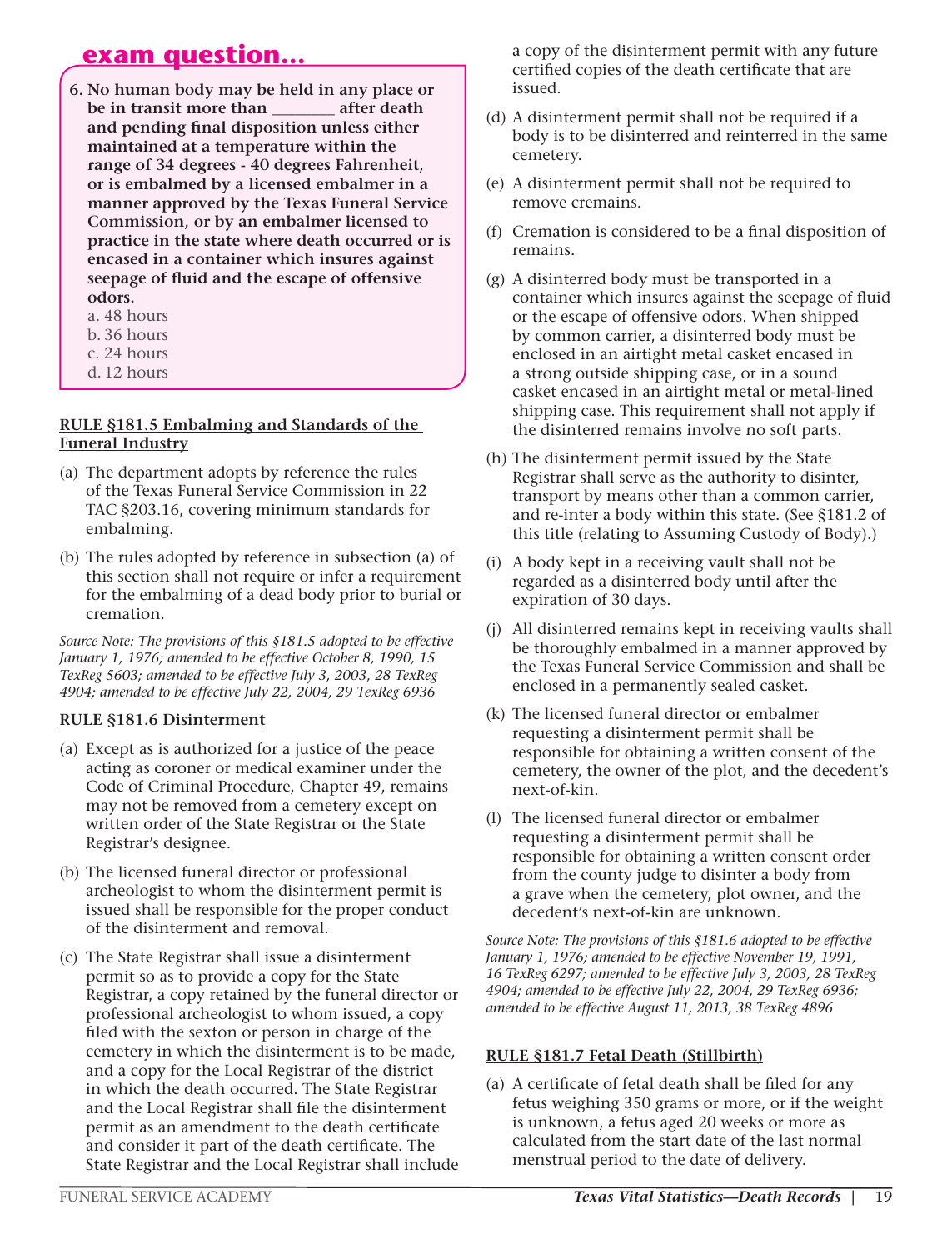# **exam question...**

- **6. No human body may be held in any place or be in transit more than \_\_\_\_\_\_\_\_ after death and pending final disposition unless either maintained at a temperature within the range of 34 degrees - 40 degrees Fahrenheit, or is embalmed by a licensed embalmer in a manner approved by the Texas Funeral Service Commission, or by an embalmer licensed to practice in the state where death occurred or is encased in a container which insures against seepage of fluid and the escape of offensive odors.**
	- a. 48 hours
	- b. 36 hours
	- c. 24 hours
	- d. 12 hours

#### **RULE §181.5 Embalming and Standards of the Funeral Industry**

- (a) The department adopts by reference the rules of the Texas Funeral Service Commission in 22 TAC §203.16, covering minimum standards for embalming.
- (b) The rules adopted by reference in subsection (a) of this section shall not require or infer a requirement for the embalming of a dead body prior to burial or cremation.

*Source Note: The provisions of this §181.5 adopted to be effective January 1, 1976; amended to be effective October 8, 1990, 15 TexReg 5603; amended to be effective July 3, 2003, 28 TexReg 4904; amended to be effective July 22, 2004, 29 TexReg 6936*

#### **RULE §181.6 Disinterment**

- (a) Except as is authorized for a justice of the peace acting as coroner or medical examiner under the Code of Criminal Procedure, Chapter 49, remains may not be removed from a cemetery except on written order of the State Registrar or the State Registrar's designee.
- (b) The licensed funeral director or professional archeologist to whom the disinterment permit is issued shall be responsible for the proper conduct of the disinterment and removal.
- (c) The State Registrar shall issue a disinterment permit so as to provide a copy for the State Registrar, a copy retained by the funeral director or professional archeologist to whom issued, a copy filed with the sexton or person in charge of the cemetery in which the disinterment is to be made, and a copy for the Local Registrar of the district in which the death occurred. The State Registrar and the Local Registrar shall file the disinterment permit as an amendment to the death certificate and consider it part of the death certificate. The State Registrar and the Local Registrar shall include

a copy of the disinterment permit with any future certified copies of the death certificate that are issued.

- (d) A disinterment permit shall not be required if a body is to be disinterred and reinterred in the same cemetery.
- (e) A disinterment permit shall not be required to remove cremains.
- (f) Cremation is considered to be a final disposition of remains.
- (g) A disinterred body must be transported in a container which insures against the seepage of fluid or the escape of offensive odors. When shipped by common carrier, a disinterred body must be enclosed in an airtight metal casket encased in a strong outside shipping case, or in a sound casket encased in an airtight metal or metal-lined shipping case. This requirement shall not apply if the disinterred remains involve no soft parts.
- (h) The disinterment permit issued by the State Registrar shall serve as the authority to disinter, transport by means other than a common carrier, and re-inter a body within this state. (See §181.2 of this title (relating to Assuming Custody of Body).)
- (i) A body kept in a receiving vault shall not be regarded as a disinterred body until after the expiration of 30 days.
- (j) All disinterred remains kept in receiving vaults shall be thoroughly embalmed in a manner approved by the Texas Funeral Service Commission and shall be enclosed in a permanently sealed casket.
- (k) The licensed funeral director or embalmer requesting a disinterment permit shall be responsible for obtaining a written consent of the cemetery, the owner of the plot, and the decedent's next-of-kin.
- (l) The licensed funeral director or embalmer requesting a disinterment permit shall be responsible for obtaining a written consent order from the county judge to disinter a body from a grave when the cemetery, plot owner, and the decedent's next-of-kin are unknown.

*Source Note: The provisions of this §181.6 adopted to be effective January 1, 1976; amended to be effective November 19, 1991, 16 TexReg 6297; amended to be effective July 3, 2003, 28 TexReg 4904; amended to be effective July 22, 2004, 29 TexReg 6936; amended to be effective August 11, 2013, 38 TexReg 4896*

#### **RULE §181.7 Fetal Death (Stillbirth)**

(a) A certificate of fetal death shall be filed for any fetus weighing 350 grams or more, or if the weight is unknown, a fetus aged 20 weeks or more as calculated from the start date of the last normal menstrual period to the date of delivery.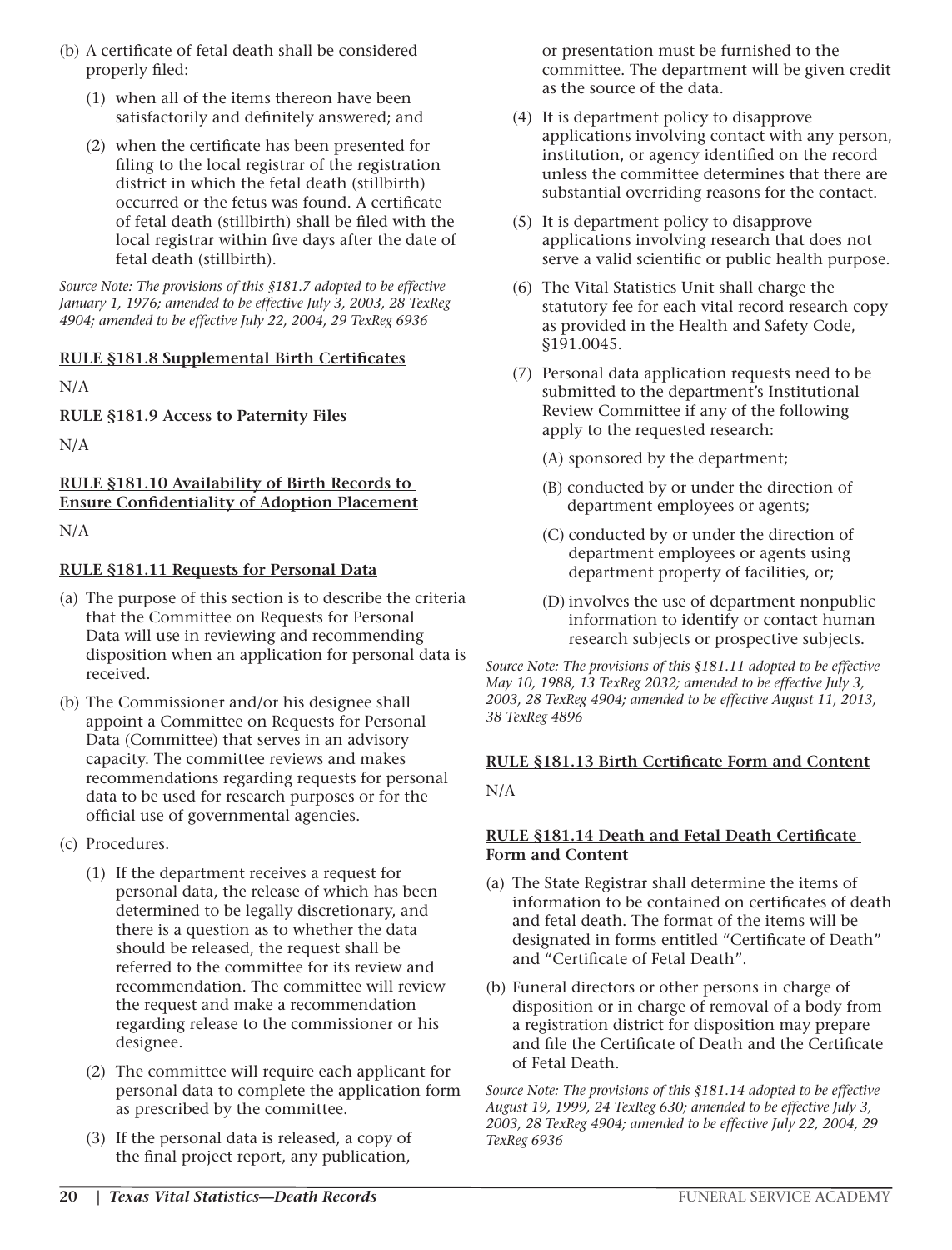- (b) A certificate of fetal death shall be considered properly filed:
	- (1) when all of the items thereon have been satisfactorily and definitely answered; and
	- (2) when the certificate has been presented for filing to the local registrar of the registration district in which the fetal death (stillbirth) occurred or the fetus was found. A certificate of fetal death (stillbirth) shall be filed with the local registrar within five days after the date of fetal death (stillbirth).

*Source Note: The provisions of this §181.7 adopted to be effective January 1, 1976; amended to be effective July 3, 2003, 28 TexReg 4904; amended to be effective July 22, 2004, 29 TexReg 6936*

#### **RULE §181.8 Supplemental Birth Certificates**

N/A

**RULE §181.9 Access to Paternity Files**

N/A

#### **RULE §181.10 Availability of Birth Records to Ensure Confidentiality of Adoption Placement**

N/A

#### **RULE §181.11 Requests for Personal Data**

- (a) The purpose of this section is to describe the criteria that the Committee on Requests for Personal Data will use in reviewing and recommending disposition when an application for personal data is received.
- (b) The Commissioner and/or his designee shall appoint a Committee on Requests for Personal Data (Committee) that serves in an advisory capacity. The committee reviews and makes recommendations regarding requests for personal data to be used for research purposes or for the official use of governmental agencies.
- (c) Procedures.
	- (1) If the department receives a request for personal data, the release of which has been determined to be legally discretionary, and there is a question as to whether the data should be released, the request shall be referred to the committee for its review and recommendation. The committee will review the request and make a recommendation regarding release to the commissioner or his designee.
	- (2) The committee will require each applicant for personal data to complete the application form as prescribed by the committee.
	- (3) If the personal data is released, a copy of the final project report, any publication,

or presentation must be furnished to the committee. The department will be given credit as the source of the data.

- (4) It is department policy to disapprove applications involving contact with any person, institution, or agency identified on the record unless the committee determines that there are substantial overriding reasons for the contact.
- (5) It is department policy to disapprove applications involving research that does not serve a valid scientific or public health purpose.
- (6) The Vital Statistics Unit shall charge the statutory fee for each vital record research copy as provided in the Health and Safety Code, §191.0045.
- (7) Personal data application requests need to be submitted to the department's Institutional Review Committee if any of the following apply to the requested research:
	- (A) sponsored by the department;
	- (B) conducted by or under the direction of department employees or agents;
	- (C) conducted by or under the direction of department employees or agents using department property of facilities, or;
	- (D) involves the use of department nonpublic information to identify or contact human research subjects or prospective subjects.

*Source Note: The provisions of this §181.11 adopted to be effective May 10, 1988, 13 TexReg 2032; amended to be effective July 3, 2003, 28 TexReg 4904; amended to be effective August 11, 2013, 38 TexReg 4896*

#### **RULE §181.13 Birth Certificate Form and Content** N/A

#### **RULE §181.14 Death and Fetal Death Certificate Form and Content**

- (a) The State Registrar shall determine the items of information to be contained on certificates of death and fetal death. The format of the items will be designated in forms entitled "Certificate of Death" and "Certificate of Fetal Death".
- (b) Funeral directors or other persons in charge of disposition or in charge of removal of a body from a registration district for disposition may prepare and file the Certificate of Death and the Certificate of Fetal Death.

*Source Note: The provisions of this §181.14 adopted to be effective August 19, 1999, 24 TexReg 630; amended to be effective July 3, 2003, 28 TexReg 4904; amended to be effective July 22, 2004, 29 TexReg 6936*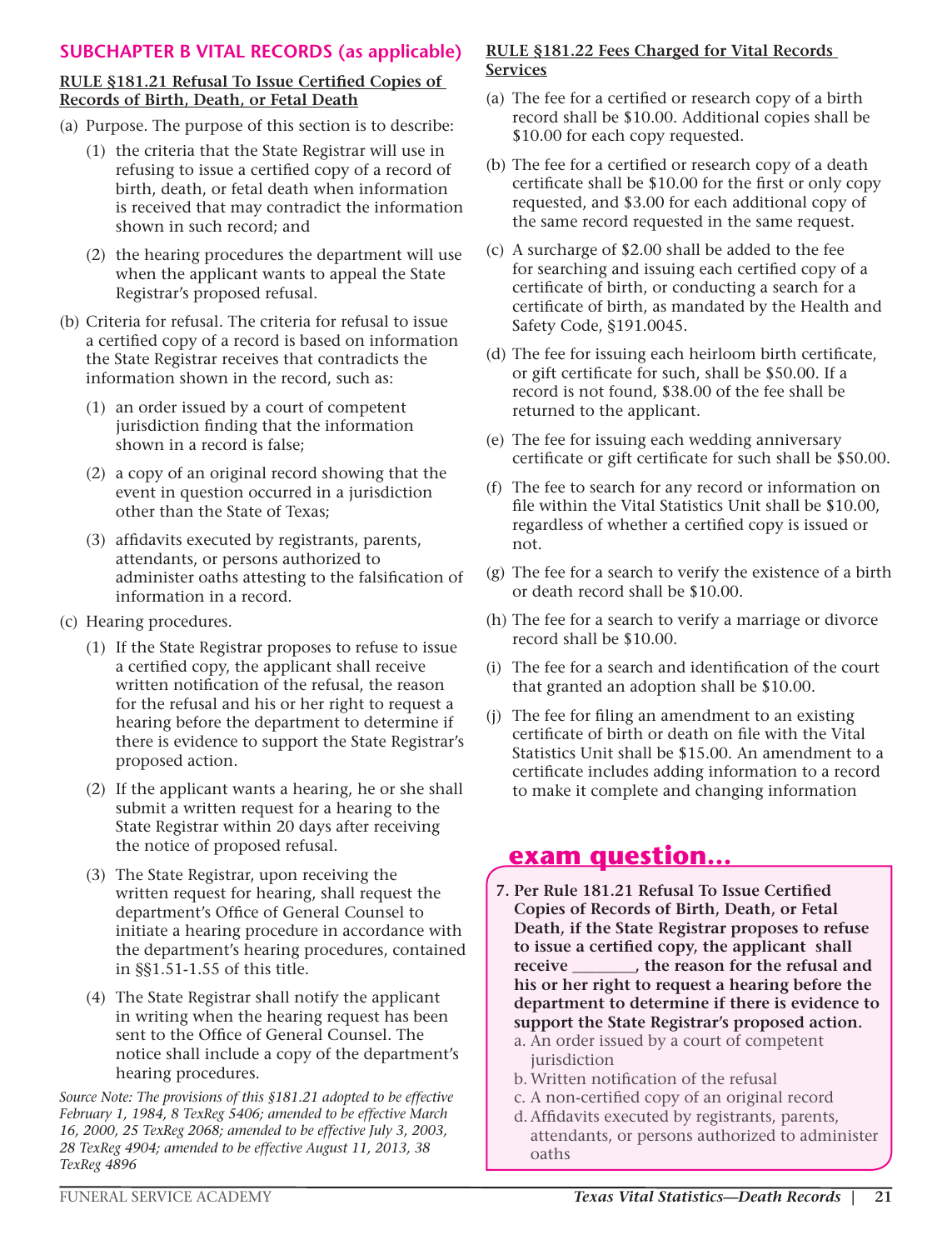#### **SUBCHAPTER B VITAL RECORDS (as applicable)**

#### **RULE §181.21 Refusal To Issue Certified Copies of Records of Birth, Death, or Fetal Death**

- (a) Purpose. The purpose of this section is to describe:
	- (1) the criteria that the State Registrar will use in refusing to issue a certified copy of a record of birth, death, or fetal death when information is received that may contradict the information shown in such record; and
	- (2) the hearing procedures the department will use when the applicant wants to appeal the State Registrar's proposed refusal.
- (b) Criteria for refusal. The criteria for refusal to issue a certified copy of a record is based on information the State Registrar receives that contradicts the information shown in the record, such as:
	- (1) an order issued by a court of competent jurisdiction finding that the information shown in a record is false;
	- (2) a copy of an original record showing that the event in question occurred in a jurisdiction other than the State of Texas;
	- (3) affidavits executed by registrants, parents, attendants, or persons authorized to administer oaths attesting to the falsification of information in a record.
- (c) Hearing procedures.
	- (1) If the State Registrar proposes to refuse to issue a certified copy, the applicant shall receive written notification of the refusal, the reason for the refusal and his or her right to request a hearing before the department to determine if there is evidence to support the State Registrar's proposed action.
	- (2) If the applicant wants a hearing, he or she shall submit a written request for a hearing to the State Registrar within 20 days after receiving the notice of proposed refusal.
	- (3) The State Registrar, upon receiving the written request for hearing, shall request the department's Office of General Counsel to initiate a hearing procedure in accordance with the department's hearing procedures, contained in §§1.51-1.55 of this title.
	- (4) The State Registrar shall notify the applicant in writing when the hearing request has been sent to the Office of General Counsel. The notice shall include a copy of the department's hearing procedures.

*Source Note: The provisions of this §181.21 adopted to be effective February 1, 1984, 8 TexReg 5406; amended to be effective March 16, 2000, 25 TexReg 2068; amended to be effective July 3, 2003, 28 TexReg 4904; amended to be effective August 11, 2013, 38 TexReg 4896*

#### **RULE §181.22 Fees Charged for Vital Records Services**

- (a) The fee for a certified or research copy of a birth record shall be \$10.00. Additional copies shall be \$10.00 for each copy requested.
- (b) The fee for a certified or research copy of a death certificate shall be \$10.00 for the first or only copy requested, and \$3.00 for each additional copy of the same record requested in the same request.
- (c) A surcharge of \$2.00 shall be added to the fee for searching and issuing each certified copy of a certificate of birth, or conducting a search for a certificate of birth, as mandated by the Health and Safety Code, §191.0045.
- (d) The fee for issuing each heirloom birth certificate, or gift certificate for such, shall be \$50.00. If a record is not found, \$38.00 of the fee shall be returned to the applicant.
- (e) The fee for issuing each wedding anniversary certificate or gift certificate for such shall be \$50.00.
- (f) The fee to search for any record or information on file within the Vital Statistics Unit shall be \$10.00, regardless of whether a certified copy is issued or not.
- (g) The fee for a search to verify the existence of a birth or death record shall be \$10.00.
- (h) The fee for a search to verify a marriage or divorce record shall be \$10.00.
- (i) The fee for a search and identification of the court that granted an adoption shall be \$10.00.
- (j) The fee for filing an amendment to an existing certificate of birth or death on file with the Vital Statistics Unit shall be \$15.00. An amendment to a certificate includes adding information to a record to make it complete and changing information

# **exam question...**

- **7. Per Rule 181.21 Refusal To Issue Certified Copies of Records of Birth, Death, or Fetal Death, if the State Registrar proposes to refuse to issue a certified copy, the applicant shall receive \_\_\_\_\_\_\_\_, the reason for the refusal and his or her right to request a hearing before the department to determine if there is evidence to support the State Registrar's proposed action.**
	- a. An order issued by a court of competent jurisdiction
	- b. Written notification of the refusal
	- c. A non-certified copy of an original record
	- d. Affidavits executed by registrants, parents, attendants, or persons authorized to administer oaths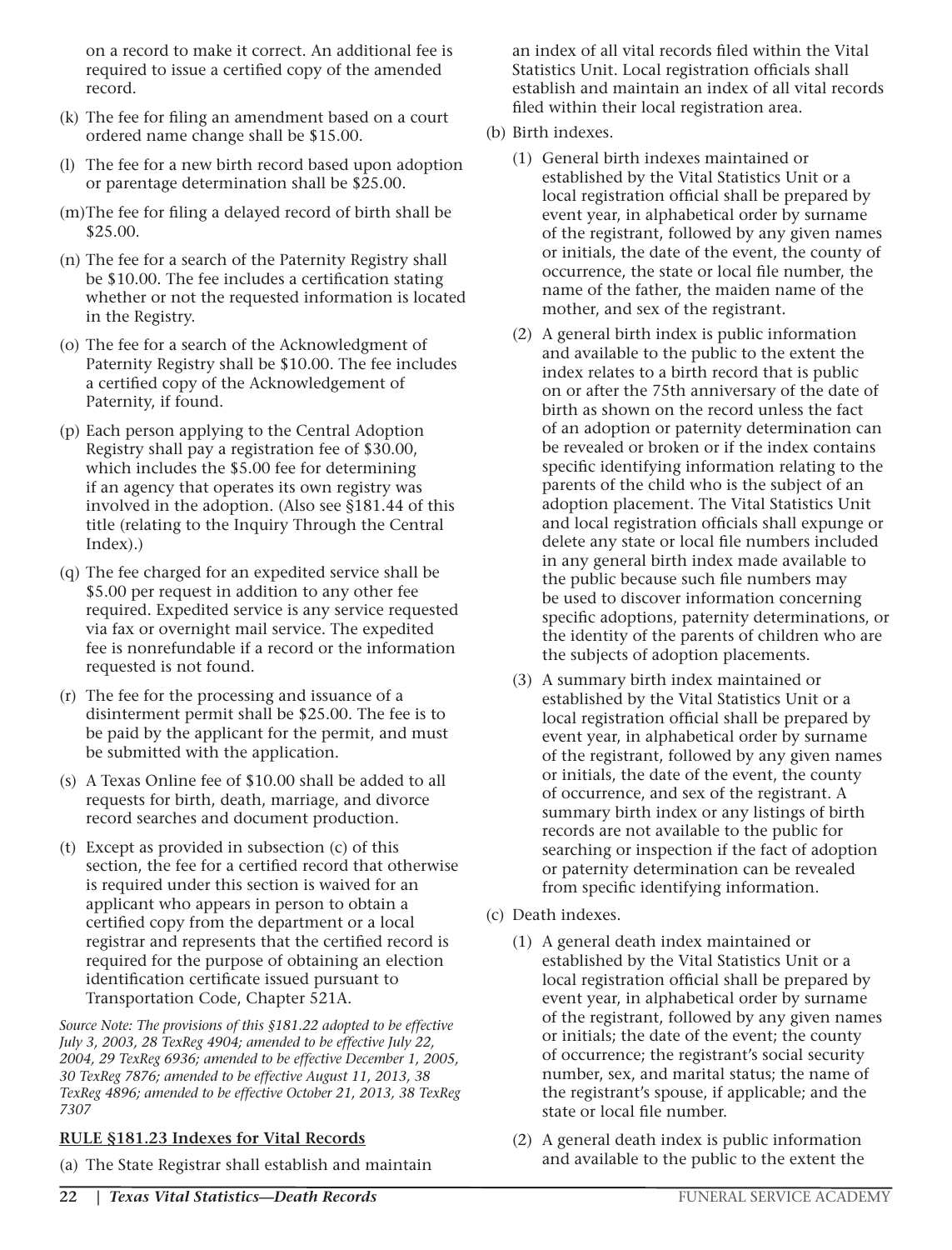on a record to make it correct. An additional fee is required to issue a certified copy of the amended record.

- (k) The fee for filing an amendment based on a court ordered name change shall be \$15.00.
- (l) The fee for a new birth record based upon adoption or parentage determination shall be \$25.00.
- (m) The fee for filing a delayed record of birth shall be \$25.00.
- (n) The fee for a search of the Paternity Registry shall be \$10.00. The fee includes a certification stating whether or not the requested information is located in the Registry.
- (o) The fee for a search of the Acknowledgment of Paternity Registry shall be \$10.00. The fee includes a certified copy of the Acknowledgement of Paternity, if found.
- (p) Each person applying to the Central Adoption Registry shall pay a registration fee of \$30.00, which includes the \$5.00 fee for determining if an agency that operates its own registry was involved in the adoption. (Also see §181.44 of this title (relating to the Inquiry Through the Central Index).)
- (q) The fee charged for an expedited service shall be \$5.00 per request in addition to any other fee required. Expedited service is any service requested via fax or overnight mail service. The expedited fee is nonrefundable if a record or the information requested is not found.
- (r) The fee for the processing and issuance of a disinterment permit shall be \$25.00. The fee is to be paid by the applicant for the permit, and must be submitted with the application.
- (s) A Texas Online fee of \$10.00 shall be added to all requests for birth, death, marriage, and divorce record searches and document production.
- (t) Except as provided in subsection (c) of this section, the fee for a certified record that otherwise is required under this section is waived for an applicant who appears in person to obtain a certified copy from the department or a local registrar and represents that the certified record is required for the purpose of obtaining an election identification certificate issued pursuant to Transportation Code, Chapter 521A.

*Source Note: The provisions of this §181.22 adopted to be effective July 3, 2003, 28 TexReg 4904; amended to be effective July 22, 2004, 29 TexReg 6936; amended to be effective December 1, 2005, 30 TexReg 7876; amended to be effective August 11, 2013, 38 TexReg 4896; amended to be effective October 21, 2013, 38 TexReg 7307*

#### **RULE §181.23 Indexes for Vital Records**

(a) The State Registrar shall establish and maintain

an index of all vital records filed within the Vital Statistics Unit. Local registration officials shall establish and maintain an index of all vital records filed within their local registration area.

- (b) Birth indexes.
	- (1) General birth indexes maintained or established by the Vital Statistics Unit or a local registration official shall be prepared by event year, in alphabetical order by surname of the registrant, followed by any given names or initials, the date of the event, the county of occurrence, the state or local file number, the name of the father, the maiden name of the mother, and sex of the registrant.
	- (2) A general birth index is public information and available to the public to the extent the index relates to a birth record that is public on or after the 75th anniversary of the date of birth as shown on the record unless the fact of an adoption or paternity determination can be revealed or broken or if the index contains specific identifying information relating to the parents of the child who is the subject of an adoption placement. The Vital Statistics Unit and local registration officials shall expunge or delete any state or local file numbers included in any general birth index made available to the public because such file numbers may be used to discover information concerning specific adoptions, paternity determinations, or the identity of the parents of children who are the subjects of adoption placements.
	- (3) A summary birth index maintained or established by the Vital Statistics Unit or a local registration official shall be prepared by event year, in alphabetical order by surname of the registrant, followed by any given names or initials, the date of the event, the county of occurrence, and sex of the registrant. A summary birth index or any listings of birth records are not available to the public for searching or inspection if the fact of adoption or paternity determination can be revealed from specific identifying information.
- (c) Death indexes.
	- (1) A general death index maintained or established by the Vital Statistics Unit or a local registration official shall be prepared by event year, in alphabetical order by surname of the registrant, followed by any given names or initials; the date of the event; the county of occurrence; the registrant's social security number, sex, and marital status; the name of the registrant's spouse, if applicable; and the state or local file number.
	- (2) A general death index is public information and available to the public to the extent the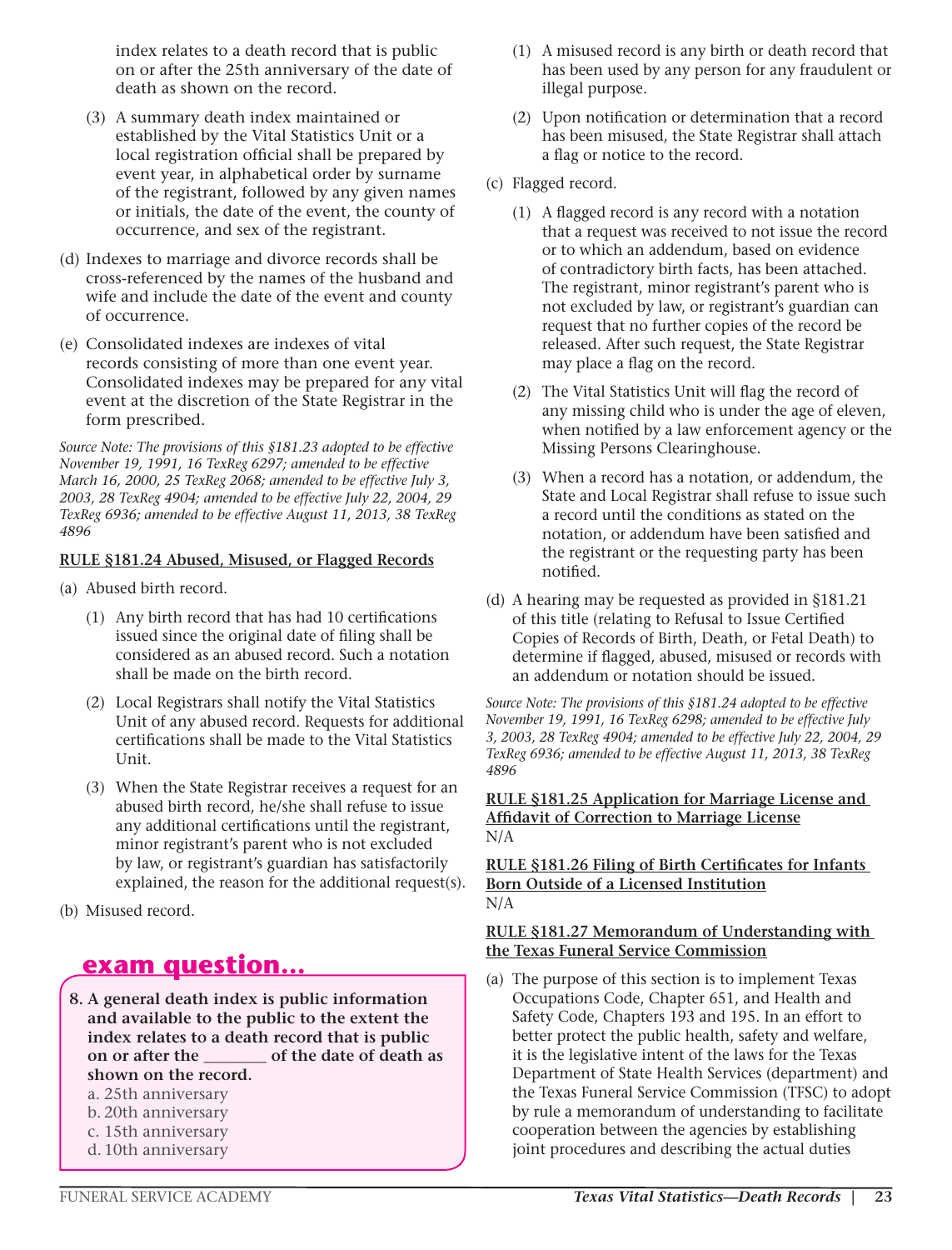index relates to a death record that is public on or after the 25th anniversary of the date of death as shown on the record.

- (3) A summary death index maintained or established by the Vital Statistics Unit or a local registration official shall be prepared by event year, in alphabetical order by surname of the registrant, followed by any given names or initials, the date of the event, the county of occurrence, and sex of the registrant.
- (d) Indexes to marriage and divorce records shall be cross-referenced by the names of the husband and wife and include the date of the event and county of occurrence.
- (e) Consolidated indexes are indexes of vital records consisting of more than one event year. Consolidated indexes may be prepared for any vital event at the discretion of the State Registrar in the form prescribed.

*Source Note: The provisions of this §181.23 adopted to be effective November 19, 1991, 16 TexReg 6297; amended to be effective March 16, 2000, 25 TexReg 2068; amended to be effective July 3, 2003, 28 TexReg 4904; amended to be effective July 22, 2004, 29 TexReg 6936; amended to be effective August 11, 2013, 38 TexReg 4896*

#### **RULE §181.24 Abused, Misused, or Flagged Records**

- (a) Abused birth record.
	- (1) Any birth record that has had 10 certifications issued since the original date of filing shall be considered as an abused record. Such a notation shall be made on the birth record.
	- (2) Local Registrars shall notify the Vital Statistics Unit of any abused record. Requests for additional certifications shall be made to the Vital Statistics Unit.
	- (3) When the State Registrar receives a request for an abused birth record, he/she shall refuse to issue any additional certifications until the registrant, minor registrant's parent who is not excluded by law, or registrant's guardian has satisfactorily explained, the reason for the additional request(s).
- (b) Misused record.

# **exam question...**

- **8. A general death index is public information and available to the public to the extent the index relates to a death record that is public on or after the \_\_\_\_\_\_\_\_ of the date of death as shown on the record.**
	- a. 25th anniversary
	- b. 20th anniversary
	- c. 15th anniversary
	- d. 10th anniversary
- (1) A misused record is any birth or death record that has been used by any person for any fraudulent or illegal purpose.
- (2) Upon notification or determination that a record has been misused, the State Registrar shall attach a flag or notice to the record.
- (c) Flagged record.
	- (1) A flagged record is any record with a notation that a request was received to not issue the record or to which an addendum, based on evidence of contradictory birth facts, has been attached. The registrant, minor registrant's parent who is not excluded by law, or registrant's guardian can request that no further copies of the record be released. After such request, the State Registrar may place a flag on the record.
	- (2) The Vital Statistics Unit will flag the record of any missing child who is under the age of eleven, when notified by a law enforcement agency or the Missing Persons Clearinghouse.
	- (3) When a record has a notation, or addendum, the State and Local Registrar shall refuse to issue such a record until the conditions as stated on the notation, or addendum have been satisfied and the registrant or the requesting party has been notified.
- (d) A hearing may be requested as provided in §181.21 of this title (relating to Refusal to Issue Certified Copies of Records of Birth, Death, or Fetal Death) to determine if flagged, abused, misused or records with an addendum or notation should be issued.

*Source Note: The provisions of this §181.24 adopted to be effective November 19, 1991, 16 TexReg 6298; amended to be effective July 3, 2003, 28 TexReg 4904; amended to be effective July 22, 2004, 29 TexReg 6936; amended to be effective August 11, 2013, 38 TexReg 4896*

**RULE §181.25 Application for Marriage License and Affidavit of Correction to Marriage License** N/A

**RULE §181.26 Filing of Birth Certificates for Infants Born Outside of a Licensed Institution** N/A

#### **RULE §181.27 Memorandum of Understanding with the Texas Funeral Service Commission**

(a) The purpose of this section is to implement Texas Occupations Code, Chapter 651, and Health and Safety Code, Chapters 193 and 195. In an effort to better protect the public health, safety and welfare, it is the legislative intent of the laws for the Texas Department of State Health Services (department) and the Texas Funeral Service Commission (TFSC) to adopt by rule a memorandum of understanding to facilitate cooperation between the agencies by establishing joint procedures and describing the actual duties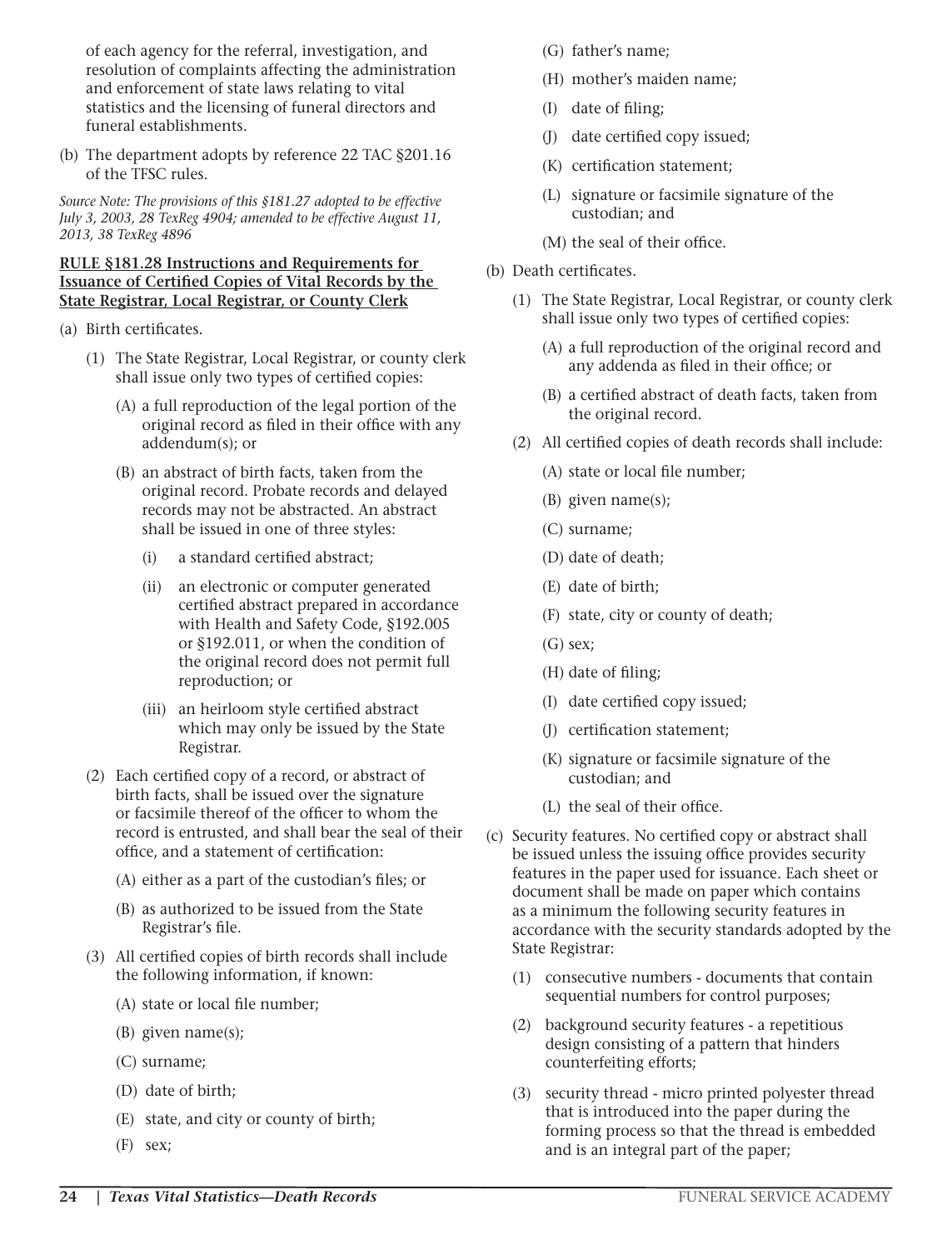of each agency for the referral, investigation, and resolution of complaints affecting the administration and enforcement of state laws relating to vital statistics and the licensing of funeral directors and funeral establishments.

(b) The department adopts by reference 22 TAC §201.16 of the TFSC rules.

*Source Note: The provisions of this §181.27 adopted to be effective July 3, 2003, 28 TexReg 4904; amended to be effective August 11, 2013, 38 TexReg 4896*

#### **RULE §181.28 Instructions and Requirements for Issuance of Certified Copies of Vital Records by the State Registrar, Local Registrar, or County Clerk**

- (a) Birth certificates.
	- (1) The State Registrar, Local Registrar, or county clerk shall issue only two types of certified copies:
		- (A) a full reproduction of the legal portion of the original record as filed in their office with any addendum(s); or
		- (B) an abstract of birth facts, taken from the original record. Probate records and delayed records may not be abstracted. An abstract shall be issued in one of three styles:
			- (i) a standard certified abstract;
			- (ii) an electronic or computer generated certified abstract prepared in accordance with Health and Safety Code, §192.005 or §192.011, or when the condition of the original record does not permit full reproduction; or
			- (iii) an heirloom style certified abstract which may only be issued by the State Registrar.
	- (2) Each certified copy of a record, or abstract of birth facts, shall be issued over the signature or facsimile thereof of the officer to whom the record is entrusted, and shall bear the seal of their office, and a statement of certification:
		- (A) either as a part of the custodian's files; or
		- (B) as authorized to be issued from the State Registrar's file.
	- (3) All certified copies of birth records shall include the following information, if known:
		- (A) state or local file number;
		- (B) given name(s);
		- (C) surname;
		- (D) date of birth;
		- (E) state, and city or county of birth;
		- (F) sex;
- (G) father's name;
- (H) mother's maiden name;
- (I) date of filing;
- (J) date certified copy issued;
- (K) certification statement;
- (L) signature or facsimile signature of the custodian; and
- (M) the seal of their office.
- (b) Death certificates.
	- (1) The State Registrar, Local Registrar, or county clerk shall issue only two types of certified copies:
		- (A) a full reproduction of the original record and any addenda as filed in their office; or
		- (B) a certified abstract of death facts, taken from the original record.
	- (2) All certified copies of death records shall include:
		- (A) state or local file number;
		- (B) given name(s);
		- (C) surname;
		- (D) date of death;
		- (E) date of birth;
		- (F) state, city or county of death;
		- (G) sex;
		- (H) date of filing;
		- (I) date certified copy issued;
		- (J) certification statement;
		- (K) signature or facsimile signature of the custodian; and
		- (L) the seal of their office.
- (c) Security features. No certified copy or abstract shall be issued unless the issuing office provides security features in the paper used for issuance. Each sheet or document shall be made on paper which contains as a minimum the following security features in accordance with the security standards adopted by the State Registrar:
	- (1) consecutive numbers documents that contain sequential numbers for control purposes;
	- (2) background security features a repetitious design consisting of a pattern that hinders counterfeiting efforts;
	- (3) security thread micro printed polyester thread that is introduced into the paper during the forming process so that the thread is embedded and is an integral part of the paper;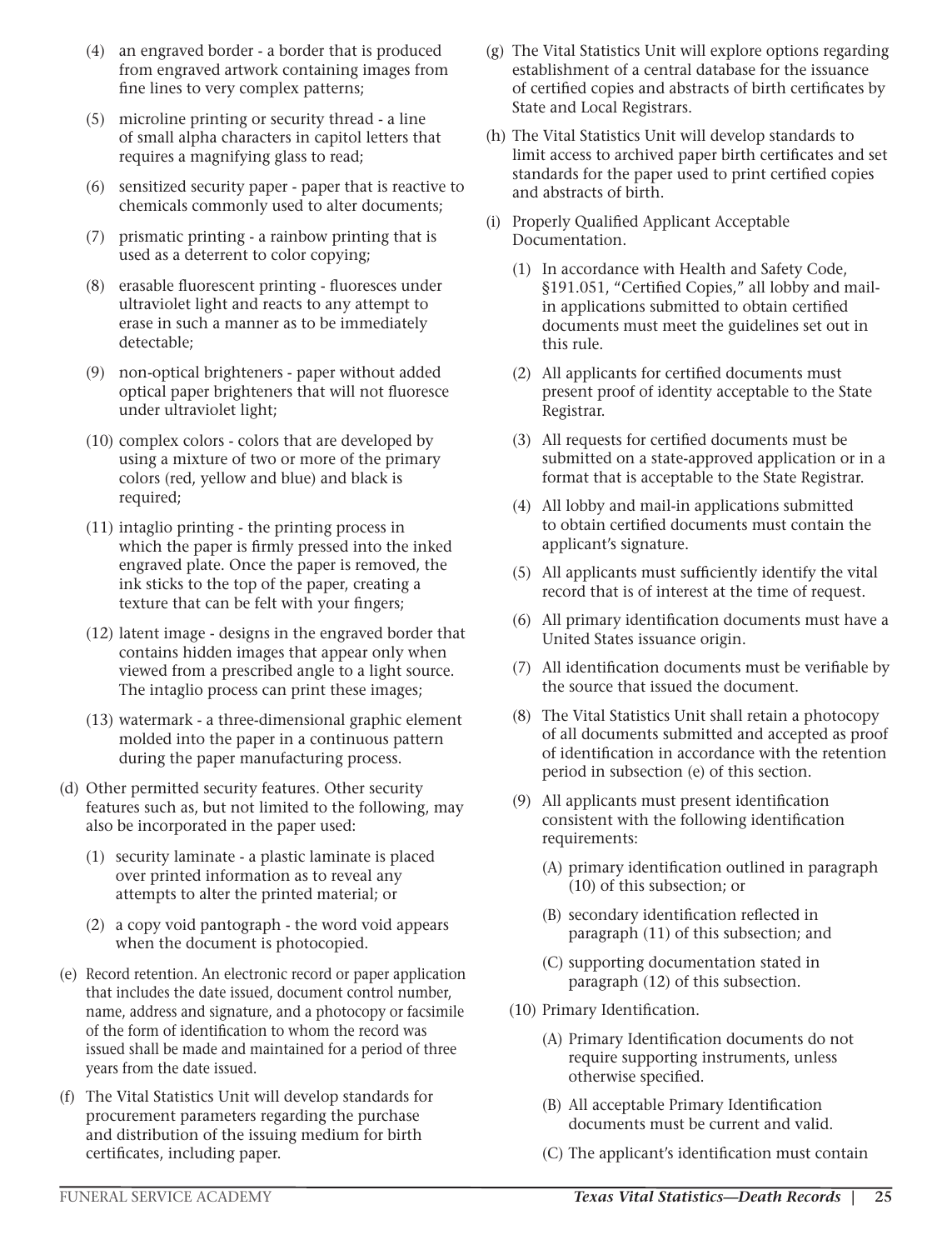- (4) an engraved border a border that is produced from engraved artwork containing images from fine lines to very complex patterns;
- (5) microline printing or security thread a line of small alpha characters in capitol letters that requires a magnifying glass to read;
- (6) sensitized security paper paper that is reactive to chemicals commonly used to alter documents;
- (7) prismatic printing a rainbow printing that is used as a deterrent to color copying;
- (8) erasable fluorescent printing fluoresces under ultraviolet light and reacts to any attempt to erase in such a manner as to be immediately detectable;
- (9) non-optical brighteners paper without added optical paper brighteners that will not fluoresce under ultraviolet light;
- (10) complex colors colors that are developed by using a mixture of two or more of the primary colors (red, yellow and blue) and black is required;
- (11) intaglio printing the printing process in which the paper is firmly pressed into the inked engraved plate. Once the paper is removed, the ink sticks to the top of the paper, creating a texture that can be felt with your fingers;
- (12) latent image designs in the engraved border that contains hidden images that appear only when viewed from a prescribed angle to a light source. The intaglio process can print these images;
- (13) watermark a three-dimensional graphic element molded into the paper in a continuous pattern during the paper manufacturing process.
- (d) Other permitted security features. Other security features such as, but not limited to the following, may also be incorporated in the paper used:
	- (1) security laminate a plastic laminate is placed over printed information as to reveal any attempts to alter the printed material; or
	- (2) a copy void pantograph the word void appears when the document is photocopied.
- (e) Record retention. An electronic record or paper application that includes the date issued, document control number, name, address and signature, and a photocopy or facsimile of the form of identification to whom the record was issued shall be made and maintained for a period of three years from the date issued.
- (f) The Vital Statistics Unit will develop standards for procurement parameters regarding the purchase and distribution of the issuing medium for birth certificates, including paper.
- (g) The Vital Statistics Unit will explore options regarding establishment of a central database for the issuance of certified copies and abstracts of birth certificates by State and Local Registrars.
- (h) The Vital Statistics Unit will develop standards to limit access to archived paper birth certificates and set standards for the paper used to print certified copies and abstracts of birth.
- (i) Properly Qualified Applicant Acceptable Documentation.
	- (1) In accordance with Health and Safety Code, §191.051, "Certified Copies," all lobby and mailin applications submitted to obtain certified documents must meet the guidelines set out in this rule.
	- (2) All applicants for certified documents must present proof of identity acceptable to the State Registrar.
	- (3) All requests for certified documents must be submitted on a state-approved application or in a format that is acceptable to the State Registrar.
	- (4) All lobby and mail-in applications submitted to obtain certified documents must contain the applicant's signature.
	- (5) All applicants must sufficiently identify the vital record that is of interest at the time of request.
	- (6) All primary identification documents must have a United States issuance origin.
	- (7) All identification documents must be verifiable by the source that issued the document.
	- (8) The Vital Statistics Unit shall retain a photocopy of all documents submitted and accepted as proof of identification in accordance with the retention period in subsection (e) of this section.
	- (9) All applicants must present identification consistent with the following identification requirements:
		- (A) primary identification outlined in paragraph (10) of this subsection; or
		- (B) secondary identification reflected in paragraph (11) of this subsection; and
		- (C) supporting documentation stated in paragraph (12) of this subsection.
	- (10) Primary Identification.
		- (A) Primary Identification documents do not require supporting instruments, unless otherwise specified.
		- (B) All acceptable Primary Identification documents must be current and valid.
		- (C) The applicant's identification must contain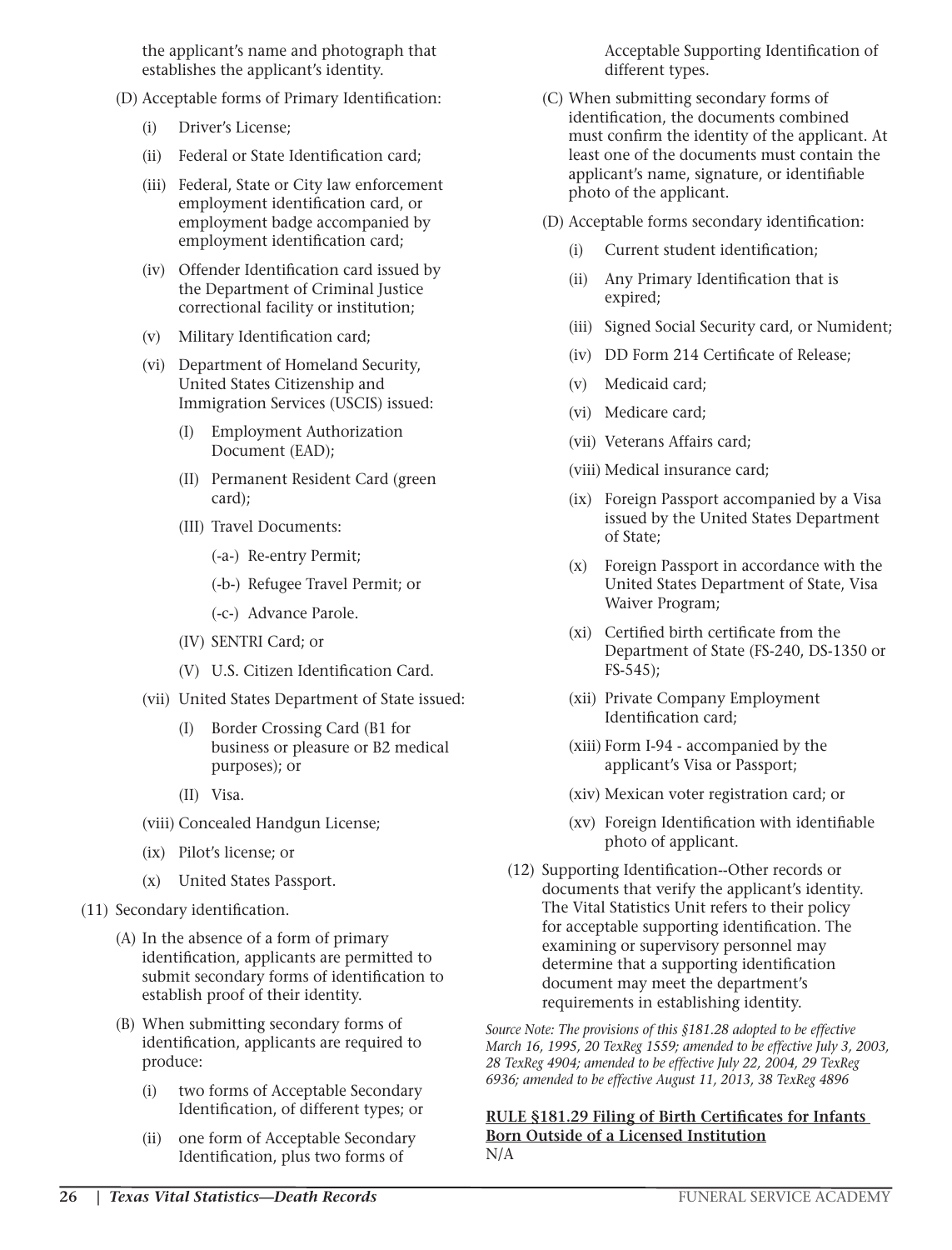the applicant's name and photograph that establishes the applicant's identity.

- (D) Acceptable forms of Primary Identification:
	- (i) Driver's License;
	- (ii) Federal or State Identification card;
	- (iii) Federal, State or City law enforcement employment identification card, or employment badge accompanied by employment identification card;
	- (iv) Offender Identification card issued by the Department of Criminal Justice correctional facility or institution;
	- (v) Military Identification card;
	- (vi) Department of Homeland Security, United States Citizenship and Immigration Services (USCIS) issued:
		- (I) Employment Authorization Document (EAD);
		- (II) Permanent Resident Card (green card);
		- (III) Travel Documents:
			- (-a-) Re-entry Permit;
			- (-b-) Refugee Travel Permit; or
			- (-c-) Advance Parole.
		- (IV) SENTRI Card; or
		- (V) U.S. Citizen Identification Card.
	- (vii) United States Department of State issued:
		- (I) Border Crossing Card (B1 for business or pleasure or B2 medical purposes); or
		- (II) Visa.
	- (viii) Concealed Handgun License;
	- (ix) Pilot's license; or
	- (x) United States Passport.
- (11) Secondary identification.
	- (A) In the absence of a form of primary identification, applicants are permitted to submit secondary forms of identification to establish proof of their identity.
	- (B) When submitting secondary forms of identification, applicants are required to produce:
		- (i) two forms of Acceptable Secondary Identification, of different types; or
		- (ii) one form of Acceptable Secondary Identification, plus two forms of

Acceptable Supporting Identification of different types.

- (C) When submitting secondary forms of identification, the documents combined must confirm the identity of the applicant. At least one of the documents must contain the applicant's name, signature, or identifiable photo of the applicant.
- (D) Acceptable forms secondary identification:
	- (i) Current student identification;
	- (ii) Any Primary Identification that is expired;
	- (iii) Signed Social Security card, or Numident;
	- (iv) DD Form 214 Certificate of Release;
	- (v) Medicaid card;
	- (vi) Medicare card;
	- (vii) Veterans Affairs card;
	- (viii) Medical insurance card;
	- (ix) Foreign Passport accompanied by a Visa issued by the United States Department of State;
	- (x) Foreign Passport in accordance with the United States Department of State, Visa Waiver Program;
	- (xi) Certified birth certificate from the Department of State (FS-240, DS-1350 or FS-545);
	- (xii) Private Company Employment Identification card;
	- (xiii) Form I-94 accompanied by the applicant's Visa or Passport;
	- (xiv) Mexican voter registration card; or
	- (xv) Foreign Identification with identifiable photo of applicant.
- (12) Supporting Identification--Other records or documents that verify the applicant's identity. The Vital Statistics Unit refers to their policy for acceptable supporting identification. The examining or supervisory personnel may determine that a supporting identification document may meet the department's requirements in establishing identity.

*Source Note: The provisions of this §181.28 adopted to be effective March 16, 1995, 20 TexReg 1559; amended to be effective July 3, 2003, 28 TexReg 4904; amended to be effective July 22, 2004, 29 TexReg 6936; amended to be effective August 11, 2013, 38 TexReg 4896*

#### **RULE §181.29 Filing of Birth Certificates for Infants Born Outside of a Licensed Institution** N/A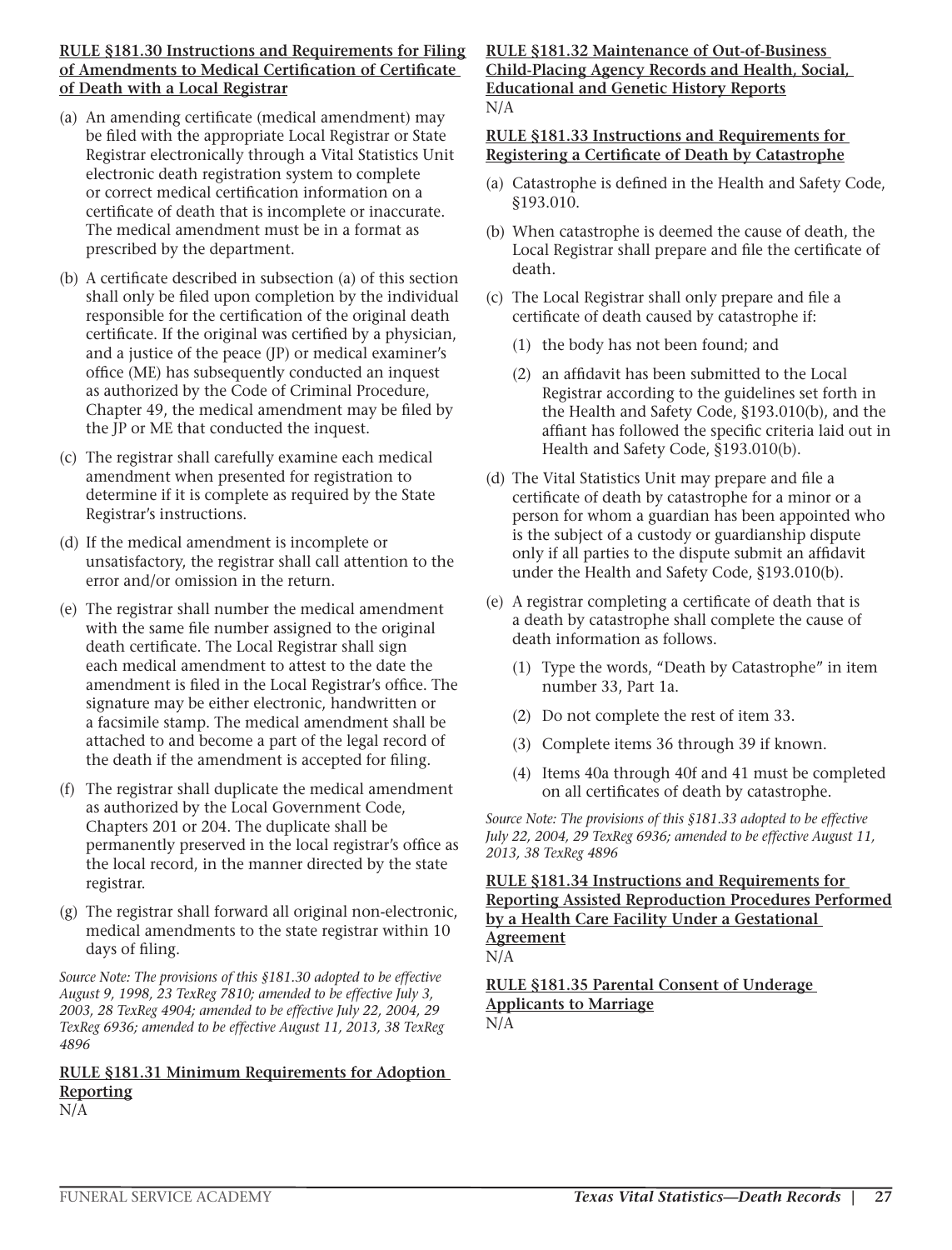#### **RULE §181.30 Instructions and Requirements for Filing of Amendments to Medical Certification of Certificate of Death with a Local Registrar**

- (a) An amending certificate (medical amendment) may be filed with the appropriate Local Registrar or State Registrar electronically through a Vital Statistics Unit electronic death registration system to complete or correct medical certification information on a certificate of death that is incomplete or inaccurate. The medical amendment must be in a format as prescribed by the department.
- (b) A certificate described in subsection (a) of this section shall only be filed upon completion by the individual responsible for the certification of the original death certificate. If the original was certified by a physician, and a justice of the peace (JP) or medical examiner's office (ME) has subsequently conducted an inquest as authorized by the Code of Criminal Procedure, Chapter 49, the medical amendment may be filed by the JP or ME that conducted the inquest.
- (c) The registrar shall carefully examine each medical amendment when presented for registration to determine if it is complete as required by the State Registrar's instructions.
- (d) If the medical amendment is incomplete or unsatisfactory, the registrar shall call attention to the error and/or omission in the return.
- (e) The registrar shall number the medical amendment with the same file number assigned to the original death certificate. The Local Registrar shall sign each medical amendment to attest to the date the amendment is filed in the Local Registrar's office. The signature may be either electronic, handwritten or a facsimile stamp. The medical amendment shall be attached to and become a part of the legal record of the death if the amendment is accepted for filing.
- (f) The registrar shall duplicate the medical amendment as authorized by the Local Government Code, Chapters 201 or 204. The duplicate shall be permanently preserved in the local registrar's office as the local record, in the manner directed by the state registrar.
- (g) The registrar shall forward all original non-electronic, medical amendments to the state registrar within 10 days of filing.

*Source Note: The provisions of this §181.30 adopted to be effective August 9, 1998, 23 TexReg 7810; amended to be effective July 3, 2003, 28 TexReg 4904; amended to be effective July 22, 2004, 29 TexReg 6936; amended to be effective August 11, 2013, 38 TexReg 4896*

#### **RULE §181.31 Minimum Requirements for Adoption Reporting** N/A

#### **RULE §181.32 Maintenance of Out-of-Business Child-Placing Agency Records and Health, Social, Educational and Genetic History Reports** N/A

#### **RULE §181.33 Instructions and Requirements for Registering a Certificate of Death by Catastrophe**

- (a) Catastrophe is defined in the Health and Safety Code, §193.010.
- (b) When catastrophe is deemed the cause of death, the Local Registrar shall prepare and file the certificate of death.
- (c) The Local Registrar shall only prepare and file a certificate of death caused by catastrophe if:
	- (1) the body has not been found; and
	- (2) an affidavit has been submitted to the Local Registrar according to the guidelines set forth in the Health and Safety Code, §193.010(b), and the affiant has followed the specific criteria laid out in Health and Safety Code, §193.010(b).
- (d) The Vital Statistics Unit may prepare and file a certificate of death by catastrophe for a minor or a person for whom a guardian has been appointed who is the subject of a custody or guardianship dispute only if all parties to the dispute submit an affidavit under the Health and Safety Code, §193.010(b).
- (e) A registrar completing a certificate of death that is a death by catastrophe shall complete the cause of death information as follows.
	- (1) Type the words, "Death by Catastrophe" in item number 33, Part 1a.
	- (2) Do not complete the rest of item 33.
	- (3) Complete items 36 through 39 if known.
	- (4) Items 40a through 40f and 41 must be completed on all certificates of death by catastrophe.

*Source Note: The provisions of this §181.33 adopted to be effective July 22, 2004, 29 TexReg 6936; amended to be effective August 11, 2013, 38 TexReg 4896*

**RULE §181.34 Instructions and Requirements for Reporting Assisted Reproduction Procedures Performed by a Health Care Facility Under a Gestational Agreement** N/A

**RULE §181.35 Parental Consent of Underage Applicants to Marriage** N/A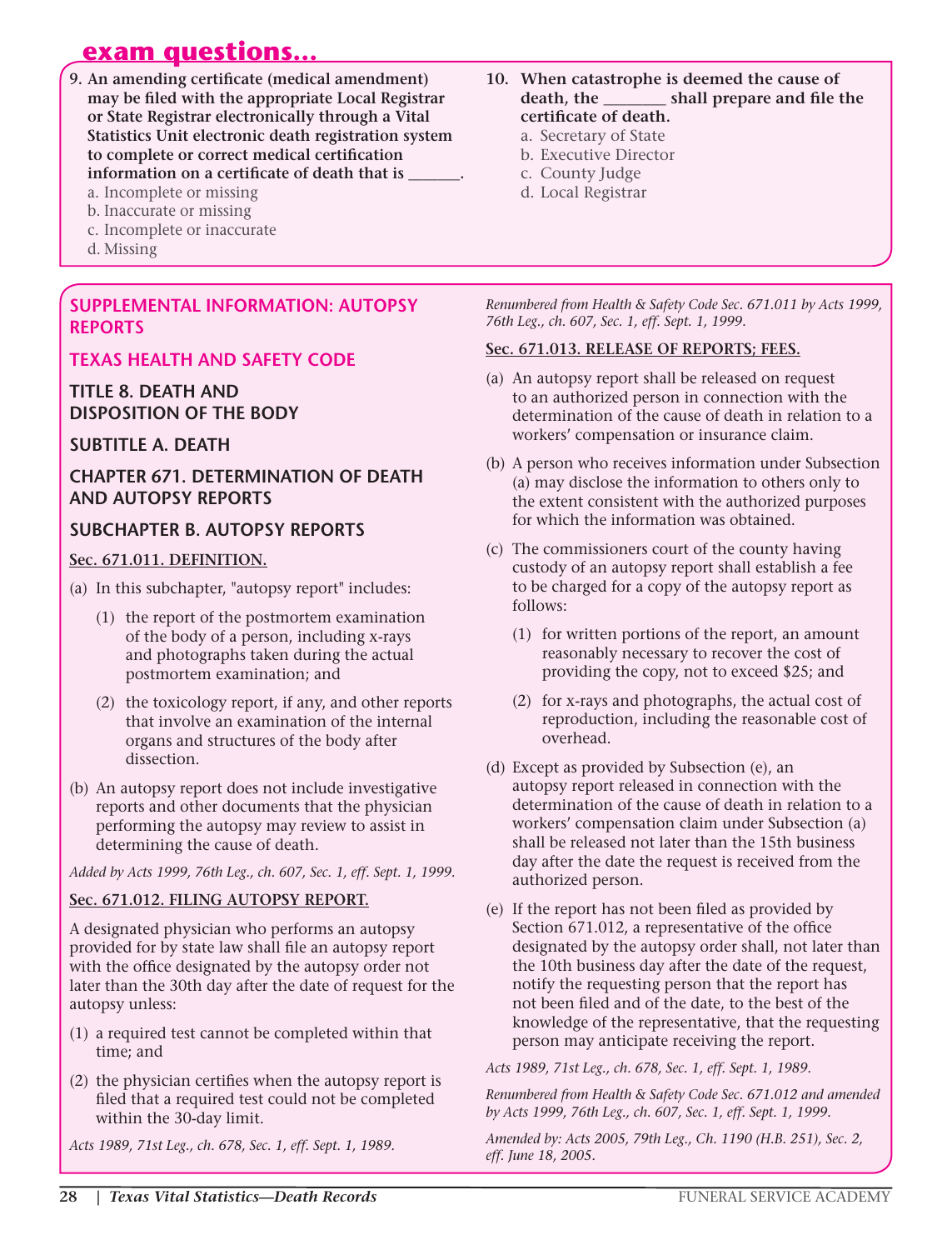# **exam questions...**

- **9. An amending certificate (medical amendment) may be filed with the appropriate Local Registrar or State Registrar electronically through a Vital Statistics Unit electronic death registration system to complete or correct medical certification information on a certificate of death that is \_\_\_\_\_\_\_.**
	- a. Incomplete or missing
	- b. Inaccurate or missing
	- c. Incomplete or inaccurate
	- d. Missing

#### **SUPPLEMENTAL INFORMATION: AUTOPSY REPORTS**

#### **TEXAS HEALTH AND SAFETY CODE**

#### **TITLE 8. DEATH AND DISPOSITION OF THE BODY**

#### **SUBTITLE A. DEATH**

#### **CHAPTER 671. DETERMINATION OF DEATH AND AUTOPSY REPORTS**

#### **SUBCHAPTER B. AUTOPSY REPORTS**

#### **Sec. 671.011. DEFINITION.**

- (a) In this subchapter, "autopsy report" includes:
	- (1) the report of the postmortem examination of the body of a person, including x-rays and photographs taken during the actual postmortem examination; and
	- (2) the toxicology report, if any, and other reports that involve an examination of the internal organs and structures of the body after dissection.
- (b) An autopsy report does not include investigative reports and other documents that the physician performing the autopsy may review to assist in determining the cause of death.

*Added by Acts 1999, 76th Leg., ch. 607, Sec. 1, eff. Sept. 1, 1999.*

#### **Sec. 671.012. FILING AUTOPSY REPORT.**

A designated physician who performs an autopsy provided for by state law shall file an autopsy report with the office designated by the autopsy order not later than the 30th day after the date of request for the autopsy unless:

- (1) a required test cannot be completed within that time; and
- (2) the physician certifies when the autopsy report is filed that a required test could not be completed within the 30-day limit.

*Acts 1989, 71st Leg., ch. 678, Sec. 1, eff. Sept. 1, 1989.*

- **10. When catastrophe is deemed the cause of death, the \_\_\_\_\_\_\_\_ shall prepare and file the certificate of death.**
	- a. Secretary of State
	- b. Executive Director
	- c. County Judge
	- d. Local Registrar

*Renumbered from Health & Safety Code Sec. 671.011 by Acts 1999, 76th Leg., ch. 607, Sec. 1, eff. Sept. 1, 1999.*

#### **Sec. 671.013. RELEASE OF REPORTS; FEES.**

- (a) An autopsy report shall be released on request to an authorized person in connection with the determination of the cause of death in relation to a workers' compensation or insurance claim.
- (b) A person who receives information under Subsection (a) may disclose the information to others only to the extent consistent with the authorized purposes for which the information was obtained.
- (c) The commissioners court of the county having custody of an autopsy report shall establish a fee to be charged for a copy of the autopsy report as follows:
	- (1) for written portions of the report, an amount reasonably necessary to recover the cost of providing the copy, not to exceed \$25; and
	- (2) for x-rays and photographs, the actual cost of reproduction, including the reasonable cost of overhead.
- (d) Except as provided by Subsection (e), an autopsy report released in connection with the determination of the cause of death in relation to a workers' compensation claim under Subsection (a) shall be released not later than the 15th business day after the date the request is received from the authorized person.
- (e) If the report has not been filed as provided by Section 671.012, a representative of the office designated by the autopsy order shall, not later than the 10th business day after the date of the request, notify the requesting person that the report has not been filed and of the date, to the best of the knowledge of the representative, that the requesting person may anticipate receiving the report.

*Acts 1989, 71st Leg., ch. 678, Sec. 1, eff. Sept. 1, 1989.*

*Renumbered from Health & Safety Code Sec. 671.012 and amended by Acts 1999, 76th Leg., ch. 607, Sec. 1, eff. Sept. 1, 1999.*

*Amended by: Acts 2005, 79th Leg., Ch. 1190 (H.B. 251), Sec. 2, eff. June 18, 2005.*